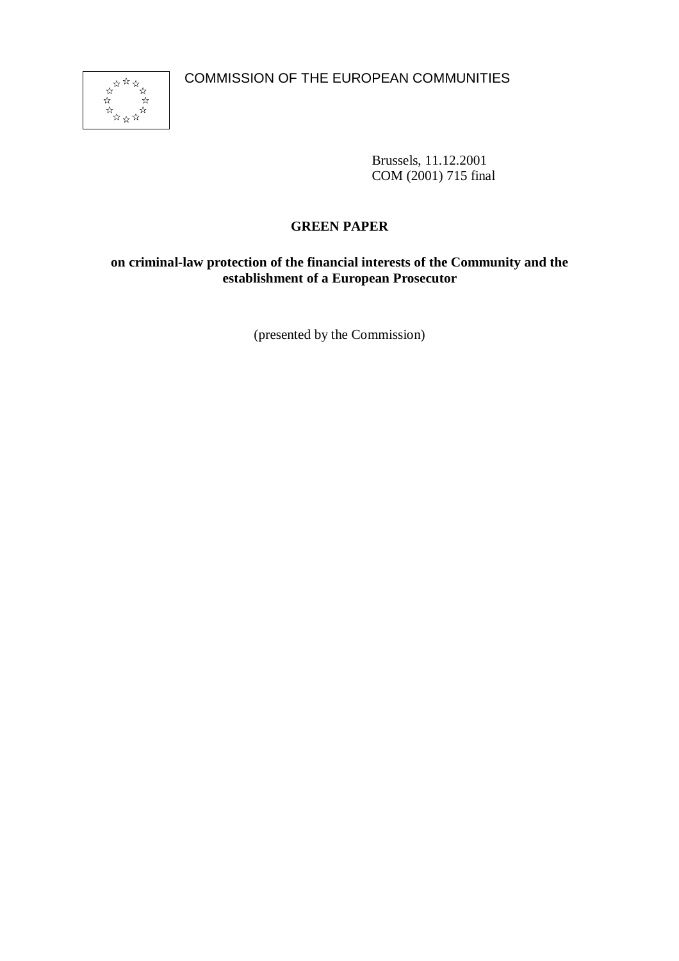

Brussels, 11.12.2001 COM (2001) 715 final

# **GREEN PAPER**

# **on criminal-law protection of the financial interests of the Community and the establishment of a European Prosecutor**

(presented by the Commission)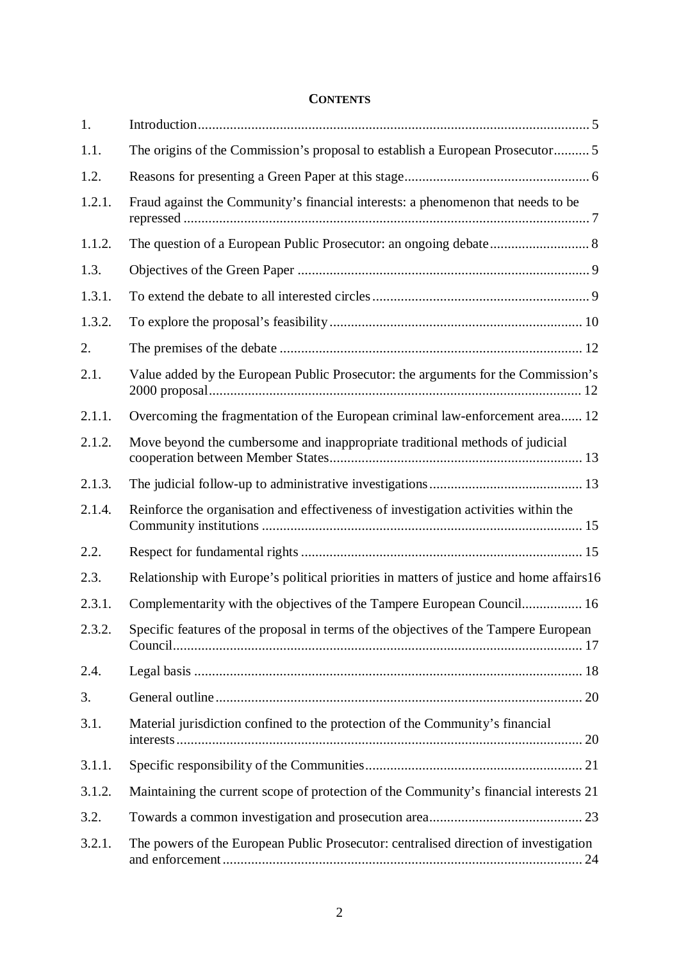# **CONTENTS**

| 1.     |                                                                                          |  |  |
|--------|------------------------------------------------------------------------------------------|--|--|
| 1.1.   | The origins of the Commission's proposal to establish a European Prosecutor 5            |  |  |
| 1.2.   |                                                                                          |  |  |
| 1.2.1. | Fraud against the Community's financial interests: a phenomenon that needs to be         |  |  |
| 1.1.2. | The question of a European Public Prosecutor: an ongoing debate 8                        |  |  |
| 1.3.   |                                                                                          |  |  |
| 1.3.1. |                                                                                          |  |  |
| 1.3.2. |                                                                                          |  |  |
| 2.     |                                                                                          |  |  |
| 2.1.   | Value added by the European Public Prosecutor: the arguments for the Commission's        |  |  |
| 2.1.1. | Overcoming the fragmentation of the European criminal law-enforcement area 12            |  |  |
| 2.1.2. | Move beyond the cumbersome and inappropriate traditional methods of judicial             |  |  |
| 2.1.3. |                                                                                          |  |  |
| 2.1.4. | Reinforce the organisation and effectiveness of investigation activities within the      |  |  |
| 2.2.   |                                                                                          |  |  |
| 2.3.   | Relationship with Europe's political priorities in matters of justice and home affairs16 |  |  |
| 2.3.1. | Complementarity with the objectives of the Tampere European Council 16                   |  |  |
| 2.3.2. | Specific features of the proposal in terms of the objectives of the Tampere European     |  |  |
| 2.4.   |                                                                                          |  |  |
| 3.     |                                                                                          |  |  |
| 3.1.   | Material jurisdiction confined to the protection of the Community's financial            |  |  |
| 3.1.1. |                                                                                          |  |  |
| 3.1.2. | Maintaining the current scope of protection of the Community's financial interests 21    |  |  |
| 3.2.   |                                                                                          |  |  |
| 3.2.1. | The powers of the European Public Prosecutor: centralised direction of investigation     |  |  |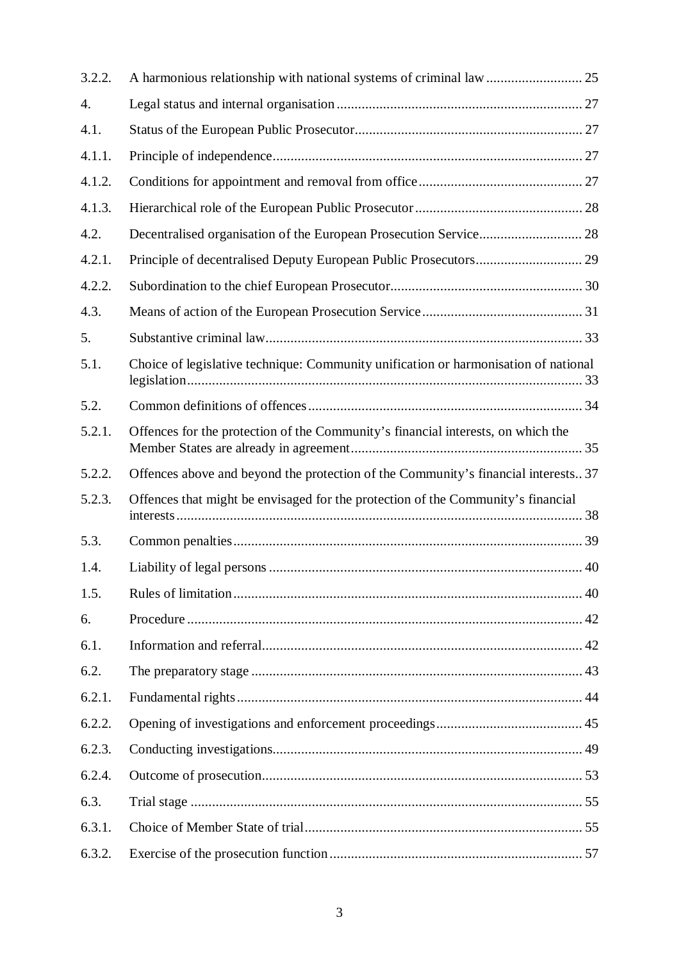| 3.2.2. |                                                                                     |
|--------|-------------------------------------------------------------------------------------|
| 4.     |                                                                                     |
| 4.1.   |                                                                                     |
| 4.1.1. |                                                                                     |
| 4.1.2. |                                                                                     |
| 4.1.3. |                                                                                     |
| 4.2.   | Decentralised organisation of the European Prosecution Service 28                   |
| 4.2.1. |                                                                                     |
| 4.2.2. |                                                                                     |
| 4.3.   |                                                                                     |
| 5.     |                                                                                     |
| 5.1.   | Choice of legislative technique: Community unification or harmonisation of national |
| 5.2.   |                                                                                     |
| 5.2.1. | Offences for the protection of the Community's financial interests, on which the    |
| 5.2.2. | Offences above and beyond the protection of the Community's financial interests 37  |
| 5.2.3. | Offences that might be envisaged for the protection of the Community's financial    |
| 5.3.   |                                                                                     |
| 1.4.   |                                                                                     |
| 1.5.   |                                                                                     |
| 6.     |                                                                                     |
| 6.1.   |                                                                                     |
| 6.2.   |                                                                                     |
| 6.2.1. |                                                                                     |
| 6.2.2. |                                                                                     |
| 6.2.3. |                                                                                     |
| 6.2.4. |                                                                                     |
| 6.3.   |                                                                                     |
| 6.3.1. |                                                                                     |
| 6.3.2. |                                                                                     |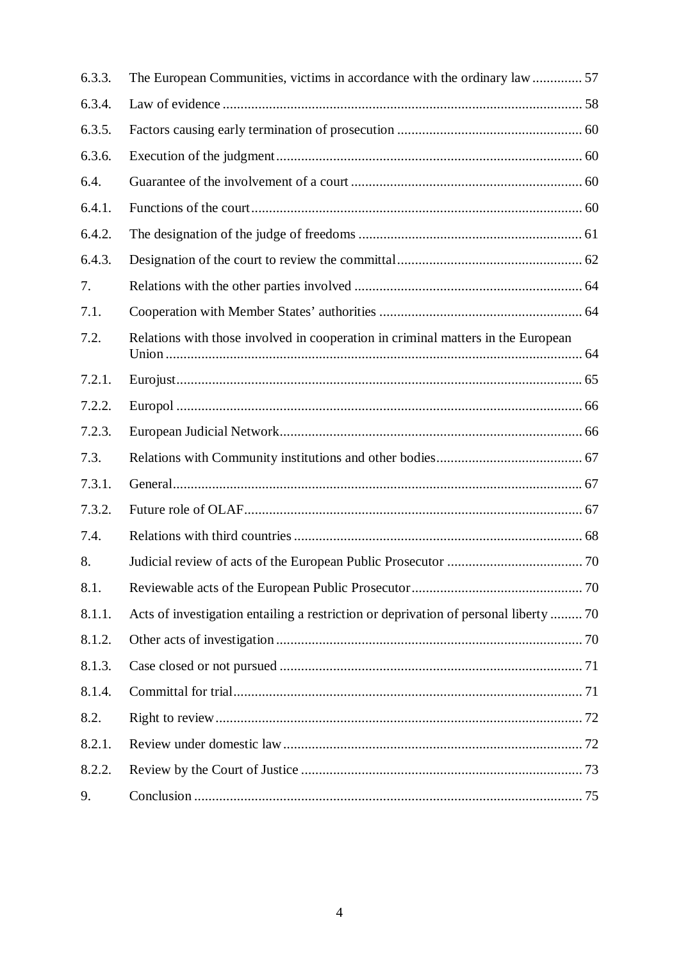| 6.3.3. | The European Communities, victims in accordance with the ordinary law  57            |  |
|--------|--------------------------------------------------------------------------------------|--|
| 6.3.4. |                                                                                      |  |
| 6.3.5. |                                                                                      |  |
| 6.3.6. |                                                                                      |  |
| 6.4.   |                                                                                      |  |
| 6.4.1. |                                                                                      |  |
| 6.4.2. |                                                                                      |  |
| 6.4.3. |                                                                                      |  |
| 7.     |                                                                                      |  |
| 7.1.   |                                                                                      |  |
| 7.2.   | Relations with those involved in cooperation in criminal matters in the European     |  |
| 7.2.1. |                                                                                      |  |
| 7.2.2. |                                                                                      |  |
| 7.2.3. |                                                                                      |  |
| 7.3.   |                                                                                      |  |
| 7.3.1. |                                                                                      |  |
| 7.3.2. |                                                                                      |  |
| 7.4.   |                                                                                      |  |
| 8.     |                                                                                      |  |
| 8.1.   |                                                                                      |  |
| 8.1.1. | Acts of investigation entailing a restriction or deprivation of personal liberty  70 |  |
| 8.1.2. |                                                                                      |  |
| 8.1.3. |                                                                                      |  |
| 8.1.4. |                                                                                      |  |
| 8.2.   |                                                                                      |  |
| 8.2.1. |                                                                                      |  |
| 8.2.2. |                                                                                      |  |
| 9.     |                                                                                      |  |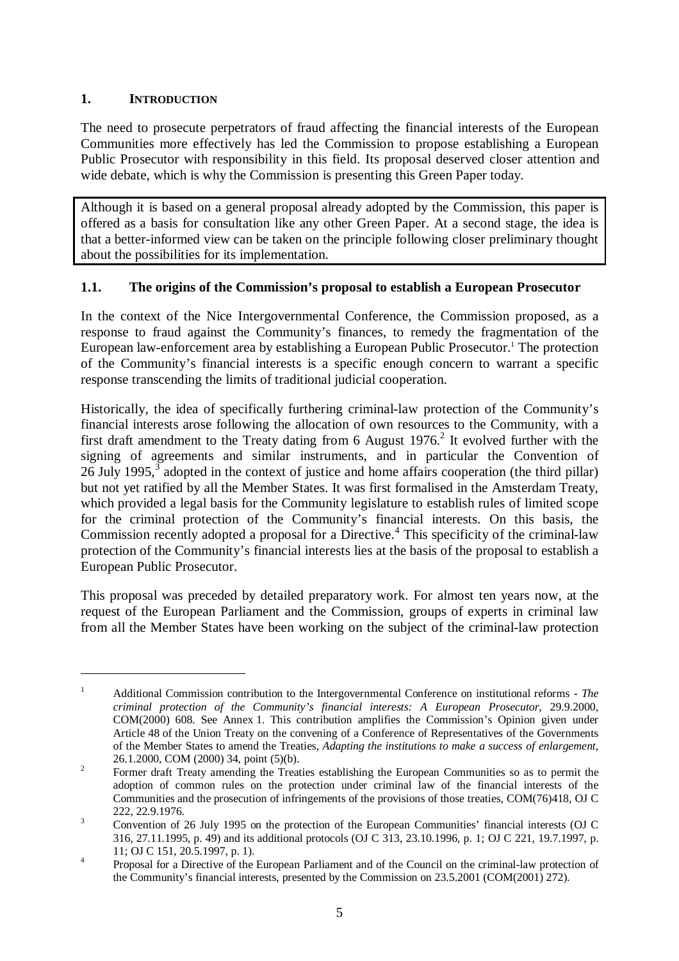### **1. INTRODUCTION**

The need to prosecute perpetrators of fraud affecting the financial interests of the European Communities more effectively has led the Commission to propose establishing a European Public Prosecutor with responsibility in this field. Its proposal deserved closer attention and wide debate, which is why the Commission is presenting this Green Paper today.

Although it is based on a general proposal already adopted by the Commission, this paper is offered as a basis for consultation like any other Green Paper. At a second stage, the idea is that a better-informed view can be taken on the principle following closer preliminary thought about the possibilities for its implementation.

#### **1.1. The origins of the Commission's proposal to establish a European Prosecutor**

In the context of the Nice Intergovernmental Conference, the Commission proposed, as a response to fraud against the Community's finances, to remedy the fragmentation of the European law-enforcement area by establishing a European Public Prosecutor.<sup>1</sup> The protection of the Community's financial interests is a specific enough concern to warrant a specific response transcending the limits of traditional judicial cooperation.

Historically, the idea of specifically furthering criminal-law protection of the Community's financial interests arose following the allocation of own resources to the Community, with a first draft amendment to the Treaty dating from 6 August  $1976<sup>2</sup>$  It evolved further with the signing of agreements and similar instruments, and in particular the Convention of 26 July 1995, $3$  adopted in the context of justice and home affairs cooperation (the third pillar) but not yet ratified by all the Member States. It was first formalised in the Amsterdam Treaty, which provided a legal basis for the Community legislature to establish rules of limited scope for the criminal protection of the Community's financial interests. On this basis, the Commission recently adopted a proposal for a Directive.<sup>4</sup> This specificity of the criminal-law protection of the Community's financial interests lies at the basis of the proposal to establish a European Public Prosecutor.

This proposal was preceded by detailed preparatory work. For almost ten years now, at the request of the European Parliament and the Commission, groups of experts in criminal law from all the Member States have been working on the subject of the criminal-law protection

<sup>1</sup> Additional Commission contribution to the Intergovernmental Conference on institutional reforms - *The criminal protection of the Community's financial interests: A European Prosecutor*, 29.9.2000, COM(2000) 608. See Annex 1. This contribution amplifies the Commission's Opinion given under Article 48 of the Union Treaty on the convening of a Conference of Representatives of the Governments of the Member States to amend the Treaties, *Adapting the institutions to make a success of enlargement*,

<sup>26.1.2000,</sup> COM (2000) 34, point (5)(b).<br><sup>2</sup> Former draft Treaty amending the Treaties establishing the European Communities so as to permit the adoption of common rules on the protection under criminal law of the financial interests of the Communities and the prosecution of infringements of the provisions of those treaties, COM(76)418, OJ C

<sup>222, 22.9.1976.&</sup>lt;br><sup>3</sup> Convention of 26 July 1995 on the protection of the European Communities' financial interests (OJ C 316, 27.11.1995, p. 49) and its additional protocols (OJ C 313, 23.10.1996, p. 1; OJ C 221, 19.7.1997, p.

<sup>11;</sup> OJ C 151, 20.5.1997, p. 1).<br>
Proposal for a Directive of the European Parliament and of the Council on the criminal-law protection of the Community's financial interests, presented by the Commission on 23.5.2001 (COM(2001) 272).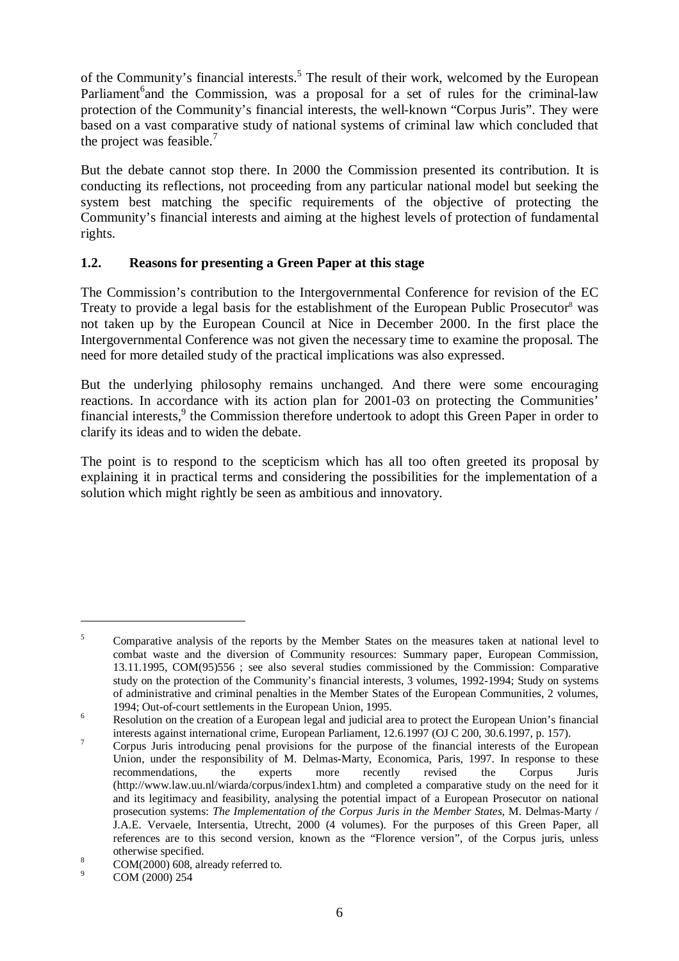of the Community's financial interests.<sup>5</sup> The result of their work, welcomed by the European Parliament<sup>6</sup>and the Commission, was a proposal for a set of rules for the criminal-law protection of the Community's financial interests, the well-known "Corpus Juris". They were based on a vast comparative study of national systems of criminal law which concluded that the project was feasible.<sup>7</sup>

But the debate cannot stop there. In 2000 the Commission presented its contribution. It is conducting its reflections, not proceeding from any particular national model but seeking the system best matching the specific requirements of the objective of protecting the Community's financial interests and aiming at the highest levels of protection of fundamental rights.

#### **1.2. Reasons for presenting a Green Paper at this stage**

The Commission's contribution to the Intergovernmental Conference for revision of the EC Treaty to provide a legal basis for the establishment of the European Public Prosecutor<sup>8</sup> was not taken up by the European Council at Nice in December 2000. In the first place the Intergovernmental Conference was not given the necessary time to examine the proposal. The need for more detailed study of the practical implications was also expressed.

But the underlying philosophy remains unchanged. And there were some encouraging reactions. In accordance with its action plan for 2001-03 on protecting the Communities' financial interests, $9$  the Commission therefore undertook to adopt this Green Paper in order to clarify its ideas and to widen the debate.

The point is to respond to the scepticism which has all too often greeted its proposal by explaining it in practical terms and considering the possibilities for the implementation of a solution which might rightly be seen as ambitious and innovatory.

<sup>&</sup>lt;sup>5</sup> Comparative analysis of the reports by the Member States on the measures taken at national level to combat waste and the diversion of Community resources: Summary paper, European Commission, 13.11.1995, COM(95)556 ; see also several studies commissioned by the Commission: Comparative study on the protection of the Community's financial interests, 3 volumes, 1992-1994; Study on systems of administrative and criminal penalties in the Member States of the European Communities, 2 volumes, 1994; Out-of-court settlements in the European Union, 1995.

 $1996$  Resolution on the creation of a European legal and judicial area to protect the European Union's financial

interests against international crime, European Parliament, 12.6.1997 (OJ C 200, 30.6.1997, p. 157).<br><sup>7</sup> Corpus Juris introducing penal provisions for the purpose of the financial interests of the European Union, under the responsibility of M. Delmas-Marty, Economica, Paris, 1997. In response to these recommendations, the experts more recently revised the Corpus Juris (http://www.law.uu.nl/wiarda/corpus/index1.htm) and completed a comparative study on the need for it and its legitimacy and feasibility, analysing the potential impact of a European Prosecutor on national prosecution systems: *The Implementation of the Corpus Juris in the Member States*, M. Delmas-Marty / J.A.E. Vervaele, Intersentia, Utrecht, 2000 (4 volumes). For the purposes of this Green Paper, all references are to this second version, known as the "Florence version", of the Corpus juris, unless

<sup>%</sup> otherwise specified.<br>8 COM(2000) 608, already referred to.<br>2 COM (2000) 254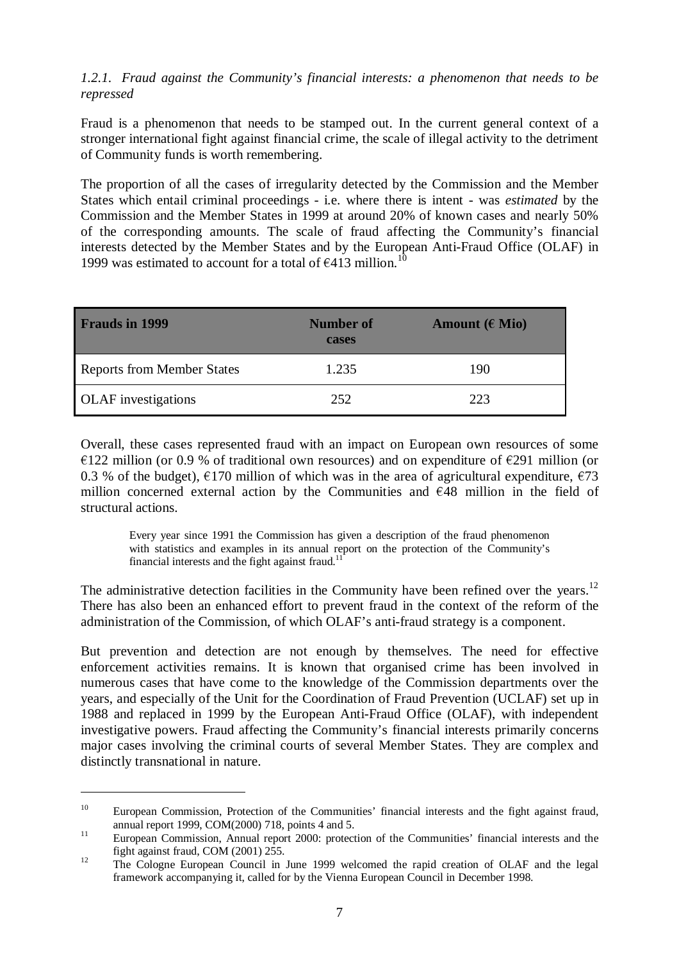#### *1.2.1. Fraud against the Community's financial interests: a phenomenon that needs to be repressed*

Fraud is a phenomenon that needs to be stamped out. In the current general context of a stronger international fight against financial crime, the scale of illegal activity to the detriment of Community funds is worth remembering.

The proportion of all the cases of irregularity detected by the Commission and the Member States which entail criminal proceedings - i.e. where there is intent - was *estimated* by the Commission and the Member States in 1999 at around 20% of known cases and nearly 50% of the corresponding amounts. The scale of fraud affecting the Community's financial interests detected by the Member States and by the European Anti-Fraud Office (OLAF) in 1999 was estimated to account for a total of  $\epsilon$ 413 million.<sup>10</sup>

| <b>Frauds in 1999</b>             | <b>Number of</b><br>cases | Amount $(E$ Mio) |
|-----------------------------------|---------------------------|------------------|
| <b>Reports from Member States</b> | 1.235                     | 190              |
| <b>OLAF</b> investigations        | 252                       | 223              |

Overall, these cases represented fraud with an impact on European own resources of some  $\epsilon$ 122 million (or 0.9 % of traditional own resources) and on expenditure of  $\epsilon$ 291 million (or 0.3 % of the budget),  $\epsilon$ 170 million of which was in the area of agricultural expenditure,  $\epsilon$ 73 million concerned external action by the Communities and  $\epsilon$ 48 million in the field of structural actions.

Every year since 1991 the Commission has given a description of the fraud phenomenon with statistics and examples in its annual report on the protection of the Community's financial interests and the fight against fraud. $11$ 

The administrative detection facilities in the Community have been refined over the years.<sup>12</sup> There has also been an enhanced effort to prevent fraud in the context of the reform of the administration of the Commission, of which OLAF's anti-fraud strategy is a component.

But prevention and detection are not enough by themselves. The need for effective enforcement activities remains. It is known that organised crime has been involved in numerous cases that have come to the knowledge of the Commission departments over the years, and especially of the Unit for the Coordination of Fraud Prevention (UCLAF) set up in 1988 and replaced in 1999 by the European Anti-Fraud Office (OLAF), with independent investigative powers. Fraud affecting the Community's financial interests primarily concerns major cases involving the criminal courts of several Member States. They are complex and distinctly transnational in nature.

<sup>&</sup>lt;sup>10</sup> European Commission, Protection of the Communities' financial interests and the fight against fraud, annual report 1999, COM(2000) 718, points 4 and 5.<br>
<sup>11</sup> European Commission, Annual report 2000: protection of the Communities' financial interests and the

fight against fraud, COM (2001) 255. <sup>12</sup> The Cologne European Council in June 1999 welcomed the rapid creation of OLAF and the legal

framework accompanying it, called for by the Vienna European Council in December 1998.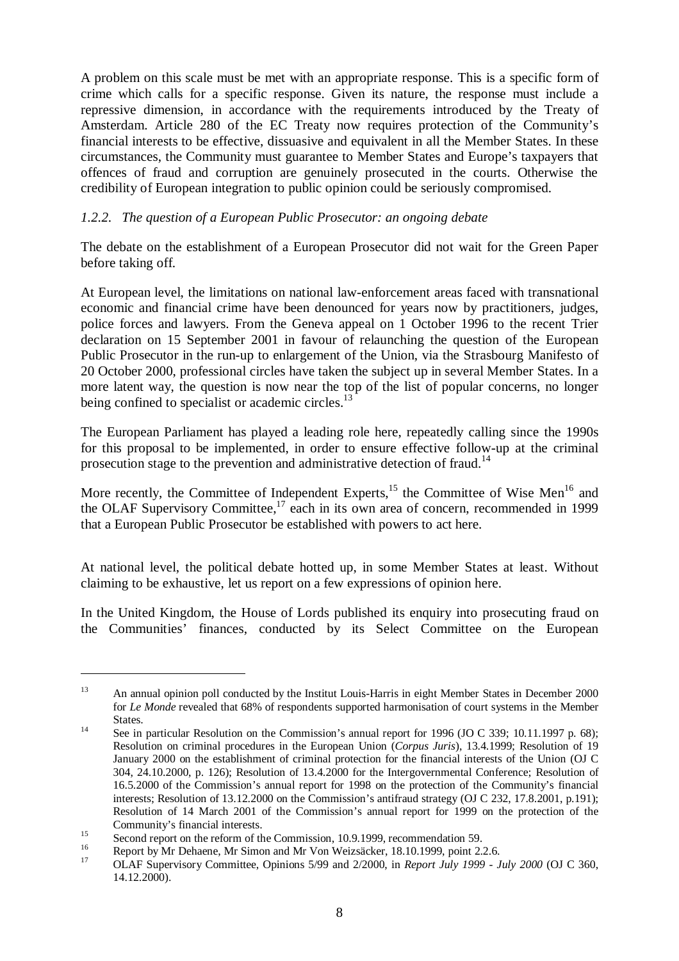A problem on this scale must be met with an appropriate response. This is a specific form of crime which calls for a specific response. Given its nature, the response must include a repressive dimension, in accordance with the requirements introduced by the Treaty of Amsterdam. Article 280 of the EC Treaty now requires protection of the Community's financial interests to be effective, dissuasive and equivalent in all the Member States. In these circumstances, the Community must guarantee to Member States and Europe's taxpayers that offences of fraud and corruption are genuinely prosecuted in the courts. Otherwise the credibility of European integration to public opinion could be seriously compromised.

# *1.2.2. The question of a European Public Prosecutor: an ongoing debate*

The debate on the establishment of a European Prosecutor did not wait for the Green Paper before taking off.

At European level, the limitations on national law-enforcement areas faced with transnational economic and financial crime have been denounced for years now by practitioners, judges, police forces and lawyers. From the Geneva appeal on 1 October 1996 to the recent Trier declaration on 15 September 2001 in favour of relaunching the question of the European Public Prosecutor in the run-up to enlargement of the Union, via the Strasbourg Manifesto of 20 October 2000, professional circles have taken the subject up in several Member States. In a more latent way, the question is now near the top of the list of popular concerns, no longer being confined to specialist or academic circles.<sup>13</sup>

The European Parliament has played a leading role here, repeatedly calling since the 1990s for this proposal to be implemented, in order to ensure effective follow-up at the criminal prosecution stage to the prevention and administrative detection of fraud.<sup>14</sup>

More recently, the Committee of Independent Experts, $15$  the Committee of Wise Men<sup>16</sup> and the OLAF Supervisory Committee, $17$  each in its own area of concern, recommended in 1999 that a European Public Prosecutor be established with powers to act here.

At national level, the political debate hotted up, in some Member States at least. Without claiming to be exhaustive, let us report on a few expressions of opinion here.

In the United Kingdom, the House of Lords published its enquiry into prosecuting fraud on the Communities' finances, conducted by its Select Committee on the European

<sup>&</sup>lt;sup>13</sup> An annual opinion poll conducted by the Institut Louis-Harris in eight Member States in December 2000 for *Le Monde* revealed that 68% of respondents supported harmonisation of court systems in the Member States.<br><sup>14</sup> See in particular Resolution on the Commission's annual report for 1996 (JO C 339; 10.11.1997 p. 68);

Resolution on criminal procedures in the European Union (*Corpus Juris*), 13.4.1999; Resolution of 19 January 2000 on the establishment of criminal protection for the financial interests of the Union (OJ C 304, 24.10.2000, p. 126); Resolution of 13.4.2000 for the Intergovernmental Conference; Resolution of 16.5.2000 of the Commission's annual report for 1998 on the protection of the Community's financial interests; Resolution of 13.12.2000 on the Commission's antifraud strategy (OJ C 232, 17.8.2001, p.191); Resolution of 14 March 2001 of the Commission's annual report for 1999 on the protection of the

Community's financial interests.<br>
Second report on the reform of the Commission, 10.9.1999, recommendation 59.<br>
Report by Mr Dehaene, Mr Simon and Mr Von Weizsäcker, 18.10.1999, point 2.2.6.<br>
OLAF Supervisory Committee, Op 14.12.2000).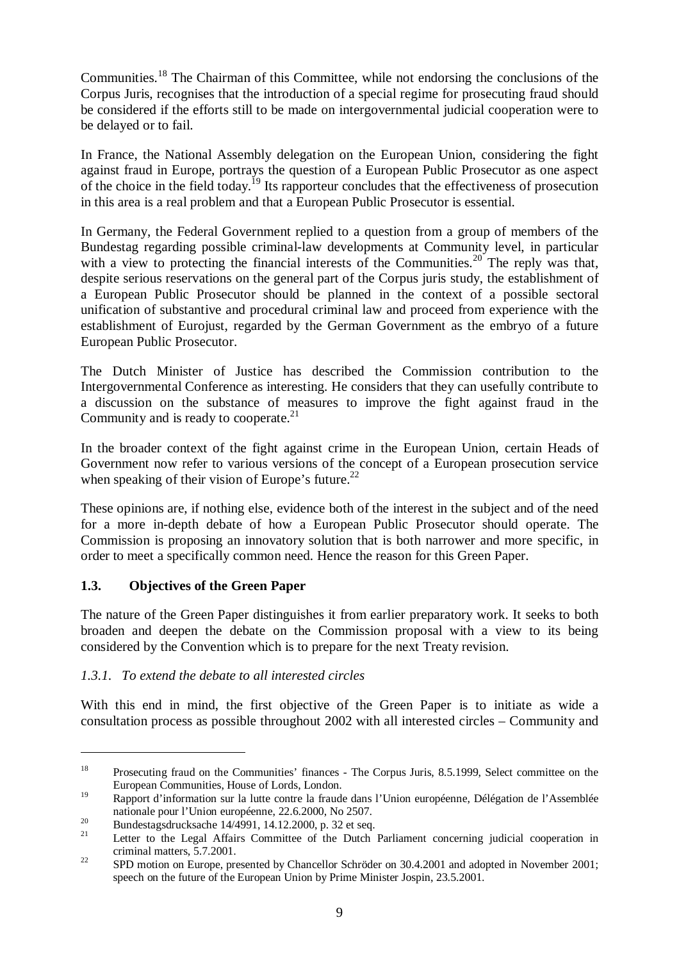Communities.<sup>18</sup> The Chairman of this Committee, while not endorsing the conclusions of the Corpus Juris, recognises that the introduction of a special regime for prosecuting fraud should be considered if the efforts still to be made on intergovernmental judicial cooperation were to be delayed or to fail.

In France, the National Assembly delegation on the European Union, considering the fight against fraud in Europe, portrays the question of a European Public Prosecutor as one aspect of the choice in the field today.<sup>19</sup> Its rapporteur concludes that the effectiveness of prosecution in this area is a real problem and that a European Public Prosecutor is essential.

In Germany, the Federal Government replied to a question from a group of members of the Bundestag regarding possible criminal-law developments at Community level, in particular with a view to protecting the financial interests of the Communities.<sup>20</sup> The reply was that, despite serious reservations on the general part of the Corpus juris study, the establishment of a European Public Prosecutor should be planned in the context of a possible sectoral unification of substantive and procedural criminal law and proceed from experience with the establishment of Eurojust, regarded by the German Government as the embryo of a future European Public Prosecutor.

The Dutch Minister of Justice has described the Commission contribution to the Intergovernmental Conference as interesting. He considers that they can usefully contribute to a discussion on the substance of measures to improve the fight against fraud in the Community and is ready to cooperate.<sup>21</sup>

In the broader context of the fight against crime in the European Union, certain Heads of Government now refer to various versions of the concept of a European prosecution service when speaking of their vision of Europe's future.<sup>22</sup>

These opinions are, if nothing else, evidence both of the interest in the subject and of the need for a more in-depth debate of how a European Public Prosecutor should operate. The Commission is proposing an innovatory solution that is both narrower and more specific, in order to meet a specifically common need. Hence the reason for this Green Paper.

#### **1.3. Objectives of the Green Paper**

The nature of the Green Paper distinguishes it from earlier preparatory work. It seeks to both broaden and deepen the debate on the Commission proposal with a view to its being considered by the Convention which is to prepare for the next Treaty revision.

#### *1.3.1. To extend the debate to all interested circles*

With this end in mind, the first objective of the Green Paper is to initiate as wide a consultation process as possible throughout 2002 with all interested circles – Community and

<sup>&</sup>lt;sup>18</sup> Prosecuting fraud on the Communities' finances - The Corpus Juris, 8.5.1999, Select committee on the European Communities, House of Lords, London.

<sup>19</sup> Rapport d'information sur la lutte contre la fraude dans l'Union européenne, Délégation de l'Assemblée nationale pour l'Union européenne, 22.6.2000, No 2507.<br>
<sup>20</sup> Bundestagsdrucksache 14/4991, 14.12.2000, p. 32 et seq.<br>
<sup>21</sup> Letter to the Legal Affairs Committee of the Dutch Parliament concerning judicial cooperation in

criminal matters, 5.7.2001.<br><sup>22</sup> SPD motion on Europe, presented by Chancellor Schröder on 30.4.2001 and adopted in November 2001;

speech on the future of the European Union by Prime Minister Jospin, 23.5.2001.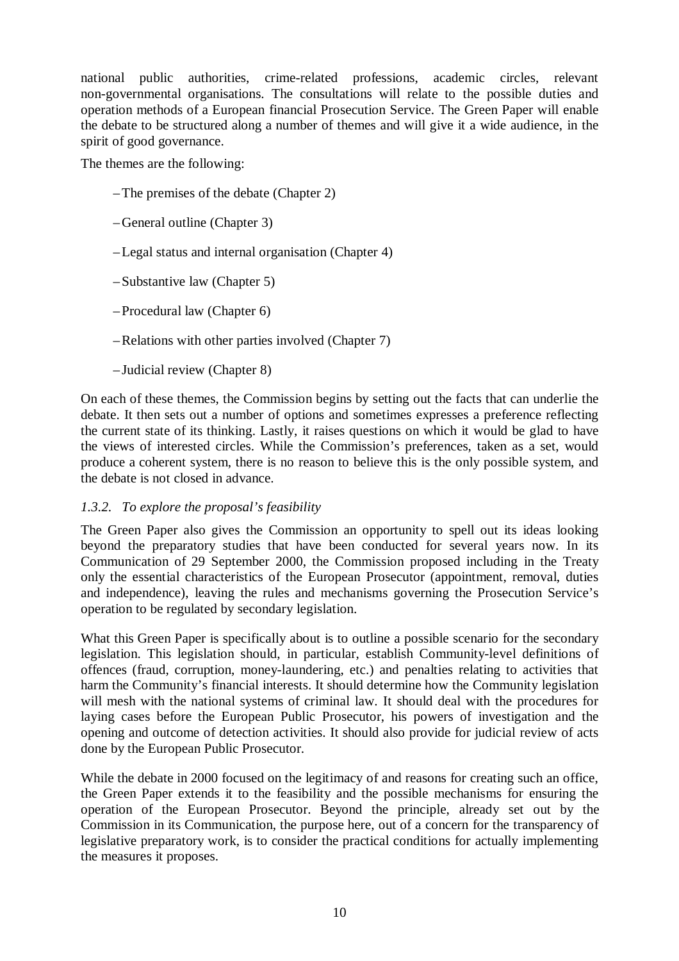national public authorities, crime-related professions, academic circles, relevant non-governmental organisations. The consultations will relate to the possible duties and operation methods of a European financial Prosecution Service. The Green Paper will enable the debate to be structured along a number of themes and will give it a wide audience, in the spirit of good governance.

The themes are the following:

- The premises of the debate (Chapter 2)
- General outline (Chapter 3)
- Legal status and internal organisation (Chapter 4)
- Substantive law (Chapter 5)
- Procedural law (Chapter 6)
- Relations with other parties involved (Chapter 7)
- Judicial review (Chapter 8)

On each of these themes, the Commission begins by setting out the facts that can underlie the debate. It then sets out a number of options and sometimes expresses a preference reflecting the current state of its thinking. Lastly, it raises questions on which it would be glad to have the views of interested circles. While the Commission's preferences, taken as a set, would produce a coherent system, there is no reason to believe this is the only possible system, and the debate is not closed in advance.

#### *1.3.2. To explore the proposal's feasibility*

The Green Paper also gives the Commission an opportunity to spell out its ideas looking beyond the preparatory studies that have been conducted for several years now. In its Communication of 29 September 2000, the Commission proposed including in the Treaty only the essential characteristics of the European Prosecutor (appointment, removal, duties and independence), leaving the rules and mechanisms governing the Prosecution Service's operation to be regulated by secondary legislation.

What this Green Paper is specifically about is to outline a possible scenario for the secondary legislation. This legislation should, in particular, establish Community-level definitions of offences (fraud, corruption, money-laundering, etc.) and penalties relating to activities that harm the Community's financial interests. It should determine how the Community legislation will mesh with the national systems of criminal law. It should deal with the procedures for laying cases before the European Public Prosecutor, his powers of investigation and the opening and outcome of detection activities. It should also provide for judicial review of acts done by the European Public Prosecutor.

While the debate in 2000 focused on the legitimacy of and reasons for creating such an office, the Green Paper extends it to the feasibility and the possible mechanisms for ensuring the operation of the European Prosecutor. Beyond the principle, already set out by the Commission in its Communication, the purpose here, out of a concern for the transparency of legislative preparatory work, is to consider the practical conditions for actually implementing the measures it proposes.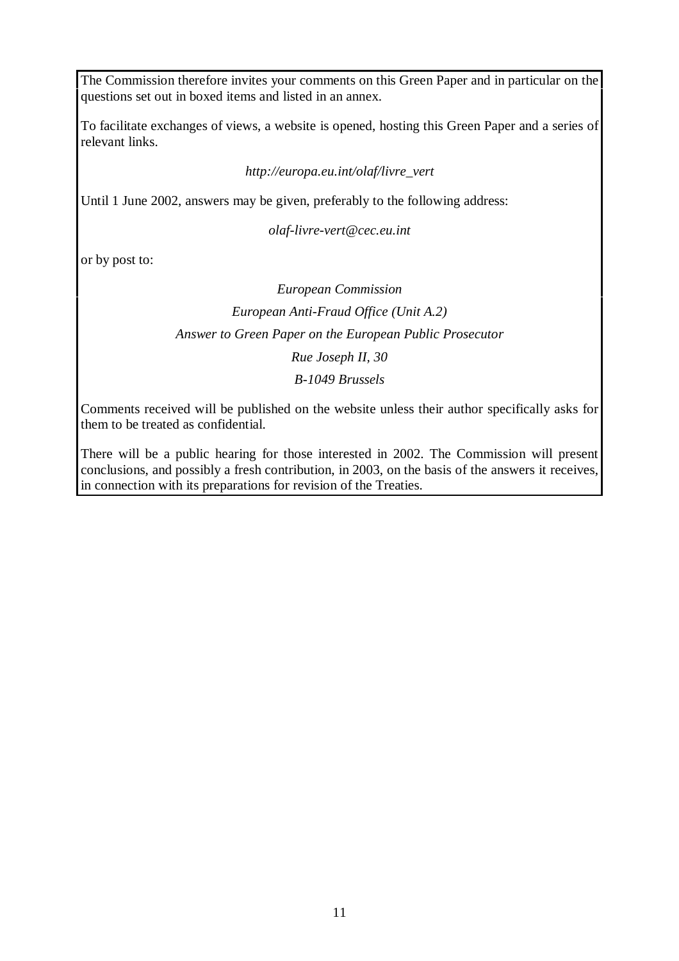The Commission therefore invites your comments on this Green Paper and in particular on the questions set out in boxed items and listed in an annex.

To facilitate exchanges of views, a website is opened, hosting this Green Paper and a series of relevant links.

#### *http://europa.eu.int/olaf/livre\_vert*

Until 1 June 2002, answers may be given, preferably to the following address:

*olaf-livre-vert@cec.eu.int*

or by post to:

# *European Commission European Anti-Fraud Office (Unit A.2) Answer to Green Paper on the European Public Prosecutor Rue Joseph II, 30 B-1049 Brussels*

Comments received will be published on the website unless their author specifically asks for them to be treated as confidential.

There will be a public hearing for those interested in 2002. The Commission will present conclusions, and possibly a fresh contribution, in 2003, on the basis of the answers it receives, in connection with its preparations for revision of the Treaties.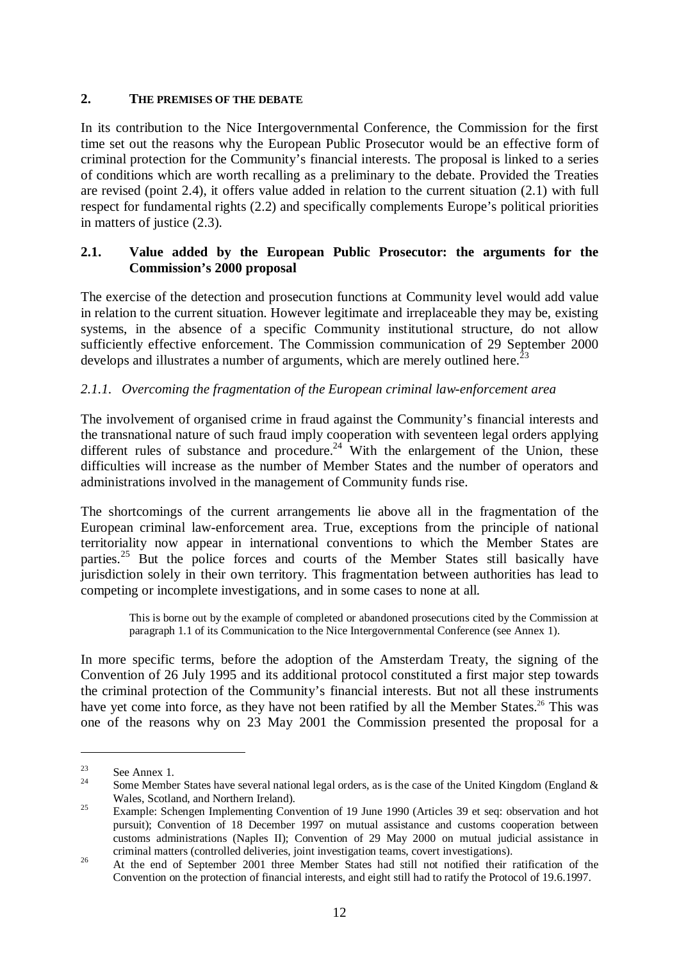#### **2. THE PREMISES OF THE DEBATE**

In its contribution to the Nice Intergovernmental Conference, the Commission for the first time set out the reasons why the European Public Prosecutor would be an effective form of criminal protection for the Community's financial interests. The proposal is linked to a series of conditions which are worth recalling as a preliminary to the debate. Provided the Treaties are revised (point 2.4), it offers value added in relation to the current situation (2.1) with full respect for fundamental rights (2.2) and specifically complements Europe's political priorities in matters of justice (2.3).

#### **2.1. Value added by the European Public Prosecutor: the arguments for the Commission's 2000 proposal**

The exercise of the detection and prosecution functions at Community level would add value in relation to the current situation. However legitimate and irreplaceable they may be, existing systems, in the absence of a specific Community institutional structure, do not allow sufficiently effective enforcement. The Commission communication of 29 September 2000 develops and illustrates a number of arguments, which are merely outlined here.<sup>2</sup>

#### *2.1.1. Overcoming the fragmentation of the European criminal law-enforcement area*

The involvement of organised crime in fraud against the Community's financial interests and the transnational nature of such fraud imply cooperation with seventeen legal orders applying different rules of substance and procedure.<sup>24</sup> With the enlargement of the Union, these difficulties will increase as the number of Member States and the number of operators and administrations involved in the management of Community funds rise.

The shortcomings of the current arrangements lie above all in the fragmentation of the European criminal law-enforcement area. True, exceptions from the principle of national territoriality now appear in international conventions to which the Member States are parties.<sup>25</sup> But the police forces and courts of the Member States still basically have jurisdiction solely in their own territory. This fragmentation between authorities has lead to competing or incomplete investigations, and in some cases to none at all.

This is borne out by the example of completed or abandoned prosecutions cited by the Commission at paragraph 1.1 of its Communication to the Nice Intergovernmental Conference (see Annex 1).

In more specific terms, before the adoption of the Amsterdam Treaty, the signing of the Convention of 26 July 1995 and its additional protocol constituted a first major step towards the criminal protection of the Community's financial interests. But not all these instruments have yet come into force, as they have not been ratified by all the Member States.<sup>26</sup> This was one of the reasons why on 23 May 2001 the Commission presented the proposal for a

<sup>&</sup>lt;sup>23</sup> See Annex 1.<br><sup>24</sup> Some Member States have several national legal orders, as is the case of the United Kingdom (England & Wales, Scotland, and Northern Ireland).<br><sup>25</sup> Example: Schengen Implementing Convention of 19 June 1990 (Articles 39 et seq: observation and hot

pursuit); Convention of 18 December 1997 on mutual assistance and customs cooperation between customs administrations (Naples II); Convention of 29 May 2000 on mutual judicial assistance in

criminal matters (controlled deliveries, joint investigation teams, covert investigations). <sup>26</sup> At the end of September 2001 three Member States had still not notified their ratification of the Convention on the protection of financial interests, and eight still had to ratify the Protocol of 19.6.1997.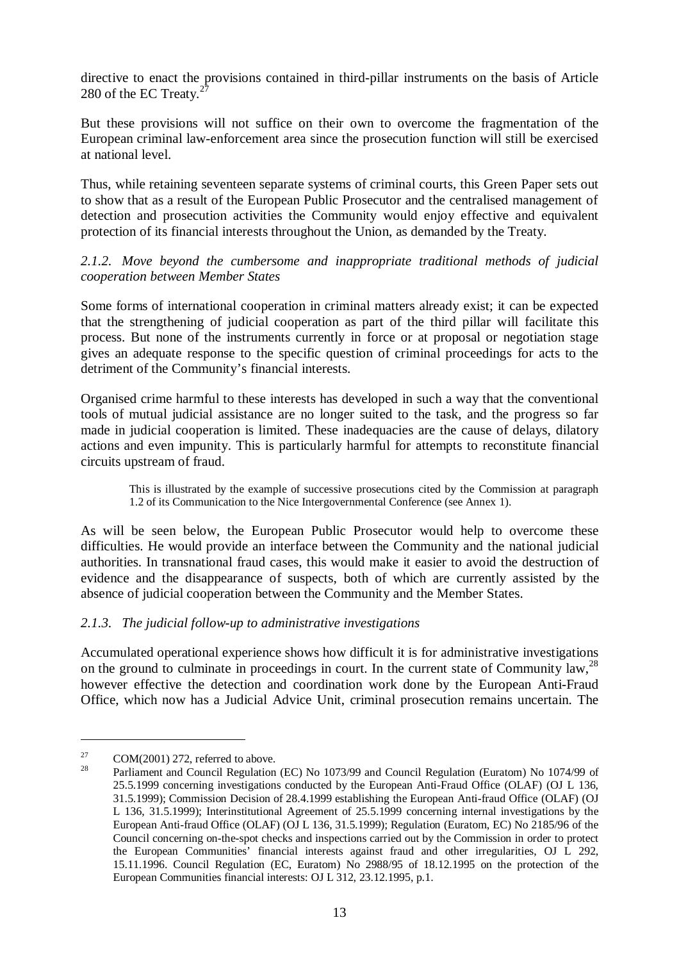directive to enact the provisions contained in third-pillar instruments on the basis of Article 280 of the EC Treaty. $2^2$ 

But these provisions will not suffice on their own to overcome the fragmentation of the European criminal law-enforcement area since the prosecution function will still be exercised at national level.

Thus, while retaining seventeen separate systems of criminal courts, this Green Paper sets out to show that as a result of the European Public Prosecutor and the centralised management of detection and prosecution activities the Community would enjoy effective and equivalent protection of its financial interests throughout the Union, as demanded by the Treaty.

*2.1.2. Move beyond the cumbersome and inappropriate traditional methods of judicial cooperation between Member States*

Some forms of international cooperation in criminal matters already exist; it can be expected that the strengthening of judicial cooperation as part of the third pillar will facilitate this process. But none of the instruments currently in force or at proposal or negotiation stage gives an adequate response to the specific question of criminal proceedings for acts to the detriment of the Community's financial interests.

Organised crime harmful to these interests has developed in such a way that the conventional tools of mutual judicial assistance are no longer suited to the task, and the progress so far made in judicial cooperation is limited. These inadequacies are the cause of delays, dilatory actions and even impunity. This is particularly harmful for attempts to reconstitute financial circuits upstream of fraud.

This is illustrated by the example of successive prosecutions cited by the Commission at paragraph 1.2 of its Communication to the Nice Intergovernmental Conference (see Annex 1).

As will be seen below, the European Public Prosecutor would help to overcome these difficulties. He would provide an interface between the Community and the national judicial authorities. In transnational fraud cases, this would make it easier to avoid the destruction of evidence and the disappearance of suspects, both of which are currently assisted by the absence of judicial cooperation between the Community and the Member States.

#### *2.1.3. The judicial follow-up to administrative investigations*

Accumulated operational experience shows how difficult it is for administrative investigations on the ground to culminate in proceedings in court. In the current state of Community law,  $^{28}$ however effective the detection and coordination work done by the European Anti-Fraud Office, which now has a Judicial Advice Unit, criminal prosecution remains uncertain. The

<sup>&</sup>lt;sup>27</sup> COM(2001) 272, referred to above.<br><sup>28</sup> Parliament and Council Regulation (EC) No 1073/99 and Council Regulation (Euratom) No 1074/99 of 25.5.1999 concerning investigations conducted by the European Anti-Fraud Office (OLAF) (OJ L 136, 31.5.1999); Commission Decision of 28.4.1999 establishing the European Anti-fraud Office (OLAF) (OJ L 136, 31.5.1999); Interinstitutional Agreement of 25.5.1999 concerning internal investigations by the European Anti-fraud Office (OLAF) (OJ L 136, 31.5.1999); Regulation (Euratom, EC) No 2185/96 of the Council concerning on-the-spot checks and inspections carried out by the Commission in order to protect the European Communities' financial interests against fraud and other irregularities, OJ L 292, 15.11.1996. Council Regulation (EC, Euratom) No 2988/95 of 18.12.1995 on the protection of the European Communities financial interests: OJ L 312, 23.12.1995, p.1.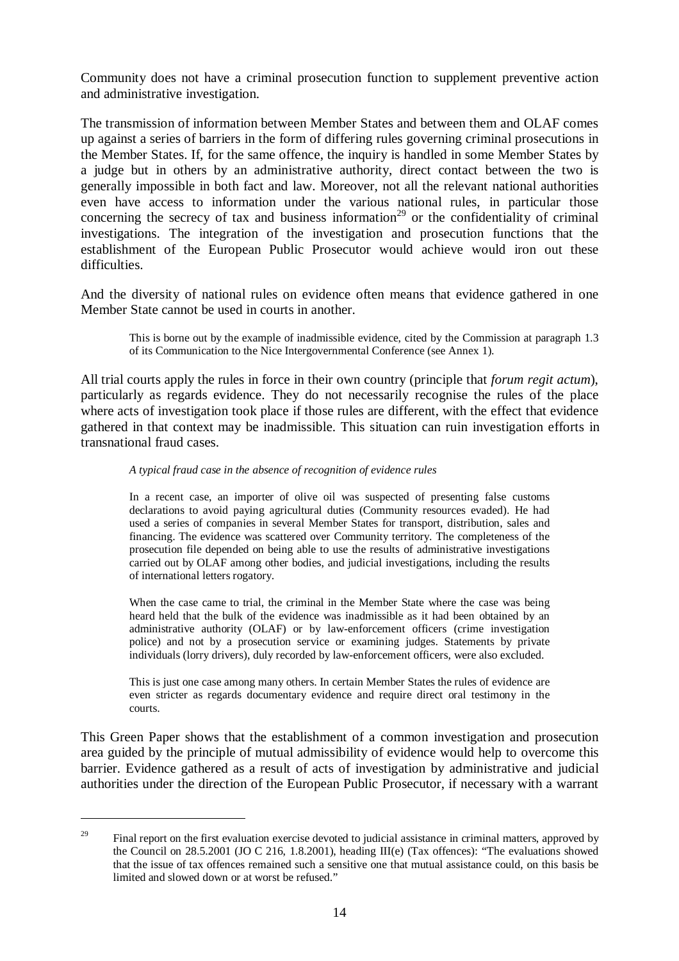Community does not have a criminal prosecution function to supplement preventive action and administrative investigation.

The transmission of information between Member States and between them and OLAF comes up against a series of barriers in the form of differing rules governing criminal prosecutions in the Member States. If, for the same offence, the inquiry is handled in some Member States by a judge but in others by an administrative authority, direct contact between the two is generally impossible in both fact and law. Moreover, not all the relevant national authorities even have access to information under the various national rules, in particular those concerning the secrecy of tax and business information<sup>29</sup> or the confidentiality of criminal investigations. The integration of the investigation and prosecution functions that the establishment of the European Public Prosecutor would achieve would iron out these difficulties.

And the diversity of national rules on evidence often means that evidence gathered in one Member State cannot be used in courts in another.

This is borne out by the example of inadmissible evidence, cited by the Commission at paragraph 1.3 of its Communication to the Nice Intergovernmental Conference (see Annex 1).

All trial courts apply the rules in force in their own country (principle that *forum regit actum*), particularly as regards evidence. They do not necessarily recognise the rules of the place where acts of investigation took place if those rules are different, with the effect that evidence gathered in that context may be inadmissible. This situation can ruin investigation efforts in transnational fraud cases.

#### *A typical fraud case in the absence of recognition of evidence rules*

In a recent case, an importer of olive oil was suspected of presenting false customs declarations to avoid paying agricultural duties (Community resources evaded). He had used a series of companies in several Member States for transport, distribution, sales and financing. The evidence was scattered over Community territory. The completeness of the prosecution file depended on being able to use the results of administrative investigations carried out by OLAF among other bodies, and judicial investigations, including the results of international letters rogatory.

When the case came to trial, the criminal in the Member State where the case was being heard held that the bulk of the evidence was inadmissible as it had been obtained by an administrative authority (OLAF) or by law-enforcement officers (crime investigation police) and not by a prosecution service or examining judges. Statements by private individuals (lorry drivers), duly recorded by law-enforcement officers, were also excluded.

This is just one case among many others. In certain Member States the rules of evidence are even stricter as regards documentary evidence and require direct oral testimony in the courts.

This Green Paper shows that the establishment of a common investigation and prosecution area guided by the principle of mutual admissibility of evidence would help to overcome this barrier. Evidence gathered as a result of acts of investigation by administrative and judicial authorities under the direction of the European Public Prosecutor, if necessary with a warrant

<sup>&</sup>lt;sup>29</sup> Final report on the first evaluation exercise devoted to judicial assistance in criminal matters, approved by the Council on 28.5.2001 (JO C 216, 1.8.2001), heading III(e) (Tax offences): "The evaluations showed that the issue of tax offences remained such a sensitive one that mutual assistance could, on this basis be limited and slowed down or at worst be refused."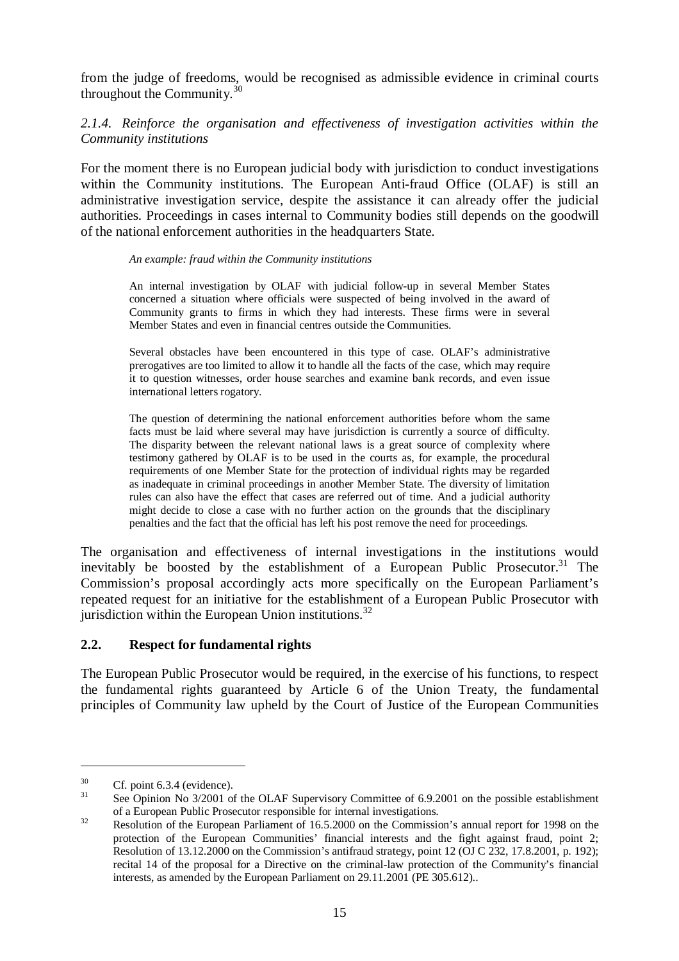from the judge of freedoms, would be recognised as admissible evidence in criminal courts throughout the Community.<sup>30</sup>

# *2.1.4. Reinforce the organisation and effectiveness of investigation activities within the Community institutions*

For the moment there is no European judicial body with jurisdiction to conduct investigations within the Community institutions. The European Anti-fraud Office (OLAF) is still an administrative investigation service, despite the assistance it can already offer the judicial authorities. Proceedings in cases internal to Community bodies still depends on the goodwill of the national enforcement authorities in the headquarters State.

#### *An example: fraud within the Community institutions*

An internal investigation by OLAF with judicial follow-up in several Member States concerned a situation where officials were suspected of being involved in the award of Community grants to firms in which they had interests. These firms were in several Member States and even in financial centres outside the Communities.

Several obstacles have been encountered in this type of case. OLAF's administrative prerogatives are too limited to allow it to handle all the facts of the case, which may require it to question witnesses, order house searches and examine bank records, and even issue international letters rogatory.

The question of determining the national enforcement authorities before whom the same facts must be laid where several may have jurisdiction is currently a source of difficulty. The disparity between the relevant national laws is a great source of complexity where testimony gathered by OLAF is to be used in the courts as, for example, the procedural requirements of one Member State for the protection of individual rights may be regarded as inadequate in criminal proceedings in another Member State. The diversity of limitation rules can also have the effect that cases are referred out of time. And a judicial authority might decide to close a case with no further action on the grounds that the disciplinary penalties and the fact that the official has left his post remove the need for proceedings.

The organisation and effectiveness of internal investigations in the institutions would inevitably be boosted by the establishment of a European Public Prosecutor.<sup>31</sup> The Commission's proposal accordingly acts more specifically on the European Parliament's repeated request for an initiative for the establishment of a European Public Prosecutor with jurisdiction within the European Union institutions. $32$ 

#### **2.2. Respect for fundamental rights**

The European Public Prosecutor would be required, in the exercise of his functions, to respect the fundamental rights guaranteed by Article 6 of the Union Treaty, the fundamental principles of Community law upheld by the Court of Justice of the European Communities

<sup>&</sup>lt;sup>30</sup> Cf. point 6.3.4 (evidence).<br><sup>31</sup> See Opinion No  $3/2001$  of the OLAF Supervisory Committee of 6.9.2001 on the possible establishment of a European Public Prosecutor responsible for internal investigations.<br><sup>32</sup> Resolution of the European Parliament of 16.5.2000 on the Commission's annual report for 1998 on the

protection of the European Communities' financial interests and the fight against fraud, point 2; Resolution of 13.12.2000 on the Commission's antifraud strategy, point 12 (OJ C 232, 17.8.2001, p. 192); recital 14 of the proposal for a Directive on the criminal-law protection of the Community's financial interests, as amended by the European Parliament on 29.11.2001 (PE 305.612)..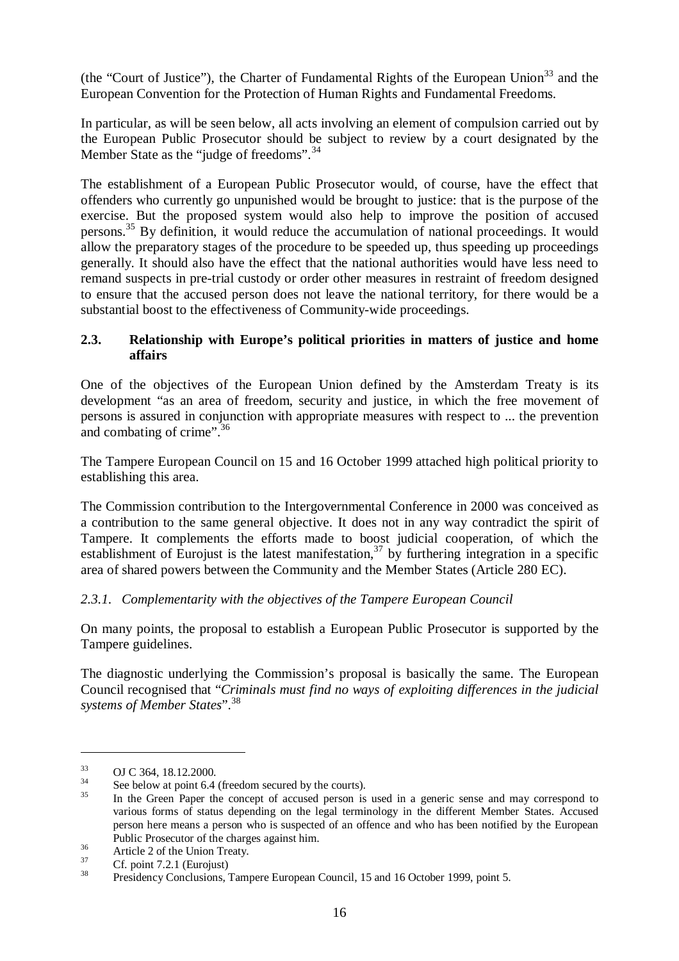(the "Court of Justice"), the Charter of Fundamental Rights of the European Union<sup>33</sup> and the European Convention for the Protection of Human Rights and Fundamental Freedoms.

In particular, as will be seen below, all acts involving an element of compulsion carried out by the European Public Prosecutor should be subject to review by a court designated by the Member State as the "judge of freedoms".<sup>34</sup>

The establishment of a European Public Prosecutor would, of course, have the effect that offenders who currently go unpunished would be brought to justice: that is the purpose of the exercise. But the proposed system would also help to improve the position of accused persons.<sup>35</sup> By definition, it would reduce the accumulation of national proceedings. It would allow the preparatory stages of the procedure to be speeded up, thus speeding up proceedings generally. It should also have the effect that the national authorities would have less need to remand suspects in pre-trial custody or order other measures in restraint of freedom designed to ensure that the accused person does not leave the national territory, for there would be a substantial boost to the effectiveness of Community-wide proceedings.

# **2.3. Relationship with Europe's political priorities in matters of justice and home affairs**

One of the objectives of the European Union defined by the Amsterdam Treaty is its development "as an area of freedom, security and justice, in which the free movement of persons is assured in conjunction with appropriate measures with respect to ... the prevention and combating of crime".<sup>36</sup>

The Tampere European Council on 15 and 16 October 1999 attached high political priority to establishing this area.

The Commission contribution to the Intergovernmental Conference in 2000 was conceived as a contribution to the same general objective. It does not in any way contradict the spirit of Tampere. It complements the efforts made to boost judicial cooperation, of which the establishment of Eurojust is the latest manifestation,  $37$  by furthering integration in a specific area of shared powers between the Community and the Member States (Article 280 EC).

# *2.3.1. Complementarity with the objectives of the Tampere European Council*

On many points, the proposal to establish a European Public Prosecutor is supported by the Tampere guidelines.

The diagnostic underlying the Commission's proposal is basically the same. The European Council recognised that "*Criminals must find no ways of exploiting differences in the judicial systems of Member States*".<sup>38</sup>

 $33$  OJ C 364, 18.12.2000.<br><sup>34</sup> See below at point 6.4 (freedom secured by the courts).<br><sup>35</sup> In the Green Paper the concept of accused person is used in a generic sense and may correspond to various forms of status depending on the legal terminology in the different Member States. Accused person here means a person who is suspected of an offence and who has been notified by the European

Public Prosecutor of the charges against him.<br>36 Article 2 of the Union Treaty.<br>37 Cf. point 7.2.1 (Eurojust)<br>38 Presidency Conclusions, Tampere European Council, 15 and 16 October 1999, point 5.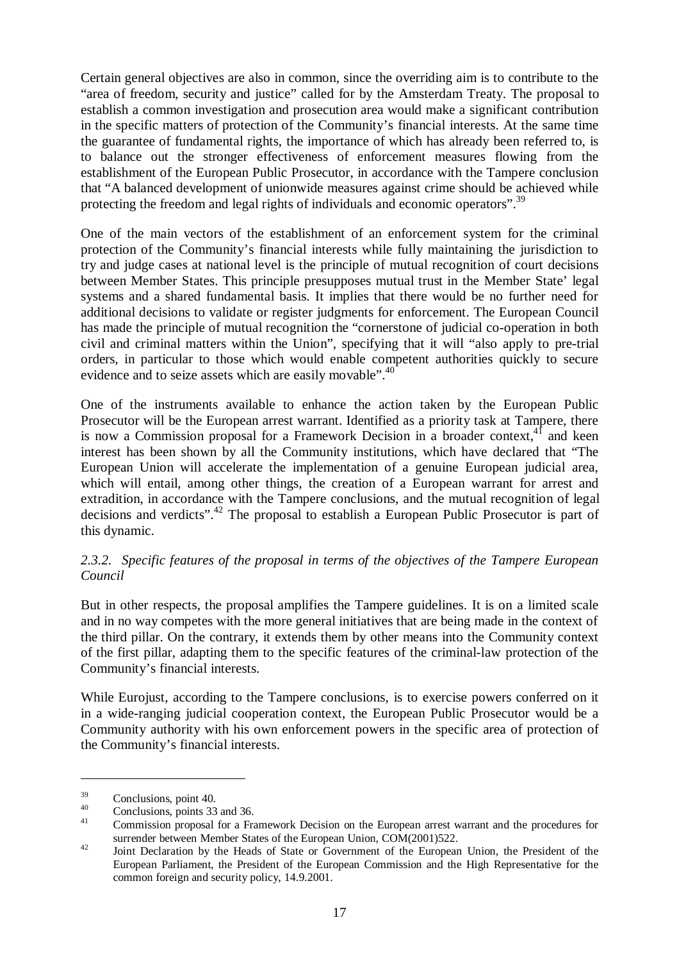Certain general objectives are also in common, since the overriding aim is to contribute to the "area of freedom, security and justice" called for by the Amsterdam Treaty. The proposal to establish a common investigation and prosecution area would make a significant contribution in the specific matters of protection of the Community's financial interests. At the same time the guarantee of fundamental rights, the importance of which has already been referred to, is to balance out the stronger effectiveness of enforcement measures flowing from the establishment of the European Public Prosecutor, in accordance with the Tampere conclusion that "A balanced development of unionwide measures against crime should be achieved while protecting the freedom and legal rights of individuals and economic operators".<sup>39</sup>

One of the main vectors of the establishment of an enforcement system for the criminal protection of the Community's financial interests while fully maintaining the jurisdiction to try and judge cases at national level is the principle of mutual recognition of court decisions between Member States. This principle presupposes mutual trust in the Member State' legal systems and a shared fundamental basis. It implies that there would be no further need for additional decisions to validate or register judgments for enforcement. The European Council has made the principle of mutual recognition the "cornerstone of judicial co-operation in both civil and criminal matters within the Union", specifying that it will "also apply to pre-trial orders, in particular to those which would enable competent authorities quickly to secure evidence and to seize assets which are easily movable".<sup>40</sup>

One of the instruments available to enhance the action taken by the European Public Prosecutor will be the European arrest warrant. Identified as a priority task at Tampere, there is now a Commission proposal for a Framework Decision in a broader context,  $4^{\circ}$  and keen interest has been shown by all the Community institutions, which have declared that "The European Union will accelerate the implementation of a genuine European judicial area, which will entail, among other things, the creation of a European warrant for arrest and extradition, in accordance with the Tampere conclusions, and the mutual recognition of legal decisions and verdicts".<sup>42</sup> The proposal to establish a European Public Prosecutor is part of this dynamic.

#### *2.3.2. Specific features of the proposal in terms of the objectives of the Tampere European Council*

But in other respects, the proposal amplifies the Tampere guidelines. It is on a limited scale and in no way competes with the more general initiatives that are being made in the context of the third pillar. On the contrary, it extends them by other means into the Community context of the first pillar, adapting them to the specific features of the criminal-law protection of the Community's financial interests.

While Eurojust, according to the Tampere conclusions, is to exercise powers conferred on it in a wide-ranging judicial cooperation context, the European Public Prosecutor would be a Community authority with his own enforcement powers in the specific area of protection of the Community's financial interests.

 $\frac{39}{40}$  Conclusions, point 40.<br>
Conclusions, points 33 and 36.<br>
Commission proposal for a Framework Decision on the European arrest warrant and the procedures for

surrender between Member States of the European Union, COM(2001)522.<br>
4<sup>2</sup> Joint Declaration by the Heads of State or Government of the European Union, the President of the European Parliament, the President of the European Commission and the High Representative for the common foreign and security policy, 14.9.2001.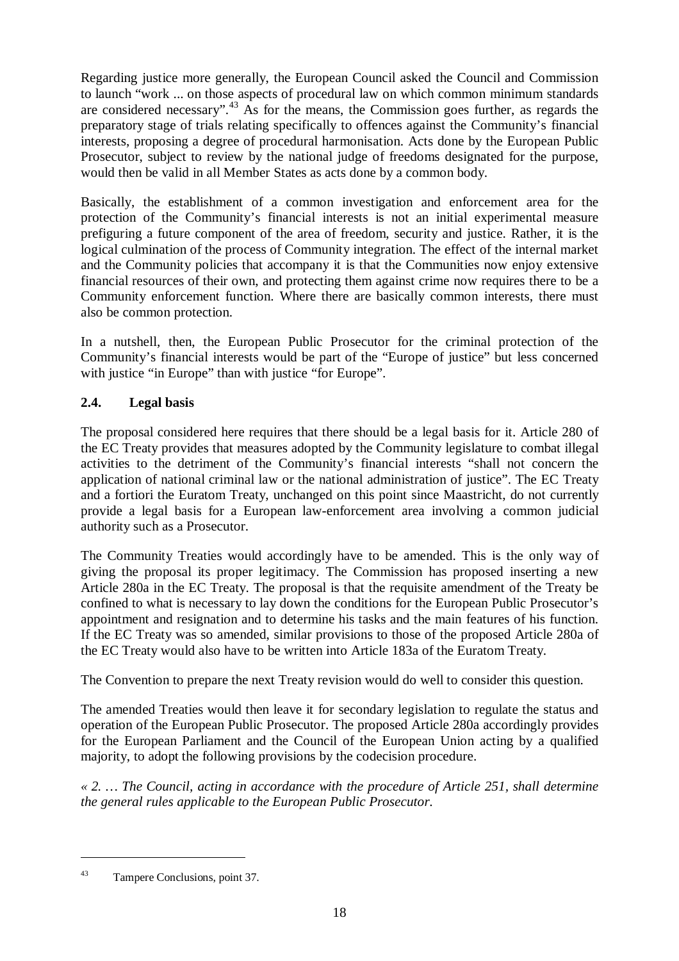Regarding justice more generally, the European Council asked the Council and Commission to launch "work ... on those aspects of procedural law on which common minimum standards are considered necessary".<sup>43</sup> As for the means, the Commission goes further, as regards the preparatory stage of trials relating specifically to offences against the Community's financial interests, proposing a degree of procedural harmonisation. Acts done by the European Public Prosecutor, subject to review by the national judge of freedoms designated for the purpose, would then be valid in all Member States as acts done by a common body.

Basically, the establishment of a common investigation and enforcement area for the protection of the Community's financial interests is not an initial experimental measure prefiguring a future component of the area of freedom, security and justice. Rather, it is the logical culmination of the process of Community integration. The effect of the internal market and the Community policies that accompany it is that the Communities now enjoy extensive financial resources of their own, and protecting them against crime now requires there to be a Community enforcement function. Where there are basically common interests, there must also be common protection.

In a nutshell, then, the European Public Prosecutor for the criminal protection of the Community's financial interests would be part of the "Europe of justice" but less concerned with justice "in Europe" than with justice "for Europe".

# **2.4. Legal basis**

The proposal considered here requires that there should be a legal basis for it. Article 280 of the EC Treaty provides that measures adopted by the Community legislature to combat illegal activities to the detriment of the Community's financial interests "shall not concern the application of national criminal law or the national administration of justice". The EC Treaty and a fortiori the Euratom Treaty, unchanged on this point since Maastricht, do not currently provide a legal basis for a European law-enforcement area involving a common judicial authority such as a Prosecutor.

The Community Treaties would accordingly have to be amended. This is the only way of giving the proposal its proper legitimacy. The Commission has proposed inserting a new Article 280a in the EC Treaty. The proposal is that the requisite amendment of the Treaty be confined to what is necessary to lay down the conditions for the European Public Prosecutor's appointment and resignation and to determine his tasks and the main features of his function. If the EC Treaty was so amended, similar provisions to those of the proposed Article 280a of the EC Treaty would also have to be written into Article 183a of the Euratom Treaty.

The Convention to prepare the next Treaty revision would do well to consider this question.

The amended Treaties would then leave it for secondary legislation to regulate the status and operation of the European Public Prosecutor. The proposed Article 280a accordingly provides for the European Parliament and the Council of the European Union acting by a qualified majority, to adopt the following provisions by the codecision procedure.

*« 2. … The Council, acting in accordance with the procedure of Article 251, shall determine the general rules applicable to the European Public Prosecutor.*

<sup>43</sup> Tampere Conclusions, point 37.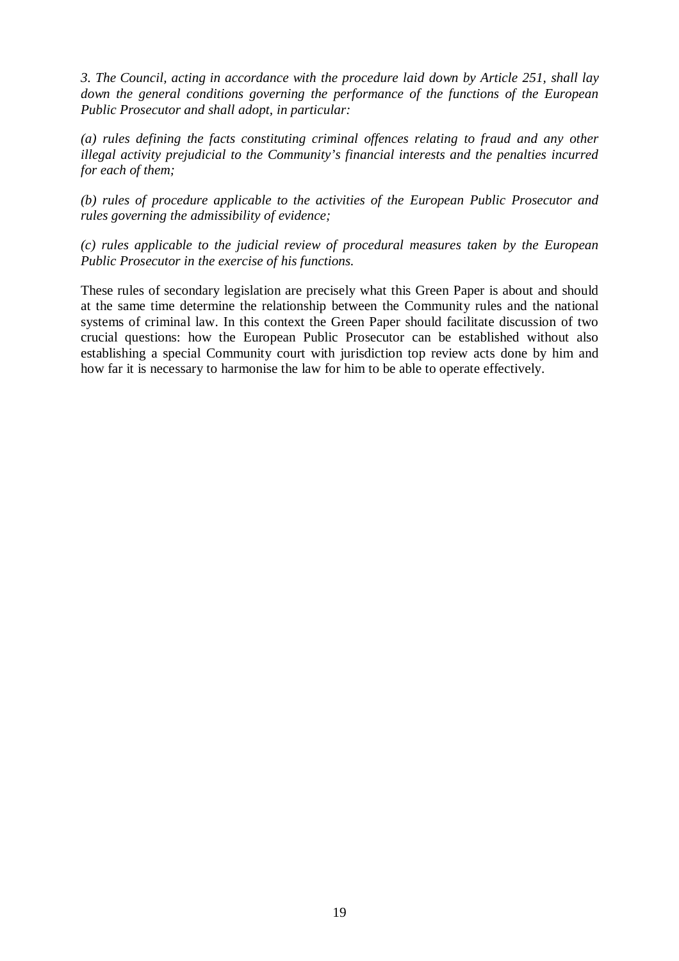*3. The Council, acting in accordance with the procedure laid down by Article 251, shall lay down the general conditions governing the performance of the functions of the European Public Prosecutor and shall adopt, in particular:*

*(a) rules defining the facts constituting criminal offences relating to fraud and any other illegal activity prejudicial to the Community's financial interests and the penalties incurred for each of them;*

*(b) rules of procedure applicable to the activities of the European Public Prosecutor and rules governing the admissibility of evidence;*

*(c) rules applicable to the judicial review of procedural measures taken by the European Public Prosecutor in the exercise of his functions.*

These rules of secondary legislation are precisely what this Green Paper is about and should at the same time determine the relationship between the Community rules and the national systems of criminal law. In this context the Green Paper should facilitate discussion of two crucial questions: how the European Public Prosecutor can be established without also establishing a special Community court with jurisdiction top review acts done by him and how far it is necessary to harmonise the law for him to be able to operate effectively.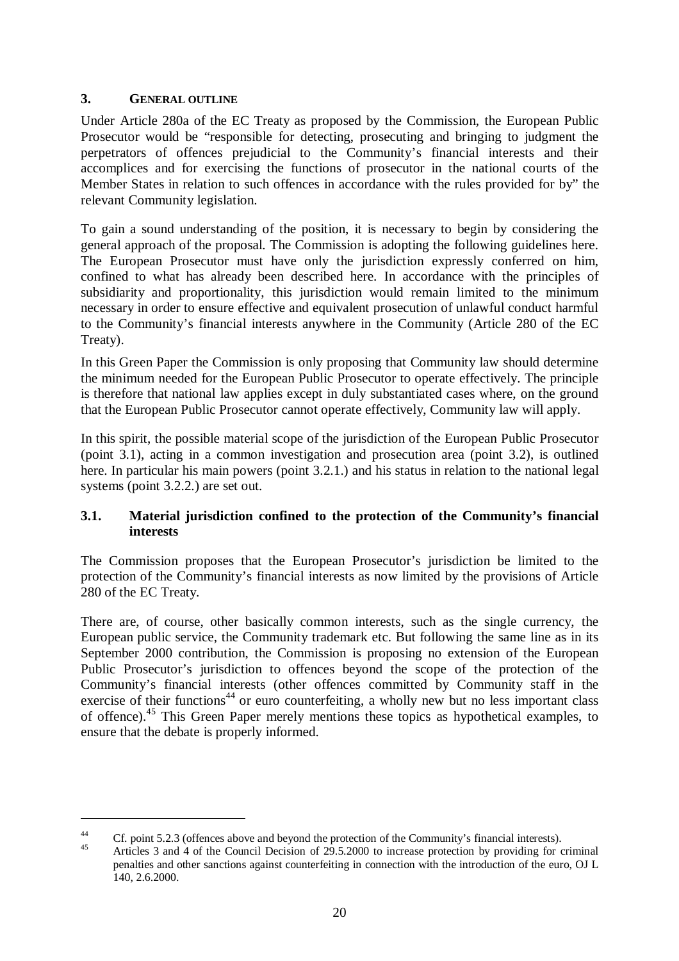#### **3. GENERAL OUTLINE**

Under Article 280a of the EC Treaty as proposed by the Commission, the European Public Prosecutor would be "responsible for detecting, prosecuting and bringing to judgment the perpetrators of offences prejudicial to the Community's financial interests and their accomplices and for exercising the functions of prosecutor in the national courts of the Member States in relation to such offences in accordance with the rules provided for by" the relevant Community legislation.

To gain a sound understanding of the position, it is necessary to begin by considering the general approach of the proposal. The Commission is adopting the following guidelines here. The European Prosecutor must have only the jurisdiction expressly conferred on him, confined to what has already been described here. In accordance with the principles of subsidiarity and proportionality, this jurisdiction would remain limited to the minimum necessary in order to ensure effective and equivalent prosecution of unlawful conduct harmful to the Community's financial interests anywhere in the Community (Article 280 of the EC Treaty).

In this Green Paper the Commission is only proposing that Community law should determine the minimum needed for the European Public Prosecutor to operate effectively. The principle is therefore that national law applies except in duly substantiated cases where, on the ground that the European Public Prosecutor cannot operate effectively, Community law will apply.

In this spirit, the possible material scope of the jurisdiction of the European Public Prosecutor (point 3.1), acting in a common investigation and prosecution area (point 3.2), is outlined here. In particular his main powers (point 3.2.1.) and his status in relation to the national legal systems (point 3.2.2.) are set out.

# **3.1. Material jurisdiction confined to the protection of the Community's financial interests**

The Commission proposes that the European Prosecutor's jurisdiction be limited to the protection of the Community's financial interests as now limited by the provisions of Article 280 of the EC Treaty.

There are, of course, other basically common interests, such as the single currency, the European public service, the Community trademark etc. But following the same line as in its September 2000 contribution, the Commission is proposing no extension of the European Public Prosecutor's jurisdiction to offences beyond the scope of the protection of the Community's financial interests (other offences committed by Community staff in the exercise of their functions<sup>44</sup> or euro counterfeiting, a wholly new but no less important class of offence).<sup>45</sup> This Green Paper merely mentions these topics as hypothetical examples, to ensure that the debate is properly informed.

<sup>&</sup>lt;sup>44</sup> Cf. point 5.2.3 (offences above and beyond the protection of the Community's financial interests).<br><sup>45</sup> Articles 3 and 4 of the Council Decision of 29.5.2000 to increase protection by providing for criminal penalties and other sanctions against counterfeiting in connection with the introduction of the euro, OJ L 140, 2.6.2000.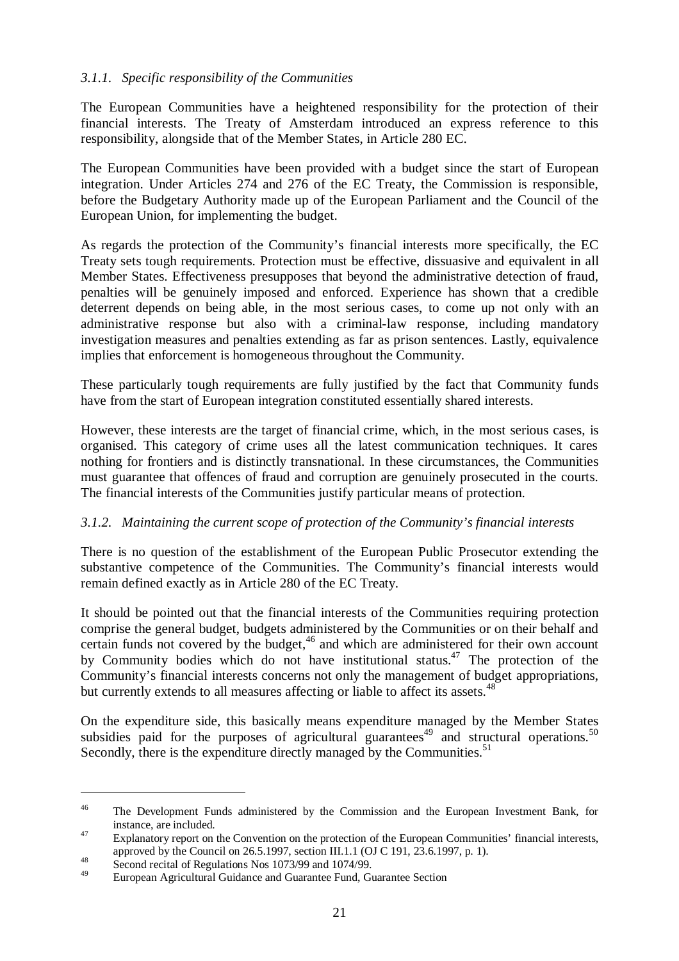#### *3.1.1. Specific responsibility of the Communities*

The European Communities have a heightened responsibility for the protection of their financial interests. The Treaty of Amsterdam introduced an express reference to this responsibility, alongside that of the Member States, in Article 280 EC.

The European Communities have been provided with a budget since the start of European integration. Under Articles 274 and 276 of the EC Treaty, the Commission is responsible, before the Budgetary Authority made up of the European Parliament and the Council of the European Union, for implementing the budget.

As regards the protection of the Community's financial interests more specifically, the EC Treaty sets tough requirements. Protection must be effective, dissuasive and equivalent in all Member States. Effectiveness presupposes that beyond the administrative detection of fraud, penalties will be genuinely imposed and enforced. Experience has shown that a credible deterrent depends on being able, in the most serious cases, to come up not only with an administrative response but also with a criminal-law response, including mandatory investigation measures and penalties extending as far as prison sentences. Lastly, equivalence implies that enforcement is homogeneous throughout the Community.

These particularly tough requirements are fully justified by the fact that Community funds have from the start of European integration constituted essentially shared interests.

However, these interests are the target of financial crime, which, in the most serious cases, is organised. This category of crime uses all the latest communication techniques. It cares nothing for frontiers and is distinctly transnational. In these circumstances, the Communities must guarantee that offences of fraud and corruption are genuinely prosecuted in the courts. The financial interests of the Communities justify particular means of protection.

#### *3.1.2. Maintaining the current scope of protection of the Community's financial interests*

There is no question of the establishment of the European Public Prosecutor extending the substantive competence of the Communities. The Community's financial interests would remain defined exactly as in Article 280 of the EC Treaty.

It should be pointed out that the financial interests of the Communities requiring protection comprise the general budget, budgets administered by the Communities or on their behalf and certain funds not covered by the budget, $46$  and which are administered for their own account by Community bodies which do not have institutional status.<sup>47</sup> The protection of the Community's financial interests concerns not only the management of budget appropriations, but currently extends to all measures affecting or liable to affect its assets.<sup>48</sup>

On the expenditure side, this basically means expenditure managed by the Member States subsidies paid for the purposes of agricultural guarantees<sup>49</sup> and structural operations.<sup>50</sup> Secondly, there is the expenditure directly managed by the Communities.<sup>51</sup>

<sup>&</sup>lt;sup>46</sup> The Development Funds administered by the Commission and the European Investment Bank, for instance, are included.<br>
Explanatory report on the Convention on the protection of the European Communities' financial interests,

approved by the Council on 26.5.1997, section III.1.1 (OJ C 191, 23.6.1997, p. 1).<br>Second recital of Regulations Nos 1073/99 and 1074/99.

<sup>49</sup> European Agricultural Guidance and Guarantee Fund, Guarantee Section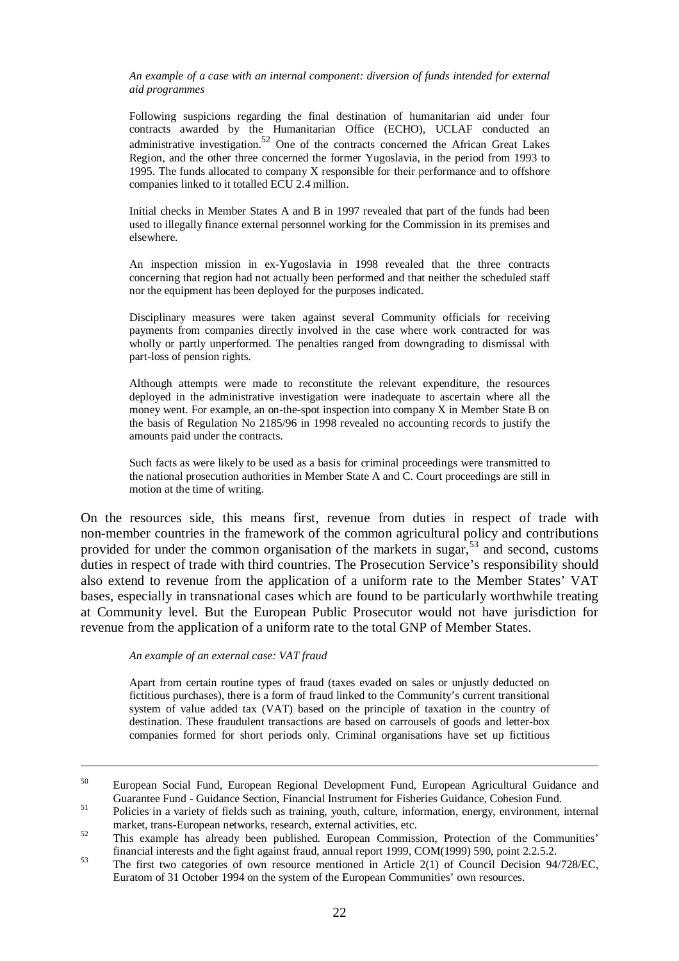*An example of a case with an internal component: diversion of funds intended for external aid programmes*

Following suspicions regarding the final destination of humanitarian aid under four contracts awarded by the Humanitarian Office (ECHO), UCLAF conducted an administrative investigation.<sup>52</sup> One of the contracts concerned the African Great Lakes Region, and the other three concerned the former Yugoslavia, in the period from 1993 to 1995. The funds allocated to company X responsible for their performance and to offshore companies linked to it totalled ECU 2.4 million.

Initial checks in Member States A and B in 1997 revealed that part of the funds had been used to illegally finance external personnel working for the Commission in its premises and elsewhere.

An inspection mission in ex-Yugoslavia in 1998 revealed that the three contracts concerning that region had not actually been performed and that neither the scheduled staff nor the equipment has been deployed for the purposes indicated.

Disciplinary measures were taken against several Community officials for receiving payments from companies directly involved in the case where work contracted for was wholly or partly unperformed. The penalties ranged from downgrading to dismissal with part-loss of pension rights.

Although attempts were made to reconstitute the relevant expenditure, the resources deployed in the administrative investigation were inadequate to ascertain where all the money went. For example, an on-the-spot inspection into company X in Member State B on the basis of Regulation No 2185/96 in 1998 revealed no accounting records to justify the amounts paid under the contracts.

Such facts as were likely to be used as a basis for criminal proceedings were transmitted to the national prosecution authorities in Member State A and C. Court proceedings are still in motion at the time of writing.

On the resources side, this means first, revenue from duties in respect of trade with non-member countries in the framework of the common agricultural policy and contributions provided for under the common organisation of the markets in sugar,  $53$  and second, customs duties in respect of trade with third countries. The Prosecution Service's responsibility should also extend to revenue from the application of a uniform rate to the Member States' VAT bases, especially in transnational cases which are found to be particularly worthwhile treating at Community level. But the European Public Prosecutor would not have jurisdiction for revenue from the application of a uniform rate to the total GNP of Member States.

*An example of an external case: VAT fraud*

Apart from certain routine types of fraud (taxes evaded on sales or unjustly deducted on fictitious purchases), there is a form of fraud linked to the Community's current transitional system of value added tax (VAT) based on the principle of taxation in the country of destination. These fraudulent transactions are based on carrousels of goods and letter-box companies formed for short periods only. Criminal organisations have set up fictitious

<sup>50</sup> European Social Fund, European Regional Development Fund, European Agricultural Guidance and Guarantee Fund - Guidance Section, Financial Instrument for Fisheries Guidance, Cohesion Fund.<br><sup>51</sup> Policies in a variety of fields such as training, youth, culture, information, energy, environment, internal

market, trans-European networks, research, external activities, etc.<br>
This example has already been published. European Commission, Protection of the Communities'

financial interests and the fight against fraud, annual report 1999, COM(1999) 590, point 2.2.5.2.<br><sup>53</sup> The first two categories of own resource mentioned in Article 2(1) of Council Decision 94/728/EC, Euratom of 31 October 1994 on the system of the European Communities' own resources.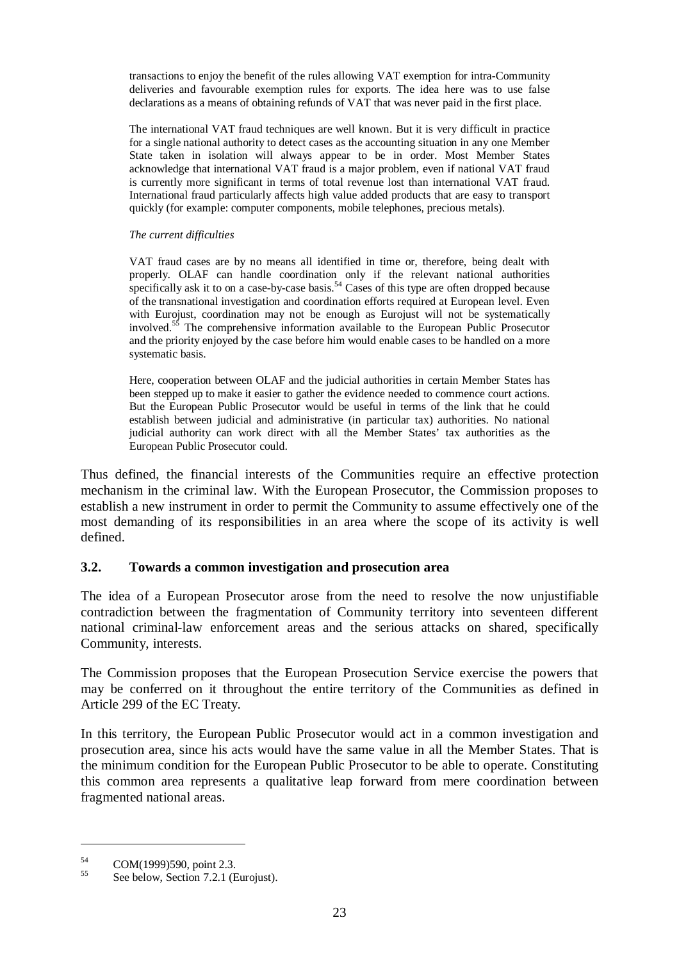transactions to enjoy the benefit of the rules allowing VAT exemption for intra-Community deliveries and favourable exemption rules for exports. The idea here was to use false declarations as a means of obtaining refunds of VAT that was never paid in the first place.

The international VAT fraud techniques are well known. But it is very difficult in practice for a single national authority to detect cases as the accounting situation in any one Member State taken in isolation will always appear to be in order. Most Member States acknowledge that international VAT fraud is a major problem, even if national VAT fraud is currently more significant in terms of total revenue lost than international VAT fraud. International fraud particularly affects high value added products that are easy to transport quickly (for example: computer components, mobile telephones, precious metals).

#### *The current difficulties*

VAT fraud cases are by no means all identified in time or, therefore, being dealt with properly. OLAF can handle coordination only if the relevant national authorities specifically ask it to on a case-by-case basis.<sup>54</sup> Cases of this type are often dropped because of the transnational investigation and coordination efforts required at European level. Even with Eurojust, coordination may not be enough as Eurojust will not be systematically involved.<sup>55</sup> The comprehensive information available to the European Public Prosecutor and the priority enjoyed by the case before him would enable cases to be handled on a more systematic basis.

Here, cooperation between OLAF and the judicial authorities in certain Member States has been stepped up to make it easier to gather the evidence needed to commence court actions. But the European Public Prosecutor would be useful in terms of the link that he could establish between judicial and administrative (in particular tax) authorities. No national judicial authority can work direct with all the Member States' tax authorities as the European Public Prosecutor could.

Thus defined, the financial interests of the Communities require an effective protection mechanism in the criminal law. With the European Prosecutor, the Commission proposes to establish a new instrument in order to permit the Community to assume effectively one of the most demanding of its responsibilities in an area where the scope of its activity is well defined.

#### **3.2. Towards a common investigation and prosecution area**

The idea of a European Prosecutor arose from the need to resolve the now unjustifiable contradiction between the fragmentation of Community territory into seventeen different national criminal-law enforcement areas and the serious attacks on shared, specifically Community, interests.

The Commission proposes that the European Prosecution Service exercise the powers that may be conferred on it throughout the entire territory of the Communities as defined in Article 299 of the EC Treaty.

In this territory, the European Public Prosecutor would act in a common investigation and prosecution area, since his acts would have the same value in all the Member States. That is the minimum condition for the European Public Prosecutor to be able to operate. Constituting this common area represents a qualitative leap forward from mere coordination between fragmented national areas.

<sup>&</sup>lt;sup>54</sup> COM(1999)590, point 2.3.<br><sup>55</sup> See below, Section 7.2.1 (Eurojust).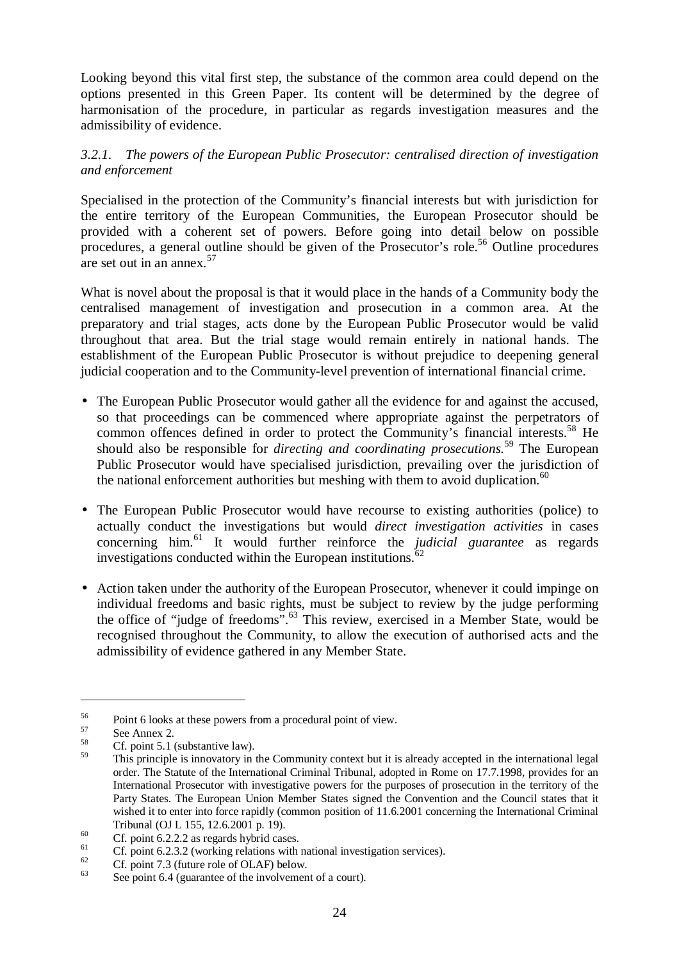Looking beyond this vital first step, the substance of the common area could depend on the options presented in this Green Paper. Its content will be determined by the degree of harmonisation of the procedure, in particular as regards investigation measures and the admissibility of evidence.

#### *3.2.1. The powers of the European Public Prosecutor: centralised direction of investigation and enforcement*

Specialised in the protection of the Community's financial interests but with jurisdiction for the entire territory of the European Communities, the European Prosecutor should be provided with a coherent set of powers. Before going into detail below on possible procedures, a general outline should be given of the Prosecutor's role.<sup>56</sup> Outline procedures are set out in an annex.<sup>57</sup>

What is novel about the proposal is that it would place in the hands of a Community body the centralised management of investigation and prosecution in a common area. At the preparatory and trial stages, acts done by the European Public Prosecutor would be valid throughout that area. But the trial stage would remain entirely in national hands. The establishment of the European Public Prosecutor is without prejudice to deepening general judicial cooperation and to the Community-level prevention of international financial crime.

- The European Public Prosecutor would gather all the evidence for and against the accused, so that proceedings can be commenced where appropriate against the perpetrators of common offences defined in order to protect the Community's financial interests.<sup>58</sup> He should also be responsible for *directing and coordinating prosecutions.*<sup>59</sup> The European Public Prosecutor would have specialised jurisdiction, prevailing over the jurisdiction of the national enforcement authorities but meshing with them to avoid duplication.<sup>60</sup>
- The European Public Prosecutor would have recourse to existing authorities (police) to actually conduct the investigations but would *direct investigation activities* in cases concerning him.<sup>61</sup> It would further reinforce the *judicial guarantee* as regards investigations conducted within the European institutions. $62$
- Action taken under the authority of the European Prosecutor, whenever it could impinge on individual freedoms and basic rights, must be subject to review by the judge performing the office of "judge of freedoms".<sup>63</sup> This review, exercised in a Member State, would be recognised throughout the Community, to allow the execution of authorised acts and the admissibility of evidence gathered in any Member State.

<sup>&</sup>lt;sup>56</sup> Point 6 looks at these powers from a procedural point of view.<br>
See Annex 2.<br>
Cf. point 5.1 (substantive law).

This principle is innovatory in the Community context but it is already accepted in the international legal order. The Statute of the International Criminal Tribunal, adopted in Rome on 17.7.1998, provides for an International Prosecutor with investigative powers for the purposes of prosecution in the territory of the Party States. The European Union Member States signed the Convention and the Council states that it wished it to enter into force rapidly (common position of 11.6.2001 concerning the International Criminal

Tribunal (OJ L 155, 12.6.2001 p. 19).<br>
60 Cf. point 6.2.2.2 as regards hybrid cases.<br>
Cf. point 6.2.3.2 (working relations with national investigation services).<br>
Cf. point 7.3 (future role of OLAF) below.<br>
See point 6.4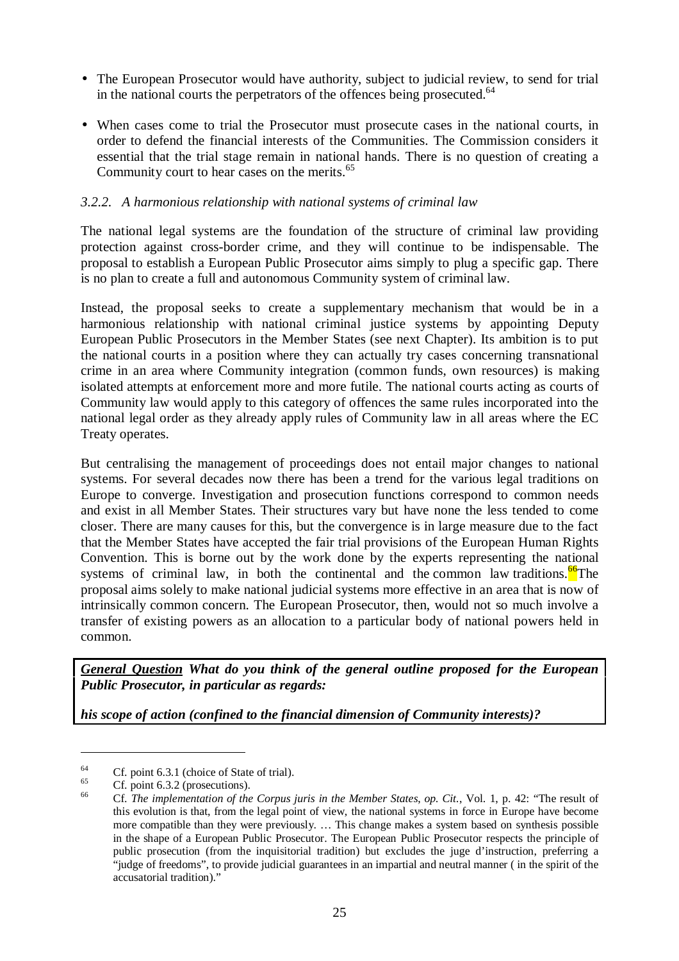- The European Prosecutor would have authority, subject to judicial review, to send for trial in the national courts the perpetrators of the offences being prosecuted.<sup> $64$ </sup>
- When cases come to trial the Prosecutor must prosecute cases in the national courts, in order to defend the financial interests of the Communities. The Commission considers it essential that the trial stage remain in national hands. There is no question of creating a Community court to hear cases on the merits.<sup>65</sup>

#### *3.2.2. A harmonious relationship with national systems of criminal law*

The national legal systems are the foundation of the structure of criminal law providing protection against cross-border crime, and they will continue to be indispensable. The proposal to establish a European Public Prosecutor aims simply to plug a specific gap. There is no plan to create a full and autonomous Community system of criminal law.

Instead, the proposal seeks to create a supplementary mechanism that would be in a harmonious relationship with national criminal justice systems by appointing Deputy European Public Prosecutors in the Member States (see next Chapter). Its ambition is to put the national courts in a position where they can actually try cases concerning transnational crime in an area where Community integration (common funds, own resources) is making isolated attempts at enforcement more and more futile. The national courts acting as courts of Community law would apply to this category of offences the same rules incorporated into the national legal order as they already apply rules of Community law in all areas where the EC Treaty operates.

But centralising the management of proceedings does not entail major changes to national systems. For several decades now there has been a trend for the various legal traditions on Europe to converge. Investigation and prosecution functions correspond to common needs and exist in all Member States. Their structures vary but have none the less tended to come closer. There are many causes for this, but the convergence is in large measure due to the fact that the Member States have accepted the fair trial provisions of the European Human Rights Convention. This is borne out by the work done by the experts representing the national systems of criminal law, in both the continental and the common law traditions.<sup>66</sup>The proposal aims solely to make national judicial systems more effective in an area that is now of intrinsically common concern. The European Prosecutor, then, would not so much involve a transfer of existing powers as an allocation to a particular body of national powers held in common.

*General Question What do you think of the general outline proposed for the European Public Prosecutor, in particular as regards:*

*his scope of action (confined to the financial dimension of Community interests)?*

<sup>&</sup>lt;sup>64</sup> Cf. point 6.3.1 (choice of State of trial).<br><sup>65</sup> Cf. point 6.3.2 (prosecutions).<br><sup>66</sup> Cf. *The implementation of the Corpus juris in the Member States, <i>op. Cit.*, Vol. 1, p. 42: "The result of this evolution is that, from the legal point of view, the national systems in force in Europe have become more compatible than they were previously. … This change makes a system based on synthesis possible in the shape of a European Public Prosecutor. The European Public Prosecutor respects the principle of public prosecution (from the inquisitorial tradition) but excludes the juge d'instruction, preferring a "judge of freedoms", to provide judicial guarantees in an impartial and neutral manner ( in the spirit of the accusatorial tradition)."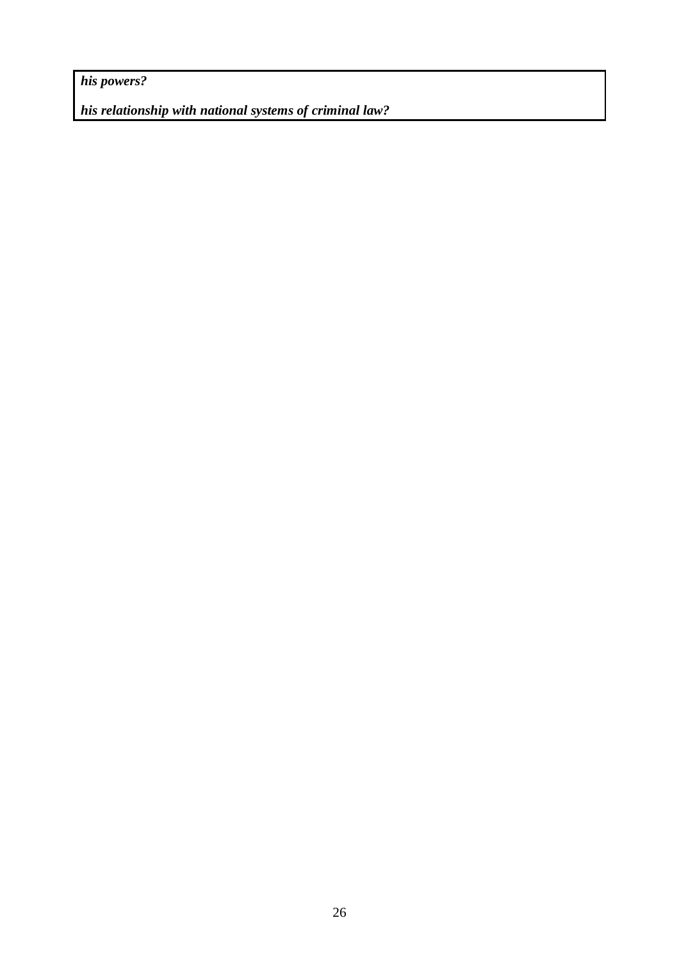*his powers?*

*his relationship with national systems of criminal law?*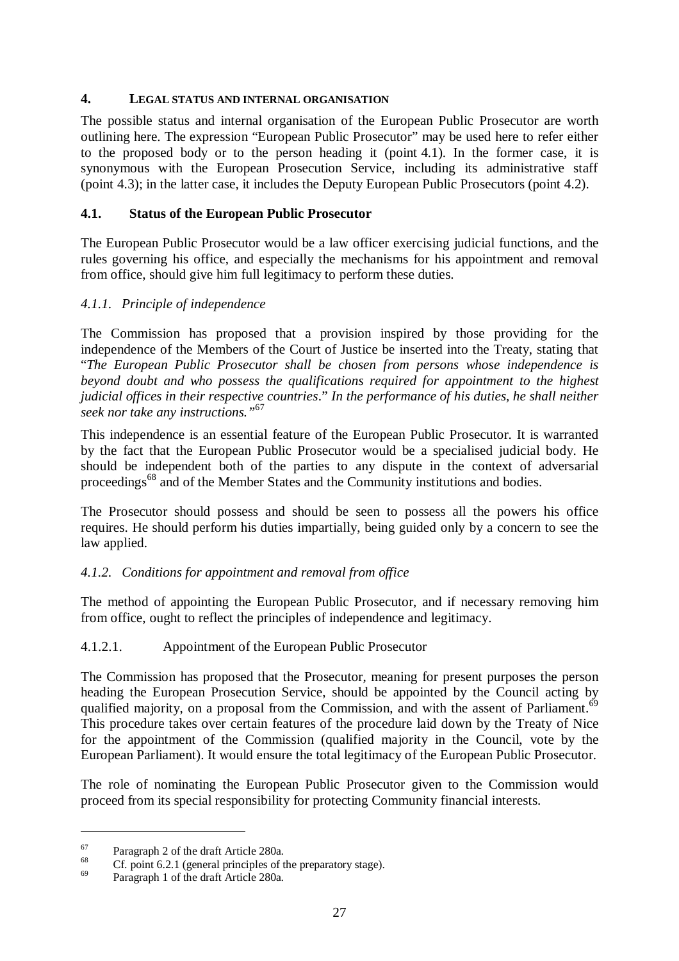#### **4. LEGAL STATUS AND INTERNAL ORGANISATION**

The possible status and internal organisation of the European Public Prosecutor are worth outlining here. The expression "European Public Prosecutor" may be used here to refer either to the proposed body or to the person heading it (point 4.1). In the former case, it is synonymous with the European Prosecution Service, including its administrative staff (point 4.3); in the latter case, it includes the Deputy European Public Prosecutors (point 4.2).

#### **4.1. Status of the European Public Prosecutor**

The European Public Prosecutor would be a law officer exercising judicial functions, and the rules governing his office, and especially the mechanisms for his appointment and removal from office, should give him full legitimacy to perform these duties.

#### *4.1.1. Principle of independence*

The Commission has proposed that a provision inspired by those providing for the independence of the Members of the Court of Justice be inserted into the Treaty, stating that "*The European Public Prosecutor shall be chosen from persons whose independence is beyond doubt and who possess the qualifications required for appointment to the highest judicial offices in their respective countries*." *In the performance of his duties, he shall neither seek nor take any instructions."*<sup>67</sup>

This independence is an essential feature of the European Public Prosecutor. It is warranted by the fact that the European Public Prosecutor would be a specialised judicial body. He should be independent both of the parties to any dispute in the context of adversarial proceedings<sup>68</sup> and of the Member States and the Community institutions and bodies.

The Prosecutor should possess and should be seen to possess all the powers his office requires. He should perform his duties impartially, being guided only by a concern to see the law applied.

#### *4.1.2. Conditions for appointment and removal from office*

The method of appointing the European Public Prosecutor, and if necessary removing him from office, ought to reflect the principles of independence and legitimacy.

#### 4.1.2.1. Appointment of the European Public Prosecutor

The Commission has proposed that the Prosecutor, meaning for present purposes the person heading the European Prosecution Service, should be appointed by the Council acting by qualified majority, on a proposal from the Commission, and with the assent of Parliament.<sup>69</sup> This procedure takes over certain features of the procedure laid down by the Treaty of Nice for the appointment of the Commission (qualified majority in the Council, vote by the European Parliament). It would ensure the total legitimacy of the European Public Prosecutor.

The role of nominating the European Public Prosecutor given to the Commission would proceed from its special responsibility for protecting Community financial interests.

Faragraph 2 of the draft Article 280a.<br>
68 Cf. point 6.2.1 (general principles of the preparatory stage).<br>
69 Paragraph 1 of the draft Article 280a.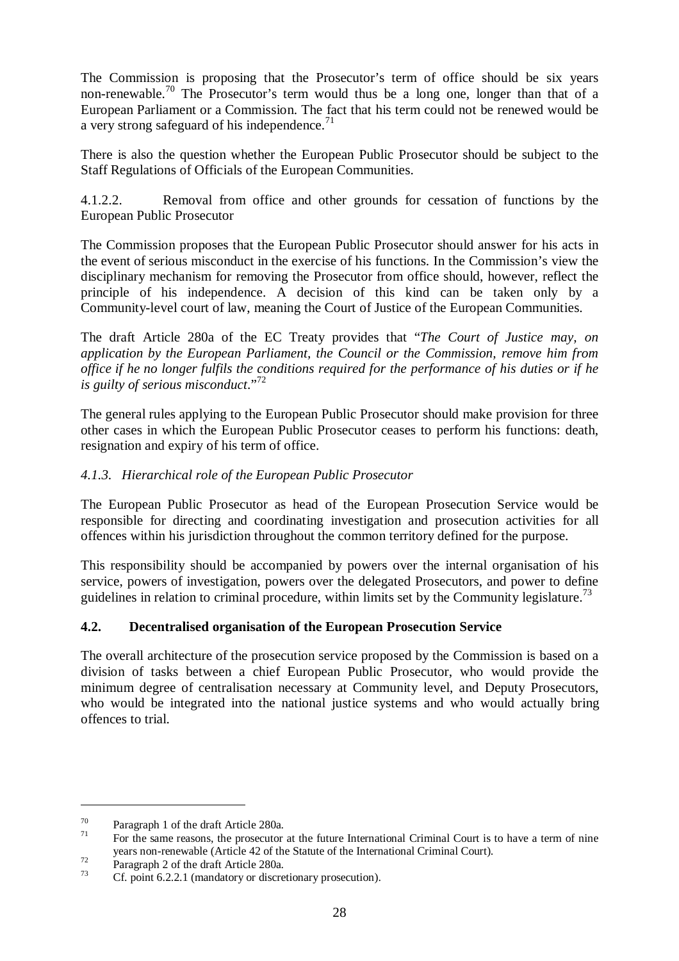The Commission is proposing that the Prosecutor's term of office should be six years non-renewable.<sup>70</sup> The Prosecutor's term would thus be a long one, longer than that of a European Parliament or a Commission. The fact that his term could not be renewed would be a very strong safeguard of his independence.<sup>71</sup>

There is also the question whether the European Public Prosecutor should be subject to the Staff Regulations of Officials of the European Communities.

4.1.2.2. Removal from office and other grounds for cessation of functions by the European Public Prosecutor

The Commission proposes that the European Public Prosecutor should answer for his acts in the event of serious misconduct in the exercise of his functions. In the Commission's view the disciplinary mechanism for removing the Prosecutor from office should, however, reflect the principle of his independence. A decision of this kind can be taken only by a Community-level court of law, meaning the Court of Justice of the European Communities.

The draft Article 280a of the EC Treaty provides that "*The Court of Justice may, on application by the European Parliament, the Council or the Commission, remove him from office if he no longer fulfils the conditions required for the performance of his duties or if he is guilty of serious misconduct*."72

The general rules applying to the European Public Prosecutor should make provision for three other cases in which the European Public Prosecutor ceases to perform his functions: death, resignation and expiry of his term of office.

# *4.1.3. Hierarchical role of the European Public Prosecutor*

The European Public Prosecutor as head of the European Prosecution Service would be responsible for directing and coordinating investigation and prosecution activities for all offences within his jurisdiction throughout the common territory defined for the purpose.

This responsibility should be accompanied by powers over the internal organisation of his service, powers of investigation, powers over the delegated Prosecutors, and power to define guidelines in relation to criminal procedure, within limits set by the Community legislature.<sup>73</sup>

# **4.2. Decentralised organisation of the European Prosecution Service**

The overall architecture of the prosecution service proposed by the Commission is based on a division of tasks between a chief European Public Prosecutor, who would provide the minimum degree of centralisation necessary at Community level, and Deputy Prosecutors, who would be integrated into the national justice systems and who would actually bring offences to trial.

<sup>&</sup>lt;sup>70</sup> Paragraph 1 of the draft Article 280a.<br><sup>71</sup> For the same reasons, the prosecutor at the future International Criminal Court is to have a term of nine years non-renewable (Article 42 of the Statute of the International Criminal Court).<br>Paragraph 2 of the draft Article 280a.<br>Cf. point 6.2.2.1 (mandatory or discretionary prosecution).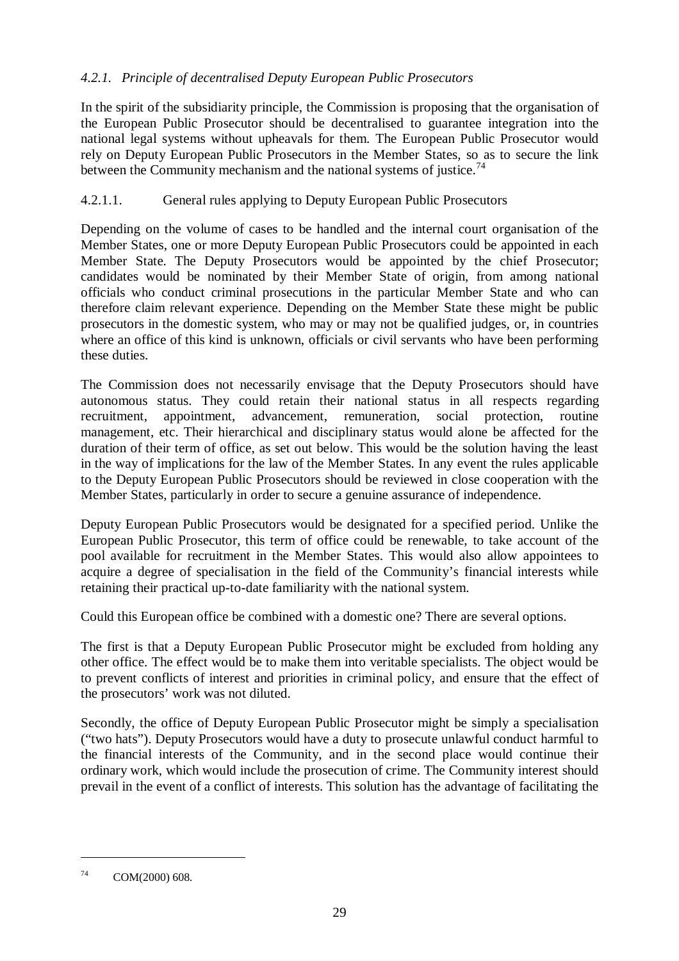# *4.2.1. Principle of decentralised Deputy European Public Prosecutors*

In the spirit of the subsidiarity principle, the Commission is proposing that the organisation of the European Public Prosecutor should be decentralised to guarantee integration into the national legal systems without upheavals for them. The European Public Prosecutor would rely on Deputy European Public Prosecutors in the Member States, so as to secure the link between the Community mechanism and the national systems of justice.<sup>74</sup>

## 4.2.1.1. General rules applying to Deputy European Public Prosecutors

Depending on the volume of cases to be handled and the internal court organisation of the Member States, one or more Deputy European Public Prosecutors could be appointed in each Member State. The Deputy Prosecutors would be appointed by the chief Prosecutor; candidates would be nominated by their Member State of origin, from among national officials who conduct criminal prosecutions in the particular Member State and who can therefore claim relevant experience. Depending on the Member State these might be public prosecutors in the domestic system, who may or may not be qualified judges, or, in countries where an office of this kind is unknown, officials or civil servants who have been performing these duties.

The Commission does not necessarily envisage that the Deputy Prosecutors should have autonomous status. They could retain their national status in all respects regarding recruitment, appointment, advancement, remuneration, social protection, routine management, etc. Their hierarchical and disciplinary status would alone be affected for the duration of their term of office, as set out below. This would be the solution having the least in the way of implications for the law of the Member States. In any event the rules applicable to the Deputy European Public Prosecutors should be reviewed in close cooperation with the Member States, particularly in order to secure a genuine assurance of independence.

Deputy European Public Prosecutors would be designated for a specified period. Unlike the European Public Prosecutor, this term of office could be renewable, to take account of the pool available for recruitment in the Member States. This would also allow appointees to acquire a degree of specialisation in the field of the Community's financial interests while retaining their practical up-to-date familiarity with the national system.

Could this European office be combined with a domestic one? There are several options.

The first is that a Deputy European Public Prosecutor might be excluded from holding any other office. The effect would be to make them into veritable specialists. The object would be to prevent conflicts of interest and priorities in criminal policy, and ensure that the effect of the prosecutors' work was not diluted.

Secondly, the office of Deputy European Public Prosecutor might be simply a specialisation ("two hats"). Deputy Prosecutors would have a duty to prosecute unlawful conduct harmful to the financial interests of the Community, and in the second place would continue their ordinary work, which would include the prosecution of crime. The Community interest should prevail in the event of a conflict of interests. This solution has the advantage of facilitating the

<sup>74</sup> COM(2000) 608.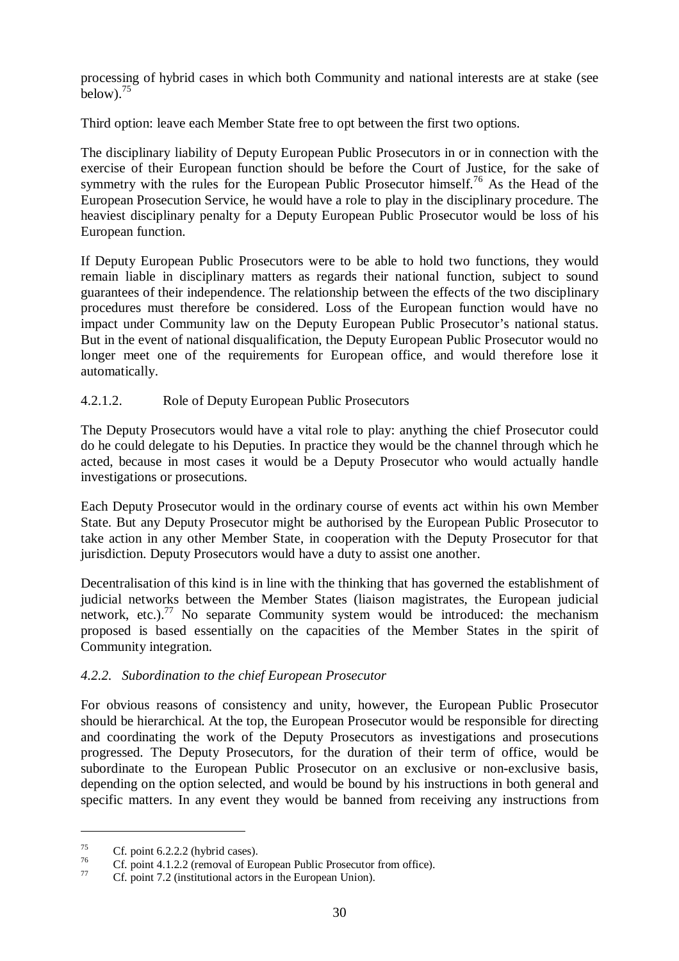processing of hybrid cases in which both Community and national interests are at stake (see  $below$ ).<sup>75</sup>

Third option: leave each Member State free to opt between the first two options.

The disciplinary liability of Deputy European Public Prosecutors in or in connection with the exercise of their European function should be before the Court of Justice, for the sake of symmetry with the rules for the European Public Prosecutor himself.<sup>76</sup> As the Head of the European Prosecution Service, he would have a role to play in the disciplinary procedure. The heaviest disciplinary penalty for a Deputy European Public Prosecutor would be loss of his European function.

If Deputy European Public Prosecutors were to be able to hold two functions, they would remain liable in disciplinary matters as regards their national function, subject to sound guarantees of their independence. The relationship between the effects of the two disciplinary procedures must therefore be considered. Loss of the European function would have no impact under Community law on the Deputy European Public Prosecutor's national status. But in the event of national disqualification, the Deputy European Public Prosecutor would no longer meet one of the requirements for European office, and would therefore lose it automatically.

# 4.2.1.2. Role of Deputy European Public Prosecutors

The Deputy Prosecutors would have a vital role to play: anything the chief Prosecutor could do he could delegate to his Deputies. In practice they would be the channel through which he acted, because in most cases it would be a Deputy Prosecutor who would actually handle investigations or prosecutions.

Each Deputy Prosecutor would in the ordinary course of events act within his own Member State. But any Deputy Prosecutor might be authorised by the European Public Prosecutor to take action in any other Member State, in cooperation with the Deputy Prosecutor for that jurisdiction. Deputy Prosecutors would have a duty to assist one another.

Decentralisation of this kind is in line with the thinking that has governed the establishment of judicial networks between the Member States (liaison magistrates, the European judicial network, etc.).<sup>77</sup> No separate Community system would be introduced: the mechanism proposed is based essentially on the capacities of the Member States in the spirit of Community integration.

#### *4.2.2. Subordination to the chief European Prosecutor*

For obvious reasons of consistency and unity, however, the European Public Prosecutor should be hierarchical. At the top, the European Prosecutor would be responsible for directing and coordinating the work of the Deputy Prosecutors as investigations and prosecutions progressed. The Deputy Prosecutors, for the duration of their term of office, would be subordinate to the European Public Prosecutor on an exclusive or non-exclusive basis, depending on the option selected, and would be bound by his instructions in both general and specific matters. In any event they would be banned from receiving any instructions from

<sup>&</sup>lt;sup>75</sup> Cf. point 6.2.2.2 (hybrid cases).<br> *T*<sup>6</sup> Cf. point 4.1.2.2 (removal of European Public Prosecutor from office).<br> *Cf.* point 7.2 (institutional actors in the European Union).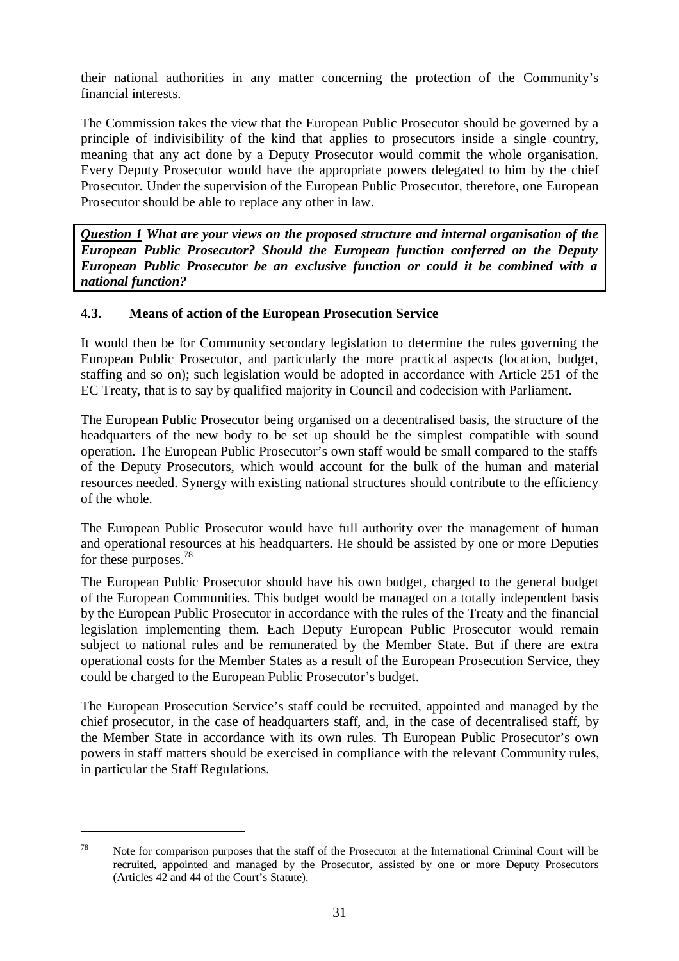their national authorities in any matter concerning the protection of the Community's financial interests.

The Commission takes the view that the European Public Prosecutor should be governed by a principle of indivisibility of the kind that applies to prosecutors inside a single country, meaning that any act done by a Deputy Prosecutor would commit the whole organisation. Every Deputy Prosecutor would have the appropriate powers delegated to him by the chief Prosecutor. Under the supervision of the European Public Prosecutor, therefore, one European Prosecutor should be able to replace any other in law.

*Question 1 What are your views on the proposed structure and internal organisation of the European Public Prosecutor? Should the European function conferred on the Deputy European Public Prosecutor be an exclusive function or could it be combined with a national function?*

#### **4.3. Means of action of the European Prosecution Service**

It would then be for Community secondary legislation to determine the rules governing the European Public Prosecutor, and particularly the more practical aspects (location, budget, staffing and so on); such legislation would be adopted in accordance with Article 251 of the EC Treaty, that is to say by qualified majority in Council and codecision with Parliament.

The European Public Prosecutor being organised on a decentralised basis, the structure of the headquarters of the new body to be set up should be the simplest compatible with sound operation. The European Public Prosecutor's own staff would be small compared to the staffs of the Deputy Prosecutors, which would account for the bulk of the human and material resources needed. Synergy with existing national structures should contribute to the efficiency of the whole.

The European Public Prosecutor would have full authority over the management of human and operational resources at his headquarters. He should be assisted by one or more Deputies for these purposes.<sup>78</sup>

The European Public Prosecutor should have his own budget, charged to the general budget of the European Communities. This budget would be managed on a totally independent basis by the European Public Prosecutor in accordance with the rules of the Treaty and the financial legislation implementing them. Each Deputy European Public Prosecutor would remain subject to national rules and be remunerated by the Member State. But if there are extra operational costs for the Member States as a result of the European Prosecution Service, they could be charged to the European Public Prosecutor's budget.

The European Prosecution Service's staff could be recruited, appointed and managed by the chief prosecutor, in the case of headquarters staff, and, in the case of decentralised staff, by the Member State in accordance with its own rules. Th European Public Prosecutor's own powers in staff matters should be exercised in compliance with the relevant Community rules, in particular the Staff Regulations.

<sup>&</sup>lt;sup>78</sup> Note for comparison purposes that the staff of the Prosecutor at the International Criminal Court will be recruited, appointed and managed by the Prosecutor, assisted by one or more Deputy Prosecutors (Articles 42 and 44 of the Court's Statute).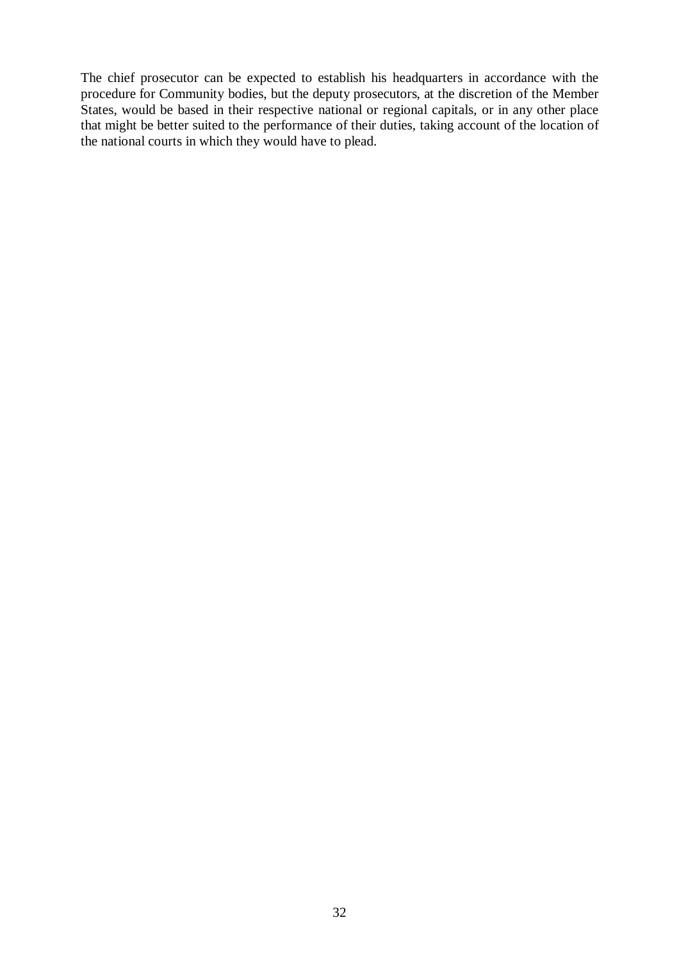The chief prosecutor can be expected to establish his headquarters in accordance with the procedure for Community bodies, but the deputy prosecutors, at the discretion of the Member States, would be based in their respective national or regional capitals, or in any other place that might be better suited to the performance of their duties, taking account of the location of the national courts in which they would have to plead.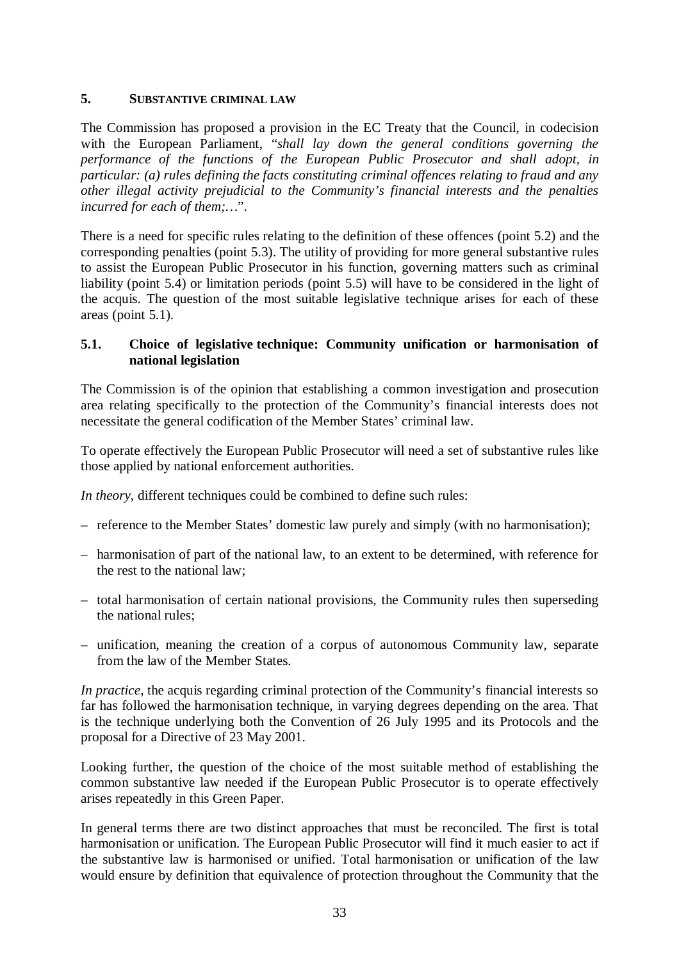#### **5. SUBSTANTIVE CRIMINAL LAW**

The Commission has proposed a provision in the EC Treaty that the Council, in codecision with the European Parliament, "*shall lay down the general conditions governing the performance of the functions of the European Public Prosecutor and shall adopt, in particular: (a) rules defining the facts constituting criminal offences relating to fraud and any other illegal activity prejudicial to the Community's financial interests and the penalties incurred for each of them;…*".

There is a need for specific rules relating to the definition of these offences (point 5.2) and the corresponding penalties (point 5.3). The utility of providing for more general substantive rules to assist the European Public Prosecutor in his function, governing matters such as criminal liability (point 5.4) or limitation periods (point 5.5) will have to be considered in the light of the acquis. The question of the most suitable legislative technique arises for each of these areas (point 5.1).

#### **5.1. Choice of legislative technique: Community unification or harmonisation of national legislation**

The Commission is of the opinion that establishing a common investigation and prosecution area relating specifically to the protection of the Community's financial interests does not necessitate the general codification of the Member States' criminal law.

To operate effectively the European Public Prosecutor will need a set of substantive rules like those applied by national enforcement authorities.

*In theory*, different techniques could be combined to define such rules:

- reference to the Member States' domestic law purely and simply (with no harmonisation);
- harmonisation of part of the national law, to an extent to be determined, with reference for the rest to the national law;
- total harmonisation of certain national provisions, the Community rules then superseding the national rules;
- unification, meaning the creation of a corpus of autonomous Community law, separate from the law of the Member States.

*In practice*, the acquis regarding criminal protection of the Community's financial interests so far has followed the harmonisation technique, in varying degrees depending on the area. That is the technique underlying both the Convention of 26 July 1995 and its Protocols and the proposal for a Directive of 23 May 2001.

Looking further, the question of the choice of the most suitable method of establishing the common substantive law needed if the European Public Prosecutor is to operate effectively arises repeatedly in this Green Paper.

In general terms there are two distinct approaches that must be reconciled. The first is total harmonisation or unification. The European Public Prosecutor will find it much easier to act if the substantive law is harmonised or unified. Total harmonisation or unification of the law would ensure by definition that equivalence of protection throughout the Community that the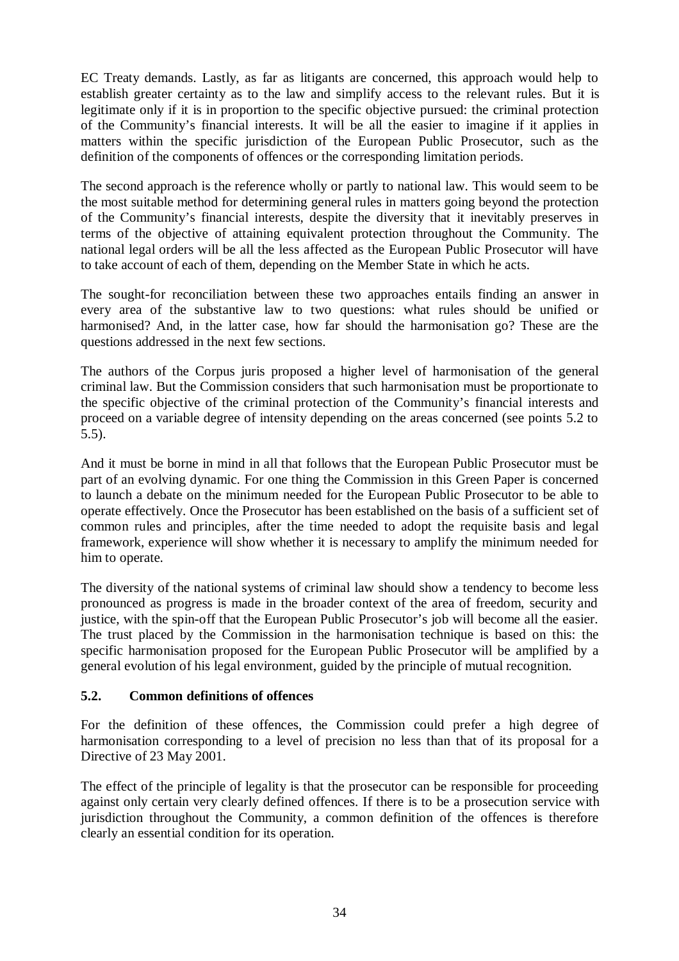EC Treaty demands. Lastly, as far as litigants are concerned, this approach would help to establish greater certainty as to the law and simplify access to the relevant rules. But it is legitimate only if it is in proportion to the specific objective pursued: the criminal protection of the Community's financial interests. It will be all the easier to imagine if it applies in matters within the specific jurisdiction of the European Public Prosecutor, such as the definition of the components of offences or the corresponding limitation periods.

The second approach is the reference wholly or partly to national law. This would seem to be the most suitable method for determining general rules in matters going beyond the protection of the Community's financial interests, despite the diversity that it inevitably preserves in terms of the objective of attaining equivalent protection throughout the Community. The national legal orders will be all the less affected as the European Public Prosecutor will have to take account of each of them, depending on the Member State in which he acts.

The sought-for reconciliation between these two approaches entails finding an answer in every area of the substantive law to two questions: what rules should be unified or harmonised? And, in the latter case, how far should the harmonisation go? These are the questions addressed in the next few sections.

The authors of the Corpus juris proposed a higher level of harmonisation of the general criminal law. But the Commission considers that such harmonisation must be proportionate to the specific objective of the criminal protection of the Community's financial interests and proceed on a variable degree of intensity depending on the areas concerned (see points 5.2 to 5.5).

And it must be borne in mind in all that follows that the European Public Prosecutor must be part of an evolving dynamic. For one thing the Commission in this Green Paper is concerned to launch a debate on the minimum needed for the European Public Prosecutor to be able to operate effectively. Once the Prosecutor has been established on the basis of a sufficient set of common rules and principles, after the time needed to adopt the requisite basis and legal framework, experience will show whether it is necessary to amplify the minimum needed for him to operate.

The diversity of the national systems of criminal law should show a tendency to become less pronounced as progress is made in the broader context of the area of freedom, security and justice, with the spin-off that the European Public Prosecutor's job will become all the easier. The trust placed by the Commission in the harmonisation technique is based on this: the specific harmonisation proposed for the European Public Prosecutor will be amplified by a general evolution of his legal environment, guided by the principle of mutual recognition.

#### **5.2. Common definitions of offences**

For the definition of these offences, the Commission could prefer a high degree of harmonisation corresponding to a level of precision no less than that of its proposal for a Directive of 23 May 2001.

The effect of the principle of legality is that the prosecutor can be responsible for proceeding against only certain very clearly defined offences. If there is to be a prosecution service with jurisdiction throughout the Community, a common definition of the offences is therefore clearly an essential condition for its operation.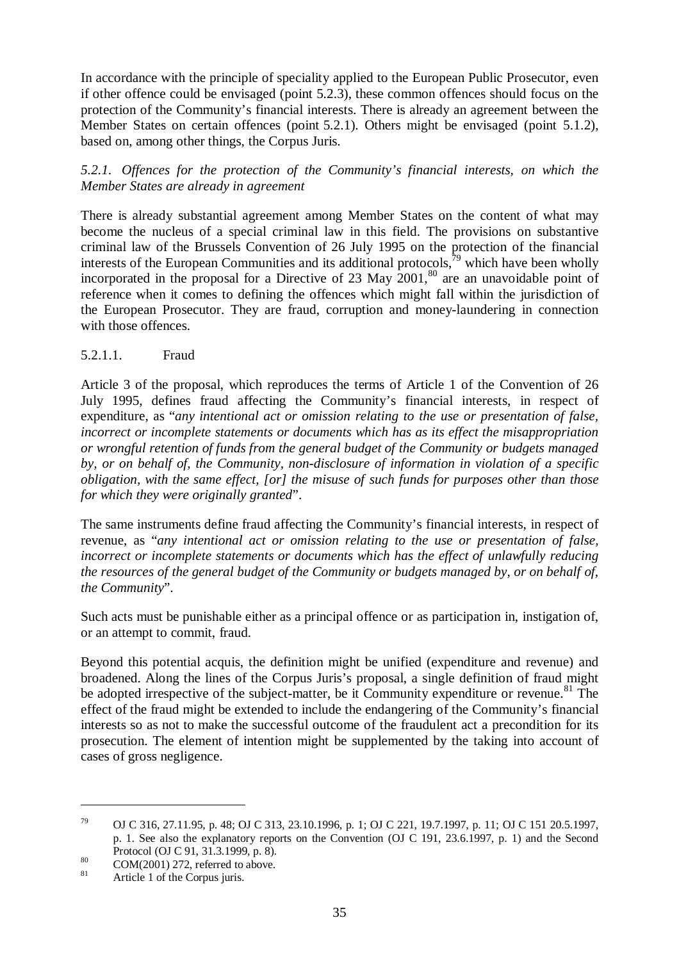In accordance with the principle of speciality applied to the European Public Prosecutor, even if other offence could be envisaged (point 5.2.3), these common offences should focus on the protection of the Community's financial interests. There is already an agreement between the Member States on certain offences (point 5.2.1). Others might be envisaged (point 5.1.2), based on, among other things, the Corpus Juris.

*5.2.1. Offences for the protection of the Community's financial interests, on which the Member States are already in agreement*

There is already substantial agreement among Member States on the content of what may become the nucleus of a special criminal law in this field. The provisions on substantive criminal law of the Brussels Convention of 26 July 1995 on the protection of the financial interests of the European Communities and its additional protocols,  $\bar{r}^9$  which have been wholly incorporated in the proposal for a Directive of 23 May  $2001$ ,<sup>80</sup> are an unavoidable point of reference when it comes to defining the offences which might fall within the jurisdiction of the European Prosecutor. They are fraud, corruption and money-laundering in connection with those offences.

#### 5.2.1.1. Fraud

Article 3 of the proposal, which reproduces the terms of Article 1 of the Convention of 26 July 1995, defines fraud affecting the Community's financial interests, in respect of expenditure, as "*any intentional act or omission relating to the use or presentation of false, incorrect or incomplete statements or documents which has as its effect the misappropriation or wrongful retention of funds from the general budget of the Community or budgets managed by, or on behalf of, the Community, non-disclosure of information in violation of a specific obligation, with the same effect, [or] the misuse of such funds for purposes other than those for which they were originally granted*".

The same instruments define fraud affecting the Community's financial interests, in respect of revenue, as "*any intentional act or omission relating to the use or presentation of false, incorrect or incomplete statements or documents which has the effect of unlawfully reducing the resources of the general budget of the Community or budgets managed by, or on behalf of, the Community*".

Such acts must be punishable either as a principal offence or as participation in, instigation of, or an attempt to commit, fraud.

Beyond this potential acquis, the definition might be unified (expenditure and revenue) and broadened. Along the lines of the Corpus Juris's proposal, a single definition of fraud might be adopted irrespective of the subject-matter, be it Community expenditure or revenue.<sup>81</sup> The effect of the fraud might be extended to include the endangering of the Community's financial interests so as not to make the successful outcome of the fraudulent act a precondition for its prosecution. The element of intention might be supplemented by the taking into account of cases of gross negligence.

<sup>79</sup> OJ C 316, 27.11.95, p. 48; OJ C 313, 23.10.1996, p. 1; OJ C 221, 19.7.1997, p. 11; OJ C 151 20.5.1997, p. 1. See also the explanatory reports on the Convention (OJ C 191, 23.6.1997, p. 1) and the Second

Protocol (OJ C 91, 31.3.1999, p. 8).<br>
COM(2001) 272, referred to above.<br>
Article 1 of the Corpus juris.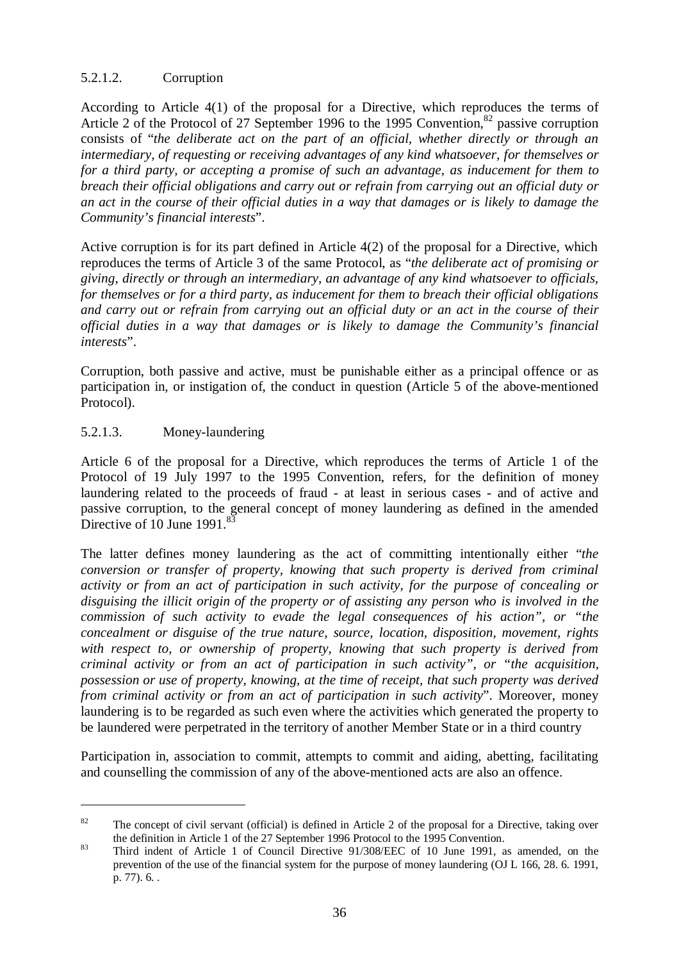# 5.2.1.2. Corruption

According to Article 4(1) of the proposal for a Directive, which reproduces the terms of Article 2 of the Protocol of 27 September 1996 to the 1995 Convention,  $82$  passive corruption consists of "*the deliberate act on the part of an official, whether directly or through an intermediary, of requesting or receiving advantages of any kind whatsoever, for themselves or for a third party, or accepting a promise of such an advantage, as inducement for them to breach their official obligations and carry out or refrain from carrying out an official duty or an act in the course of their official duties in a way that damages or is likely to damage the Community's financial interests*".

Active corruption is for its part defined in Article 4(2) of the proposal for a Directive, which reproduces the terms of Article 3 of the same Protocol, as "*the deliberate act of promising or giving, directly or through an intermediary, an advantage of any kind whatsoever to officials, for themselves or for a third party, as inducement for them to breach their official obligations and carry out or refrain from carrying out an official duty or an act in the course of their official duties in a way that damages or is likely to damage the Community's financial interests*".

Corruption, both passive and active, must be punishable either as a principal offence or as participation in, or instigation of, the conduct in question (Article 5 of the above-mentioned Protocol).

#### 5.2.1.3. Money-laundering

Article 6 of the proposal for a Directive, which reproduces the terms of Article 1 of the Protocol of 19 July 1997 to the 1995 Convention, refers, for the definition of money laundering related to the proceeds of fraud - at least in serious cases - and of active and passive corruption, to the general concept of money laundering as defined in the amended Directive of 10 June  $1991$ <sup>8</sup>

The latter defines money laundering as the act of committing intentionally either "*the conversion or transfer of property, knowing that such property is derived from criminal activity or from an act of participation in such activity, for the purpose of concealing or disguising the illicit origin of the property or of assisting any person who is involved in the commission of such activity to evade the legal consequences of his action", or "the concealment or disguise of the true nature, source, location, disposition, movement, rights with respect to, or ownership of property, knowing that such property is derived from criminal activity or from an act of participation in such activity", or "the acquisition, possession or use of property, knowing, at the time of receipt, that such property was derived from criminal activity or from an act of participation in such activity*". Moreover, money laundering is to be regarded as such even where the activities which generated the property to be laundered were perpetrated in the territory of another Member State or in a third country

Participation in, association to commit, attempts to commit and aiding, abetting, facilitating and counselling the commission of any of the above-mentioned acts are also an offence.

<sup>&</sup>lt;sup>82</sup> The concept of civil servant (official) is defined in Article 2 of the proposal for a Directive, taking over

the definition in Article 1 of the 27 September 1996 Protocol to the 1995 Convention.<br><sup>83</sup> Third indent of Article 1 of Council Directive 91/308/EEC of 10 June 1991, as amended, on the prevention of the use of the financial system for the purpose of money laundering (OJ L 166, 28. 6. 1991, p. 77). 6. .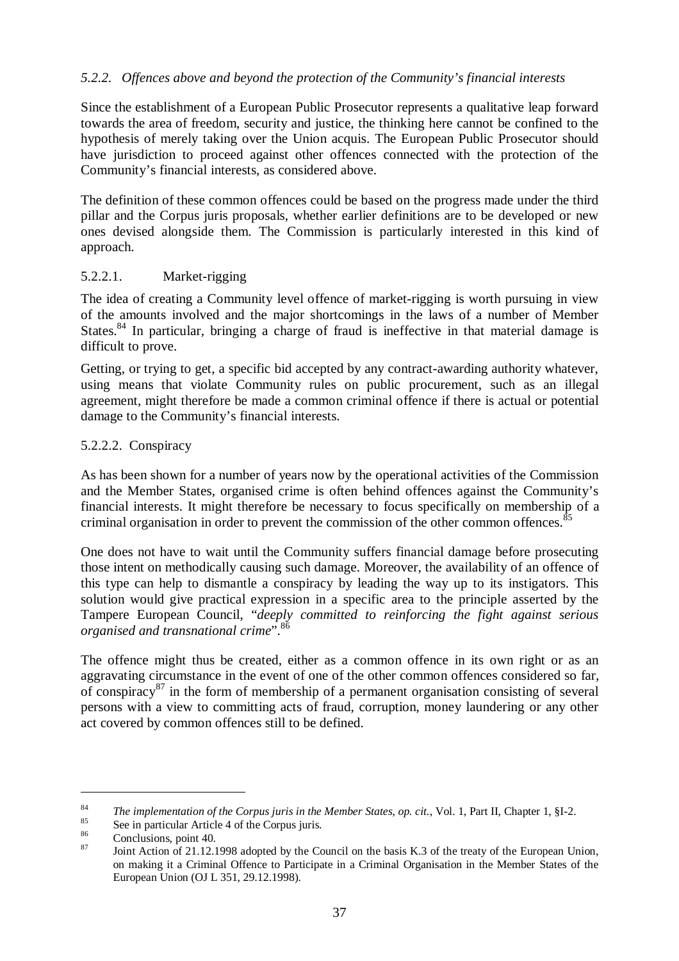### *5.2.2. Offences above and beyond the protection of the Community's financial interests*

Since the establishment of a European Public Prosecutor represents a qualitative leap forward towards the area of freedom, security and justice, the thinking here cannot be confined to the hypothesis of merely taking over the Union acquis. The European Public Prosecutor should have jurisdiction to proceed against other offences connected with the protection of the Community's financial interests, as considered above.

The definition of these common offences could be based on the progress made under the third pillar and the Corpus juris proposals, whether earlier definitions are to be developed or new ones devised alongside them. The Commission is particularly interested in this kind of approach.

### 5.2.2.1. Market-rigging

The idea of creating a Community level offence of market-rigging is worth pursuing in view of the amounts involved and the major shortcomings in the laws of a number of Member States.<sup>84</sup> In particular, bringing a charge of fraud is ineffective in that material damage is difficult to prove.

Getting, or trying to get, a specific bid accepted by any contract-awarding authority whatever, using means that violate Community rules on public procurement, such as an illegal agreement, might therefore be made a common criminal offence if there is actual or potential damage to the Community's financial interests.

#### 5.2.2.2. Conspiracy

As has been shown for a number of years now by the operational activities of the Commission and the Member States, organised crime is often behind offences against the Community's financial interests. It might therefore be necessary to focus specifically on membership of a criminal organisation in order to prevent the commission of the other common offences.<sup>8</sup>

One does not have to wait until the Community suffers financial damage before prosecuting those intent on methodically causing such damage. Moreover, the availability of an offence of this type can help to dismantle a conspiracy by leading the way up to its instigators. This solution would give practical expression in a specific area to the principle asserted by the Tampere European Council, "*deeply committed to reinforcing the fight against serious organised and transnational crime*".<sup>86</sup>

The offence might thus be created, either as a common offence in its own right or as an aggravating circumstance in the event of one of the other common offences considered so far, of conspiracy<sup>87</sup> in the form of membership of a permanent organisation consisting of several persons with a view to committing acts of fraud, corruption, money laundering or any other act covered by common offences still to be defined.

<sup>&</sup>lt;sup>84</sup> The implementation of the Corpus juris in the Member States, op. cit., Vol. 1, Part II, Chapter 1, §I-2.<br><sup>85</sup> See in particular Article 4 of the Corpus juris.<br><sup>86</sup> Conclusions, point 40.<br>Joint Action of 21.12.1998 ad

on making it a Criminal Offence to Participate in a Criminal Organisation in the Member States of the European Union (OJ L 351, 29.12.1998).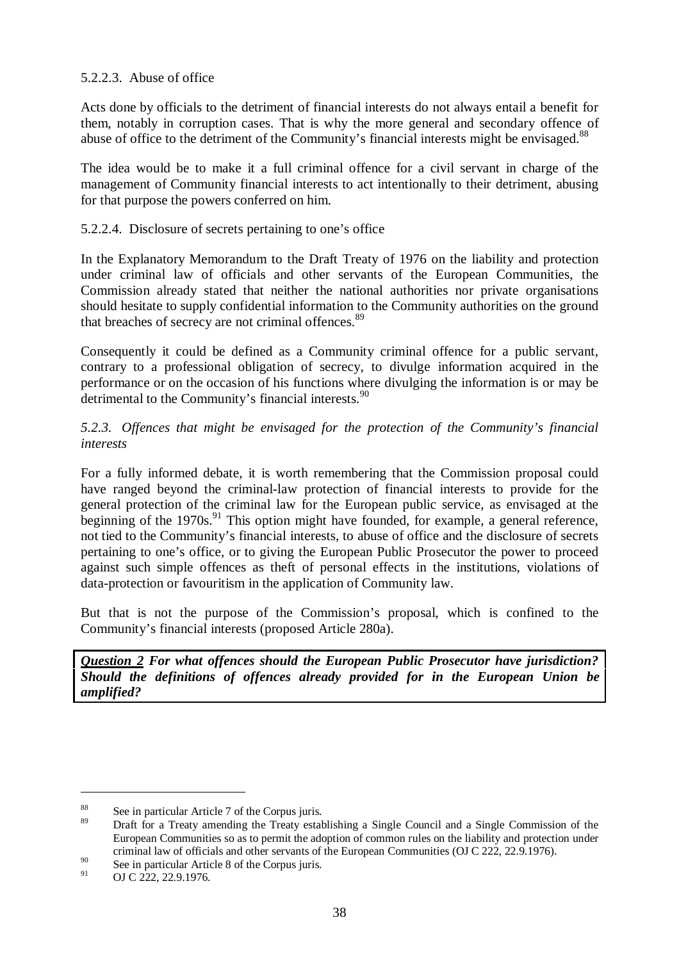## 5.2.2.3. Abuse of office

Acts done by officials to the detriment of financial interests do not always entail a benefit for them, notably in corruption cases. That is why the more general and secondary offence of abuse of office to the detriment of the Community's financial interests might be envisaged.<sup>88</sup>

The idea would be to make it a full criminal offence for a civil servant in charge of the management of Community financial interests to act intentionally to their detriment, abusing for that purpose the powers conferred on him.

### 5.2.2.4. Disclosure of secrets pertaining to one's office

In the Explanatory Memorandum to the Draft Treaty of 1976 on the liability and protection under criminal law of officials and other servants of the European Communities, the Commission already stated that neither the national authorities nor private organisations should hesitate to supply confidential information to the Community authorities on the ground that breaches of secrecy are not criminal offences.<sup>89</sup>

Consequently it could be defined as a Community criminal offence for a public servant, contrary to a professional obligation of secrecy, to divulge information acquired in the performance or on the occasion of his functions where divulging the information is or may be detrimental to the Community's financial interests.<sup>90</sup>

### *5.2.3. Offences that might be envisaged for the protection of the Community's financial interests*

For a fully informed debate, it is worth remembering that the Commission proposal could have ranged beyond the criminal-law protection of financial interests to provide for the general protection of the criminal law for the European public service, as envisaged at the beginning of the  $1970s$ <sup>91</sup>. This option might have founded, for example, a general reference, not tied to the Community's financial interests, to abuse of office and the disclosure of secrets pertaining to one's office, or to giving the European Public Prosecutor the power to proceed against such simple offences as theft of personal effects in the institutions, violations of data-protection or favouritism in the application of Community law.

But that is not the purpose of the Commission's proposal, which is confined to the Community's financial interests (proposed Article 280a).

*Question 2 For what offences should the European Public Prosecutor have jurisdiction? Should the definitions of offences already provided for in the European Union be amplified?*

 $\frac{88}{89}$  See in particular Article 7 of the Corpus juris.

<sup>89</sup> Draft for a Treaty amending the Treaty establishing a Single Council and a Single Commission of the European Communities so as to permit the adoption of common rules on the liability and protection under criminal law of officials and other servants of the European Communities (OJ C 222, 22.9.1976).

<sup>90</sup> See in particular Article 8 of the Corpus juris.

<sup>91</sup> OJ C 222, 22.9.1976.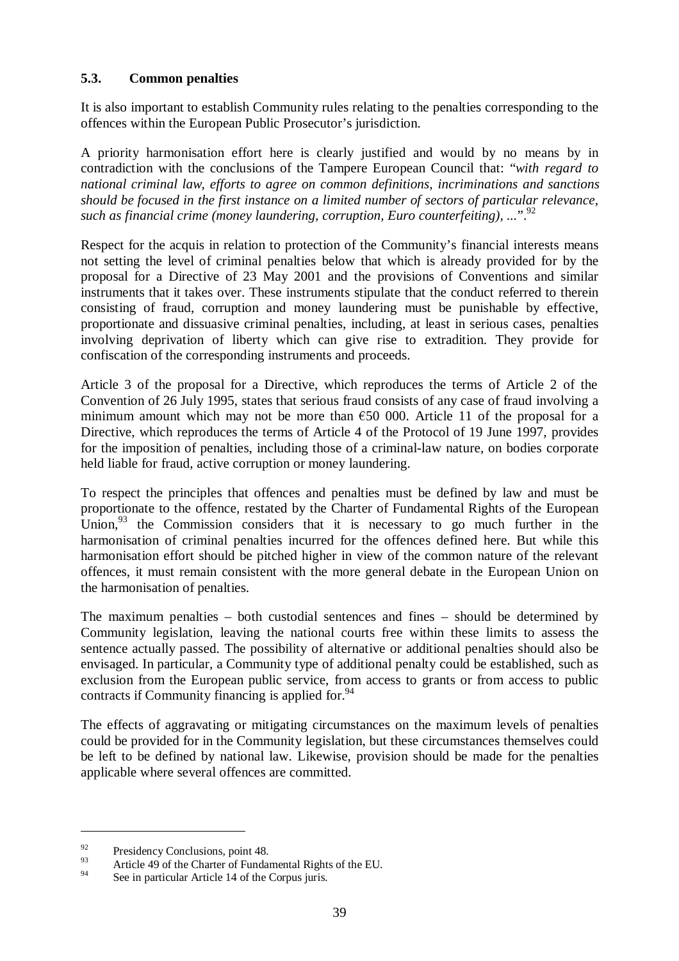### **5.3. Common penalties**

It is also important to establish Community rules relating to the penalties corresponding to the offences within the European Public Prosecutor's jurisdiction.

A priority harmonisation effort here is clearly justified and would by no means by in contradiction with the conclusions of the Tampere European Council that: "*with regard to national criminal law, efforts to agree on common definitions, incriminations and sanctions should be focused in the first instance on a limited number of sectors of particular relevance, such as financial crime (money laundering, corruption, Euro counterfeiting), ...*".92

Respect for the acquis in relation to protection of the Community's financial interests means not setting the level of criminal penalties below that which is already provided for by the proposal for a Directive of 23 May 2001 and the provisions of Conventions and similar instruments that it takes over. These instruments stipulate that the conduct referred to therein consisting of fraud, corruption and money laundering must be punishable by effective, proportionate and dissuasive criminal penalties, including, at least in serious cases, penalties involving deprivation of liberty which can give rise to extradition. They provide for confiscation of the corresponding instruments and proceeds.

Article 3 of the proposal for a Directive, which reproduces the terms of Article 2 of the Convention of 26 July 1995, states that serious fraud consists of any case of fraud involving a minimum amount which may not be more than  $\epsilon$ 50 000. Article 11 of the proposal for a Directive, which reproduces the terms of Article 4 of the Protocol of 19 June 1997, provides for the imposition of penalties, including those of a criminal-law nature, on bodies corporate held liable for fraud, active corruption or money laundering.

To respect the principles that offences and penalties must be defined by law and must be proportionate to the offence, restated by the Charter of Fundamental Rights of the European Union,  $93$  the Commission considers that it is necessary to go much further in the harmonisation of criminal penalties incurred for the offences defined here. But while this harmonisation effort should be pitched higher in view of the common nature of the relevant offences, it must remain consistent with the more general debate in the European Union on the harmonisation of penalties.

The maximum penalties – both custodial sentences and fines – should be determined by Community legislation, leaving the national courts free within these limits to assess the sentence actually passed. The possibility of alternative or additional penalties should also be envisaged. In particular, a Community type of additional penalty could be established, such as exclusion from the European public service, from access to grants or from access to public contracts if Community financing is applied for.  $94$ 

The effects of aggravating or mitigating circumstances on the maximum levels of penalties could be provided for in the Community legislation, but these circumstances themselves could be left to be defined by national law. Likewise, provision should be made for the penalties applicable where several offences are committed.

 $\frac{92}{93}$  Presidency Conclusions, point 48.

<sup>&</sup>lt;sup>93</sup> Article 49 of the Charter of Fundamental Rights of the EU.

See in particular Article 14 of the Corpus juris.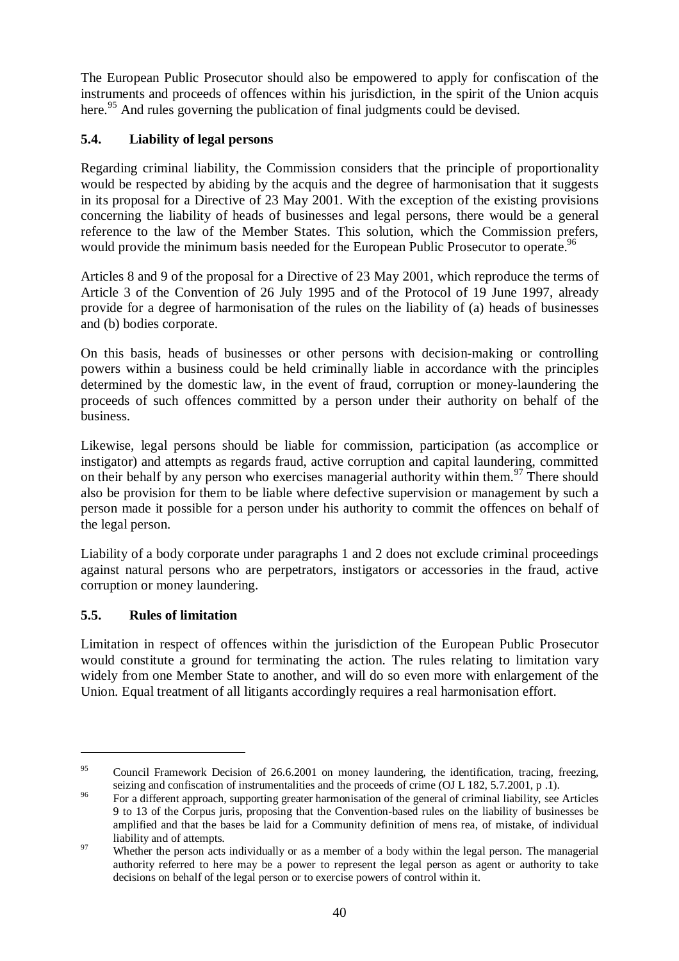The European Public Prosecutor should also be empowered to apply for confiscation of the instruments and proceeds of offences within his jurisdiction, in the spirit of the Union acquis here.<sup>95</sup> And rules governing the publication of final judgments could be devised.

# **5.4. Liability of legal persons**

Regarding criminal liability, the Commission considers that the principle of proportionality would be respected by abiding by the acquis and the degree of harmonisation that it suggests in its proposal for a Directive of 23 May 2001. With the exception of the existing provisions concerning the liability of heads of businesses and legal persons, there would be a general reference to the law of the Member States. This solution, which the Commission prefers, would provide the minimum basis needed for the European Public Prosecutor to operate.<sup>96</sup>

Articles 8 and 9 of the proposal for a Directive of 23 May 2001, which reproduce the terms of Article 3 of the Convention of 26 July 1995 and of the Protocol of 19 June 1997, already provide for a degree of harmonisation of the rules on the liability of (a) heads of businesses and (b) bodies corporate.

On this basis, heads of businesses or other persons with decision-making or controlling powers within a business could be held criminally liable in accordance with the principles determined by the domestic law, in the event of fraud, corruption or money-laundering the proceeds of such offences committed by a person under their authority on behalf of the business.

Likewise, legal persons should be liable for commission, participation (as accomplice or instigator) and attempts as regards fraud, active corruption and capital laundering, committed on their behalf by any person who exercises managerial authority within them.<sup>97</sup> There should also be provision for them to be liable where defective supervision or management by such a person made it possible for a person under his authority to commit the offences on behalf of the legal person.

Liability of a body corporate under paragraphs 1 and 2 does not exclude criminal proceedings against natural persons who are perpetrators, instigators or accessories in the fraud, active corruption or money laundering.

# **5.5. Rules of limitation**

Limitation in respect of offences within the jurisdiction of the European Public Prosecutor would constitute a ground for terminating the action. The rules relating to limitation vary widely from one Member State to another, and will do so even more with enlargement of the Union. Equal treatment of all litigants accordingly requires a real harmonisation effort.

<sup>&</sup>lt;sup>95</sup> Council Framework Decision of 26.6.2001 on money laundering, the identification, tracing, freezing, seizing and confiscation of instrumentalities and the proceeds of crime (OJ L 182, 5.7.2001, p .1).<br><sup>96</sup> For a different approach, supporting greater harmonisation of the general of criminal liability, see Articles

<sup>9</sup> to 13 of the Corpus juris, proposing that the Convention-based rules on the liability of businesses be amplified and that the bases be laid for a Community definition of mens rea, of mistake, of individual

liability and of attempts.<br><sup>97</sup> Whether the person acts individually or as a member of a body within the legal person. The managerial authority referred to here may be a power to represent the legal person as agent or authority to take decisions on behalf of the legal person or to exercise powers of control within it.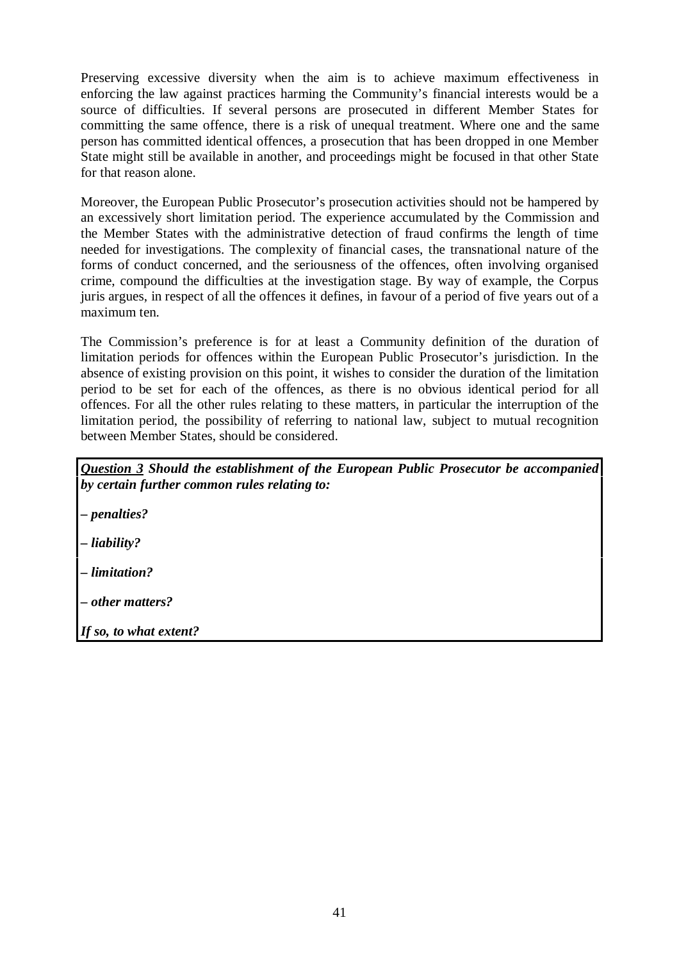Preserving excessive diversity when the aim is to achieve maximum effectiveness in enforcing the law against practices harming the Community's financial interests would be a source of difficulties. If several persons are prosecuted in different Member States for committing the same offence, there is a risk of unequal treatment. Where one and the same person has committed identical offences, a prosecution that has been dropped in one Member State might still be available in another, and proceedings might be focused in that other State for that reason alone.

Moreover, the European Public Prosecutor's prosecution activities should not be hampered by an excessively short limitation period. The experience accumulated by the Commission and the Member States with the administrative detection of fraud confirms the length of time needed for investigations. The complexity of financial cases, the transnational nature of the forms of conduct concerned, and the seriousness of the offences, often involving organised crime, compound the difficulties at the investigation stage. By way of example, the Corpus juris argues, in respect of all the offences it defines, in favour of a period of five years out of a maximum ten.

The Commission's preference is for at least a Community definition of the duration of limitation periods for offences within the European Public Prosecutor's jurisdiction. In the absence of existing provision on this point, it wishes to consider the duration of the limitation period to be set for each of the offences, as there is no obvious identical period for all offences. For all the other rules relating to these matters, in particular the interruption of the limitation period, the possibility of referring to national law, subject to mutual recognition between Member States, should be considered.

| Question 3 Should the establishment of the European Public Prosecutor be accompanied |  |  |
|--------------------------------------------------------------------------------------|--|--|
| by certain further common rules relating to:                                         |  |  |
|                                                                                      |  |  |

*– penalties?*

*– liability?*

*– limitation?*

*– other matters?*

*If so, to what extent?*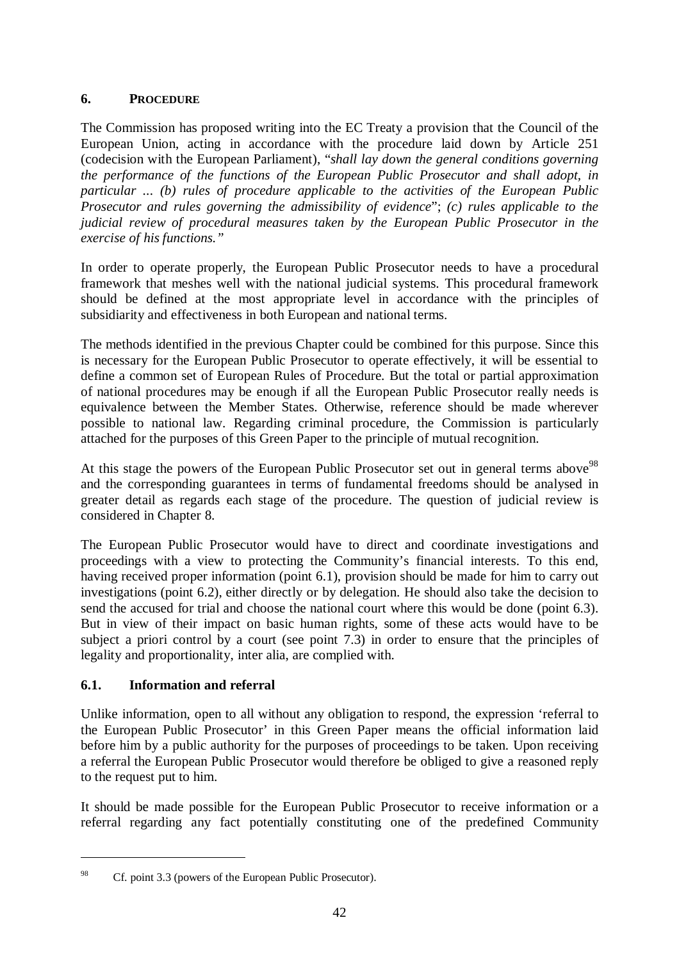# **6. PROCEDURE**

The Commission has proposed writing into the EC Treaty a provision that the Council of the European Union, acting in accordance with the procedure laid down by Article 251 (codecision with the European Parliament), "*shall lay down the general conditions governing the performance of the functions of the European Public Prosecutor and shall adopt, in particular ... (b) rules of procedure applicable to the activities of the European Public Prosecutor and rules governing the admissibility of evidence*"; *(c) rules applicable to the judicial review of procedural measures taken by the European Public Prosecutor in the exercise of his functions."*

In order to operate properly, the European Public Prosecutor needs to have a procedural framework that meshes well with the national judicial systems. This procedural framework should be defined at the most appropriate level in accordance with the principles of subsidiarity and effectiveness in both European and national terms.

The methods identified in the previous Chapter could be combined for this purpose. Since this is necessary for the European Public Prosecutor to operate effectively, it will be essential to define a common set of European Rules of Procedure. But the total or partial approximation of national procedures may be enough if all the European Public Prosecutor really needs is equivalence between the Member States. Otherwise, reference should be made wherever possible to national law. Regarding criminal procedure, the Commission is particularly attached for the purposes of this Green Paper to the principle of mutual recognition.

At this stage the powers of the European Public Prosecutor set out in general terms above<sup>98</sup> and the corresponding guarantees in terms of fundamental freedoms should be analysed in greater detail as regards each stage of the procedure. The question of judicial review is considered in Chapter 8.

The European Public Prosecutor would have to direct and coordinate investigations and proceedings with a view to protecting the Community's financial interests. To this end, having received proper information (point 6.1), provision should be made for him to carry out investigations (point 6.2), either directly or by delegation. He should also take the decision to send the accused for trial and choose the national court where this would be done (point 6.3). But in view of their impact on basic human rights, some of these acts would have to be subject a priori control by a court (see point 7.3) in order to ensure that the principles of legality and proportionality, inter alia, are complied with.

### **6.1. Information and referral**

Unlike information, open to all without any obligation to respond, the expression 'referral to the European Public Prosecutor' in this Green Paper means the official information laid before him by a public authority for the purposes of proceedings to be taken. Upon receiving a referral the European Public Prosecutor would therefore be obliged to give a reasoned reply to the request put to him.

It should be made possible for the European Public Prosecutor to receive information or a referral regarding any fact potentially constituting one of the predefined Community

<sup>&</sup>lt;sup>98</sup> Cf. point 3.3 (powers of the European Public Prosecutor).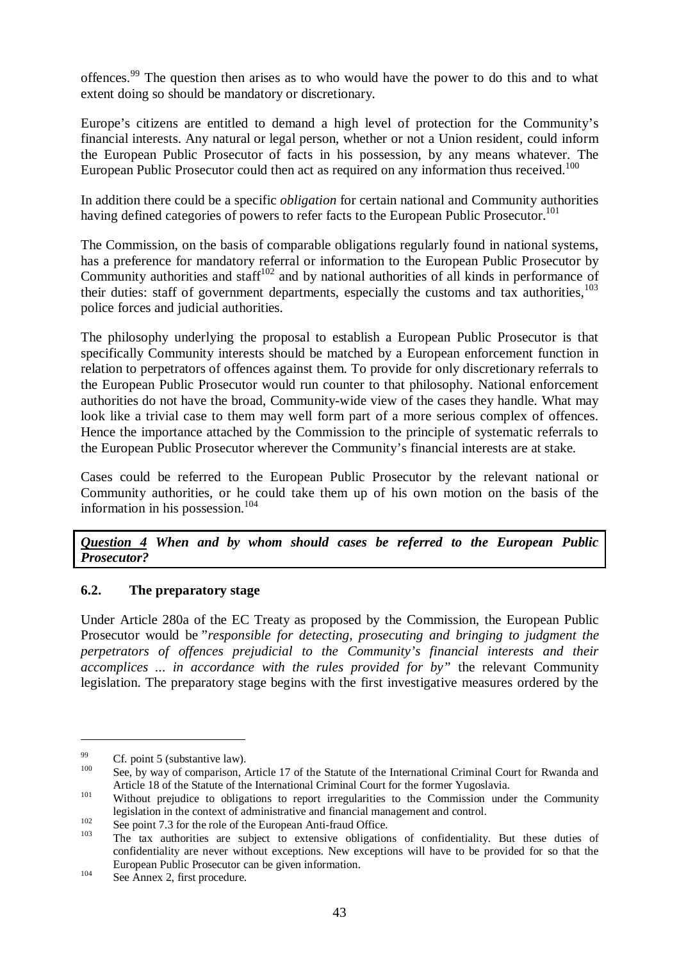offences.<sup>99</sup> The question then arises as to who would have the power to do this and to what extent doing so should be mandatory or discretionary.

Europe's citizens are entitled to demand a high level of protection for the Community's financial interests. Any natural or legal person, whether or not a Union resident, could inform the European Public Prosecutor of facts in his possession, by any means whatever. The European Public Prosecutor could then act as required on any information thus received.<sup>100</sup>

In addition there could be a specific *obligation* for certain national and Community authorities having defined categories of powers to refer facts to the European Public Prosecutor.<sup>101</sup>

The Commission, on the basis of comparable obligations regularly found in national systems, has a preference for mandatory referral or information to the European Public Prosecutor by Community authorities and staff $102$  and by national authorities of all kinds in performance of their duties: staff of government departments, especially the customs and tax authorities.<sup>103</sup> police forces and judicial authorities.

The philosophy underlying the proposal to establish a European Public Prosecutor is that specifically Community interests should be matched by a European enforcement function in relation to perpetrators of offences against them. To provide for only discretionary referrals to the European Public Prosecutor would run counter to that philosophy. National enforcement authorities do not have the broad, Community-wide view of the cases they handle. What may look like a trivial case to them may well form part of a more serious complex of offences. Hence the importance attached by the Commission to the principle of systematic referrals to the European Public Prosecutor wherever the Community's financial interests are at stake.

Cases could be referred to the European Public Prosecutor by the relevant national or Community authorities, or he could take them up of his own motion on the basis of the information in his possession.<sup>104</sup>

*Question 4 When and by whom should cases be referred to the European Public Prosecutor?*

### **6.2. The preparatory stage**

Under Article 280a of the EC Treaty as proposed by the Commission, the European Public Prosecutor would be "*responsible for detecting, prosecuting and bringing to judgment the perpetrators of offences prejudicial to the Community's financial interests and their accomplices ... in accordance with the rules provided for by"* the relevant Community legislation. The preparatory stage begins with the first investigative measures ordered by the

<sup>&</sup>lt;sup>99</sup> Cf. point 5 (substantive law).<br><sup>100</sup> See, by way of comparison, Article 17 of the Statute of the International Criminal Court for Rwanda and Article 18 of the Statute of the International Criminal Court for the former Yugoslavia.<br><sup>101</sup> Without prejudice to obligations to report irregularities to the Commission under the Community

legislation in the context of administrative and financial management and control.<br>
See point 7.3 for the role of the European Anti-fraud Office.<br>
The tax authorities are subject to extensive obligations of confidentiality

confidentiality are never without exceptions. New exceptions will have to be provided for so that the European Public Prosecutor can be given information.<br>See Annex 2, first procedure.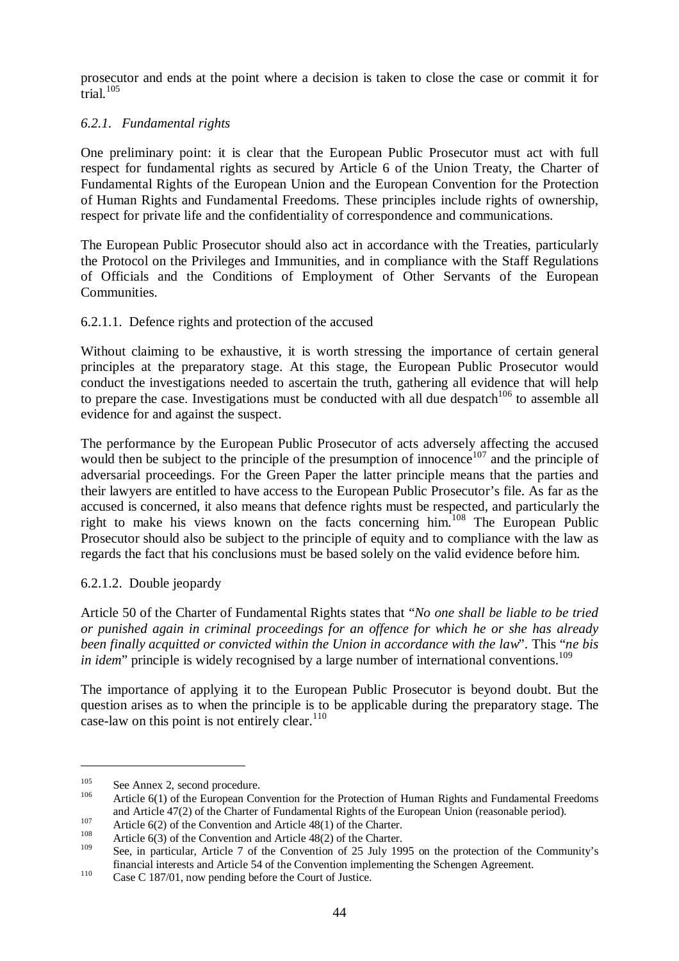prosecutor and ends at the point where a decision is taken to close the case or commit it for  $\text{trial}$ .<sup>105</sup>

## *6.2.1. Fundamental rights*

One preliminary point: it is clear that the European Public Prosecutor must act with full respect for fundamental rights as secured by Article 6 of the Union Treaty, the Charter of Fundamental Rights of the European Union and the European Convention for the Protection of Human Rights and Fundamental Freedoms. These principles include rights of ownership, respect for private life and the confidentiality of correspondence and communications.

The European Public Prosecutor should also act in accordance with the Treaties, particularly the Protocol on the Privileges and Immunities, and in compliance with the Staff Regulations of Officials and the Conditions of Employment of Other Servants of the European Communities.

### 6.2.1.1. Defence rights and protection of the accused

Without claiming to be exhaustive, it is worth stressing the importance of certain general principles at the preparatory stage. At this stage, the European Public Prosecutor would conduct the investigations needed to ascertain the truth, gathering all evidence that will help to prepare the case. Investigations must be conducted with all due despatch<sup>106</sup> to assemble all evidence for and against the suspect.

The performance by the European Public Prosecutor of acts adversely affecting the accused would then be subject to the principle of the presumption of innocence<sup>107</sup> and the principle of adversarial proceedings. For the Green Paper the latter principle means that the parties and their lawyers are entitled to have access to the European Public Prosecutor's file. As far as the accused is concerned, it also means that defence rights must be respected, and particularly the right to make his views known on the facts concerning him.<sup>108</sup> The European Public Prosecutor should also be subject to the principle of equity and to compliance with the law as regards the fact that his conclusions must be based solely on the valid evidence before him.

6.2.1.2. Double jeopardy

Article 50 of the Charter of Fundamental Rights states that "*No one shall be liable to be tried or punished again in criminal proceedings for an offence for which he or she has already been finally acquitted or convicted within the Union in accordance with the law*". This "*ne bis in idem*" principle is widely recognised by a large number of international conventions.<sup>109</sup>

The importance of applying it to the European Public Prosecutor is beyond doubt. But the question arises as to when the principle is to be applicable during the preparatory stage. The case-law on this point is not entirely clear. $110$ 

<sup>&</sup>lt;sup>105</sup> See Annex 2, second procedure.<br><sup>106</sup> Article 6(1) of the European Convention for the Protection of Human Rights and Fundamental Freedoms and Article 47(2) of the Charter of Fundamental Rights of the European Union (reasonable period).<br>Article 6(2) of the Convention and Article 48(1) of the Charter.<br>Article 6(3) of the Convention and Article 48(2) of the Ch

See, in particular, Article 7 of the Convention of 25 July 1995 on the protection of the Community's financial interests and Article 54 of the Convention implementing the Schengen Agreement. <sup>110</sup> Case C 187/01, now pending before the Court of Justice.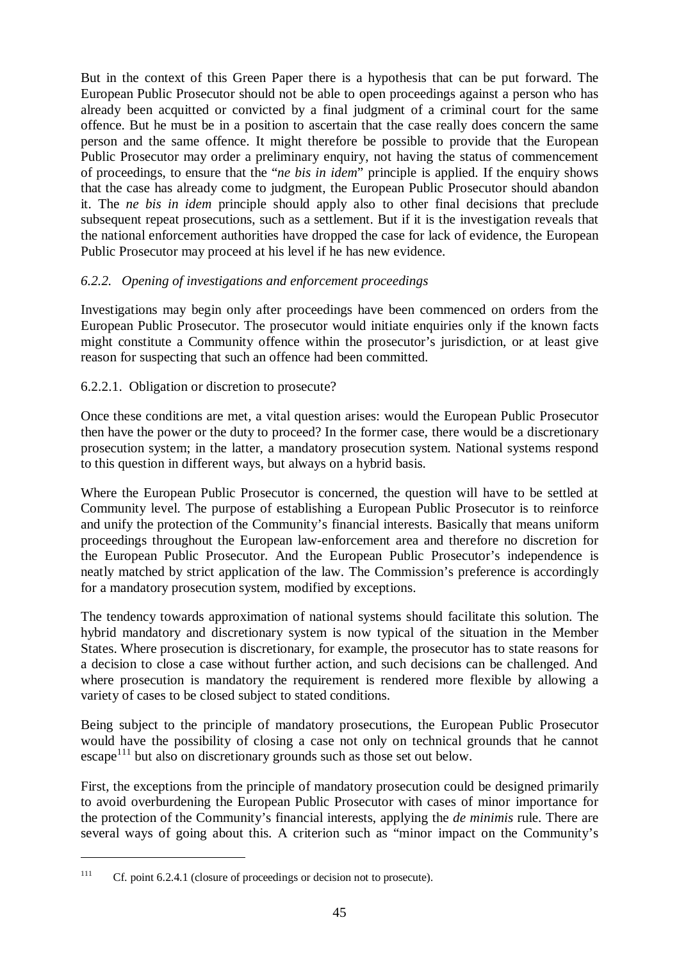But in the context of this Green Paper there is a hypothesis that can be put forward. The European Public Prosecutor should not be able to open proceedings against a person who has already been acquitted or convicted by a final judgment of a criminal court for the same offence. But he must be in a position to ascertain that the case really does concern the same person and the same offence. It might therefore be possible to provide that the European Public Prosecutor may order a preliminary enquiry, not having the status of commencement of proceedings, to ensure that the "*ne bis in idem*" principle is applied. If the enquiry shows that the case has already come to judgment, the European Public Prosecutor should abandon it. The *ne bis in idem* principle should apply also to other final decisions that preclude subsequent repeat prosecutions, such as a settlement. But if it is the investigation reveals that the national enforcement authorities have dropped the case for lack of evidence, the European Public Prosecutor may proceed at his level if he has new evidence.

## *6.2.2. Opening of investigations and enforcement proceedings*

Investigations may begin only after proceedings have been commenced on orders from the European Public Prosecutor. The prosecutor would initiate enquiries only if the known facts might constitute a Community offence within the prosecutor's jurisdiction, or at least give reason for suspecting that such an offence had been committed.

### 6.2.2.1. Obligation or discretion to prosecute?

Once these conditions are met, a vital question arises: would the European Public Prosecutor then have the power or the duty to proceed? In the former case, there would be a discretionary prosecution system; in the latter, a mandatory prosecution system. National systems respond to this question in different ways, but always on a hybrid basis.

Where the European Public Prosecutor is concerned, the question will have to be settled at Community level. The purpose of establishing a European Public Prosecutor is to reinforce and unify the protection of the Community's financial interests. Basically that means uniform proceedings throughout the European law-enforcement area and therefore no discretion for the European Public Prosecutor. And the European Public Prosecutor's independence is neatly matched by strict application of the law. The Commission's preference is accordingly for a mandatory prosecution system, modified by exceptions.

The tendency towards approximation of national systems should facilitate this solution. The hybrid mandatory and discretionary system is now typical of the situation in the Member States. Where prosecution is discretionary, for example, the prosecutor has to state reasons for a decision to close a case without further action, and such decisions can be challenged. And where prosecution is mandatory the requirement is rendered more flexible by allowing a variety of cases to be closed subject to stated conditions.

Being subject to the principle of mandatory prosecutions, the European Public Prosecutor would have the possibility of closing a case not only on technical grounds that he cannot  $\epsilon$  escape<sup>111</sup> but also on discretionary grounds such as those set out below.

First, the exceptions from the principle of mandatory prosecution could be designed primarily to avoid overburdening the European Public Prosecutor with cases of minor importance for the protection of the Community's financial interests, applying the *de minimis* rule. There are several ways of going about this. A criterion such as "minor impact on the Community's

<sup>&</sup>lt;sup>111</sup> Cf. point 6.2.4.1 (closure of proceedings or decision not to prosecute).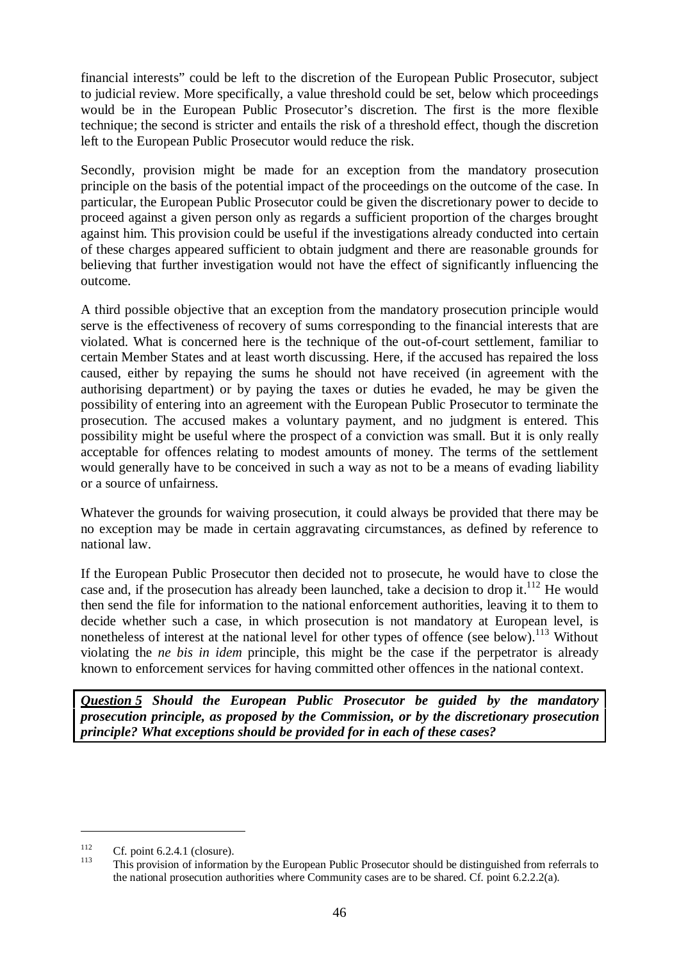financial interests" could be left to the discretion of the European Public Prosecutor, subject to judicial review. More specifically, a value threshold could be set, below which proceedings would be in the European Public Prosecutor's discretion. The first is the more flexible technique; the second is stricter and entails the risk of a threshold effect, though the discretion left to the European Public Prosecutor would reduce the risk.

Secondly, provision might be made for an exception from the mandatory prosecution principle on the basis of the potential impact of the proceedings on the outcome of the case. In particular, the European Public Prosecutor could be given the discretionary power to decide to proceed against a given person only as regards a sufficient proportion of the charges brought against him. This provision could be useful if the investigations already conducted into certain of these charges appeared sufficient to obtain judgment and there are reasonable grounds for believing that further investigation would not have the effect of significantly influencing the outcome.

A third possible objective that an exception from the mandatory prosecution principle would serve is the effectiveness of recovery of sums corresponding to the financial interests that are violated. What is concerned here is the technique of the out-of-court settlement, familiar to certain Member States and at least worth discussing. Here, if the accused has repaired the loss caused, either by repaying the sums he should not have received (in agreement with the authorising department) or by paying the taxes or duties he evaded, he may be given the possibility of entering into an agreement with the European Public Prosecutor to terminate the prosecution. The accused makes a voluntary payment, and no judgment is entered. This possibility might be useful where the prospect of a conviction was small. But it is only really acceptable for offences relating to modest amounts of money. The terms of the settlement would generally have to be conceived in such a way as not to be a means of evading liability or a source of unfairness.

Whatever the grounds for waiving prosecution, it could always be provided that there may be no exception may be made in certain aggravating circumstances, as defined by reference to national law.

If the European Public Prosecutor then decided not to prosecute, he would have to close the case and, if the prosecution has already been launched, take a decision to drop it.<sup>112</sup> He would then send the file for information to the national enforcement authorities, leaving it to them to decide whether such a case, in which prosecution is not mandatory at European level, is nonetheless of interest at the national level for other types of offence (see below).<sup>113</sup> Without violating the *ne bis in idem* principle, this might be the case if the perpetrator is already known to enforcement services for having committed other offences in the national context.

*Question 5 Should the European Public Prosecutor be guided by the mandatory prosecution principle, as proposed by the Commission, or by the discretionary prosecution principle? What exceptions should be provided for in each of these cases?*

<sup>&</sup>lt;sup>112</sup> Cf. point 6.2.4.1 (closure).<br><sup>113</sup> This provision of information by the European Public Prosecutor should be distinguished from referrals to the national prosecution authorities where Community cases are to be shared. Cf. point 6.2.2.2(a).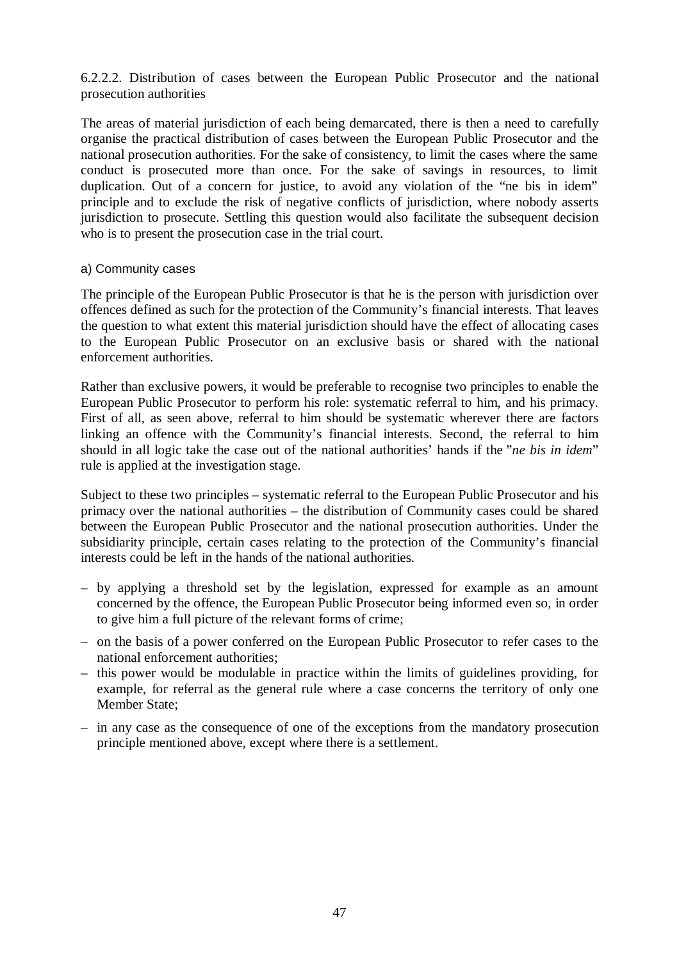6.2.2.2. Distribution of cases between the European Public Prosecutor and the national prosecution authorities

The areas of material jurisdiction of each being demarcated, there is then a need to carefully organise the practical distribution of cases between the European Public Prosecutor and the national prosecution authorities. For the sake of consistency, to limit the cases where the same conduct is prosecuted more than once. For the sake of savings in resources, to limit duplication. Out of a concern for justice, to avoid any violation of the "ne bis in idem" principle and to exclude the risk of negative conflicts of jurisdiction, where nobody asserts jurisdiction to prosecute. Settling this question would also facilitate the subsequent decision who is to present the prosecution case in the trial court.

#### a) Community cases

The principle of the European Public Prosecutor is that he is the person with jurisdiction over offences defined as such for the protection of the Community's financial interests. That leaves the question to what extent this material jurisdiction should have the effect of allocating cases to the European Public Prosecutor on an exclusive basis or shared with the national enforcement authorities.

Rather than exclusive powers, it would be preferable to recognise two principles to enable the European Public Prosecutor to perform his role: systematic referral to him, and his primacy. First of all, as seen above, referral to him should be systematic wherever there are factors linking an offence with the Community's financial interests. Second, the referral to him should in all logic take the case out of the national authorities' hands if the "*ne bis in idem*" rule is applied at the investigation stage.

Subject to these two principles – systematic referral to the European Public Prosecutor and his primacy over the national authorities – the distribution of Community cases could be shared between the European Public Prosecutor and the national prosecution authorities. Under the subsidiarity principle, certain cases relating to the protection of the Community's financial interests could be left in the hands of the national authorities.

- by applying a threshold set by the legislation, expressed for example as an amount concerned by the offence, the European Public Prosecutor being informed even so, in order to give him a full picture of the relevant forms of crime;
- on the basis of a power conferred on the European Public Prosecutor to refer cases to the national enforcement authorities;
- this power would be modulable in practice within the limits of guidelines providing, for example, for referral as the general rule where a case concerns the territory of only one Member State;
- in any case as the consequence of one of the exceptions from the mandatory prosecution principle mentioned above, except where there is a settlement.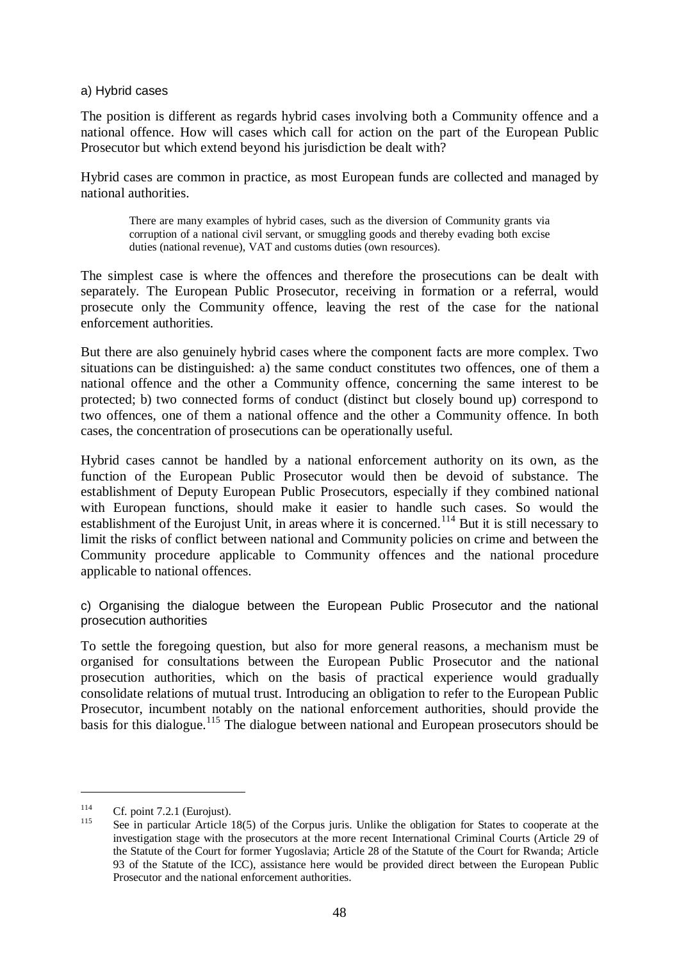#### a) Hybrid cases

The position is different as regards hybrid cases involving both a Community offence and a national offence. How will cases which call for action on the part of the European Public Prosecutor but which extend beyond his jurisdiction be dealt with?

Hybrid cases are common in practice, as most European funds are collected and managed by national authorities.

There are many examples of hybrid cases, such as the diversion of Community grants via corruption of a national civil servant, or smuggling goods and thereby evading both excise duties (national revenue), VAT and customs duties (own resources).

The simplest case is where the offences and therefore the prosecutions can be dealt with separately. The European Public Prosecutor, receiving in formation or a referral, would prosecute only the Community offence, leaving the rest of the case for the national enforcement authorities.

But there are also genuinely hybrid cases where the component facts are more complex. Two situations can be distinguished: a) the same conduct constitutes two offences, one of them a national offence and the other a Community offence, concerning the same interest to be protected; b) two connected forms of conduct (distinct but closely bound up) correspond to two offences, one of them a national offence and the other a Community offence. In both cases, the concentration of prosecutions can be operationally useful.

Hybrid cases cannot be handled by a national enforcement authority on its own, as the function of the European Public Prosecutor would then be devoid of substance. The establishment of Deputy European Public Prosecutors, especially if they combined national with European functions, should make it easier to handle such cases. So would the establishment of the Eurojust Unit, in areas where it is concerned.<sup>114</sup> But it is still necessary to limit the risks of conflict between national and Community policies on crime and between the Community procedure applicable to Community offences and the national procedure applicable to national offences.

c) Organising the dialogue between the European Public Prosecutor and the national prosecution authorities

To settle the foregoing question, but also for more general reasons, a mechanism must be organised for consultations between the European Public Prosecutor and the national prosecution authorities, which on the basis of practical experience would gradually consolidate relations of mutual trust. Introducing an obligation to refer to the European Public Prosecutor, incumbent notably on the national enforcement authorities, should provide the basis for this dialogue.<sup>115</sup> The dialogue between national and European prosecutors should be

<sup>&</sup>lt;sup>114</sup> Cf. point 7.2.1 (Eurojust).<br><sup>115</sup> See in particular Article 18(5) of the Corpus juris. Unlike the obligation for States to cooperate at the investigation stage with the prosecutors at the more recent International Criminal Courts (Article 29 of the Statute of the Court for former Yugoslavia; Article 28 of the Statute of the Court for Rwanda; Article 93 of the Statute of the ICC), assistance here would be provided direct between the European Public Prosecutor and the national enforcement authorities.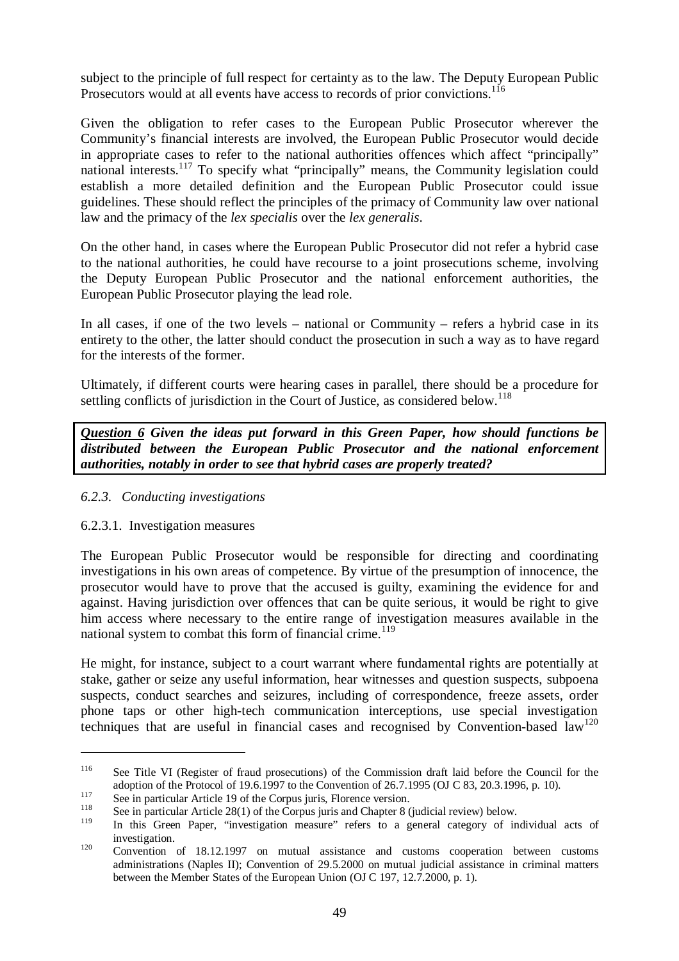subject to the principle of full respect for certainty as to the law. The Deputy European Public Prosecutors would at all events have access to records of prior convictions.<sup>116</sup>

Given the obligation to refer cases to the European Public Prosecutor wherever the Community's financial interests are involved, the European Public Prosecutor would decide in appropriate cases to refer to the national authorities offences which affect "principally" national interests.<sup>117</sup> To specify what "principally" means, the Community legislation could establish a more detailed definition and the European Public Prosecutor could issue guidelines. These should reflect the principles of the primacy of Community law over national law and the primacy of the *lex specialis* over the *lex generalis*.

On the other hand, in cases where the European Public Prosecutor did not refer a hybrid case to the national authorities, he could have recourse to a joint prosecutions scheme, involving the Deputy European Public Prosecutor and the national enforcement authorities, the European Public Prosecutor playing the lead role.

In all cases, if one of the two levels – national or Community – refers a hybrid case in its entirety to the other, the latter should conduct the prosecution in such a way as to have regard for the interests of the former.

Ultimately, if different courts were hearing cases in parallel, there should be a procedure for settling conflicts of jurisdiction in the Court of Justice, as considered below.<sup>118</sup>

*Question 6 Given the ideas put forward in this Green Paper, how should functions be distributed between the European Public Prosecutor and the national enforcement authorities, notably in order to see that hybrid cases are properly treated?*

### *6.2.3. Conducting investigations*

### 6.2.3.1. Investigation measures

The European Public Prosecutor would be responsible for directing and coordinating investigations in his own areas of competence. By virtue of the presumption of innocence, the prosecutor would have to prove that the accused is guilty, examining the evidence for and against. Having jurisdiction over offences that can be quite serious, it would be right to give him access where necessary to the entire range of investigation measures available in the national system to combat this form of financial crime.<sup>119</sup>

He might, for instance, subject to a court warrant where fundamental rights are potentially at stake, gather or seize any useful information, hear witnesses and question suspects, subpoena suspects, conduct searches and seizures, including of correspondence, freeze assets, order phone taps or other high-tech communication interceptions, use special investigation techniques that are useful in financial cases and recognised by Convention-based  $\text{law}^{120}$ 

<sup>&</sup>lt;sup>116</sup> See Title VI (Register of fraud prosecutions) of the Commission draft laid before the Council for the adoption of the Protocol of 19.6.1997 to the Convention of 26.7.1995 (OJ C 83, 20.3.1996, p. 10).<br>See in particular Article 19 of the Corpus juris, Florence version.<br>See in particular Article 28(1) of the Corpus juris and

In this Green Paper, "investigation measure" refers to a general category of individual acts of

investigation.<br><sup>120</sup> Convention of 18.12.1997 on mutual assistance and customs cooperation between customs administrations (Naples II); Convention of 29.5.2000 on mutual judicial assistance in criminal matters between the Member States of the European Union (OJ C 197, 12.7.2000, p. 1).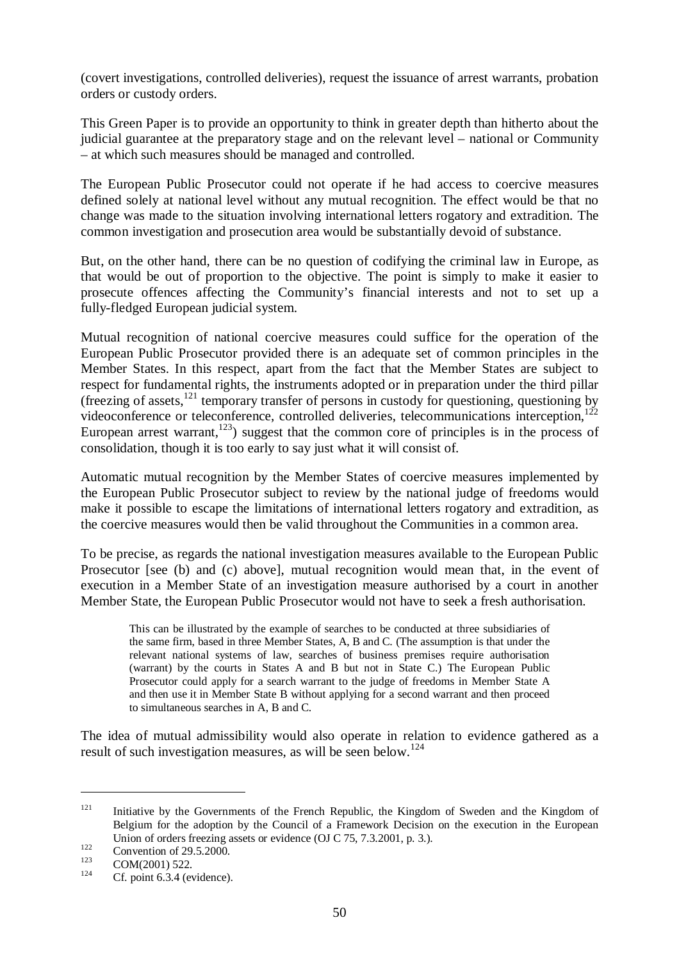(covert investigations, controlled deliveries), request the issuance of arrest warrants, probation orders or custody orders.

This Green Paper is to provide an opportunity to think in greater depth than hitherto about the judicial guarantee at the preparatory stage and on the relevant level – national or Community – at which such measures should be managed and controlled.

The European Public Prosecutor could not operate if he had access to coercive measures defined solely at national level without any mutual recognition. The effect would be that no change was made to the situation involving international letters rogatory and extradition. The common investigation and prosecution area would be substantially devoid of substance.

But, on the other hand, there can be no question of codifying the criminal law in Europe, as that would be out of proportion to the objective. The point is simply to make it easier to prosecute offences affecting the Community's financial interests and not to set up a fully-fledged European judicial system.

Mutual recognition of national coercive measures could suffice for the operation of the European Public Prosecutor provided there is an adequate set of common principles in the Member States. In this respect, apart from the fact that the Member States are subject to respect for fundamental rights, the instruments adopted or in preparation under the third pillar (freezing of assets, $^{121}$  temporary transfer of persons in custody for questioning, questioning by videoconference or teleconference, controlled deliveries, telecommunications interception,<sup>122</sup> European arrest warrant,<sup>123</sup>) suggest that the common core of principles is in the process of consolidation, though it is too early to say just what it will consist of.

Automatic mutual recognition by the Member States of coercive measures implemented by the European Public Prosecutor subject to review by the national judge of freedoms would make it possible to escape the limitations of international letters rogatory and extradition, as the coercive measures would then be valid throughout the Communities in a common area.

To be precise, as regards the national investigation measures available to the European Public Prosecutor [see (b) and (c) above], mutual recognition would mean that, in the event of execution in a Member State of an investigation measure authorised by a court in another Member State, the European Public Prosecutor would not have to seek a fresh authorisation.

This can be illustrated by the example of searches to be conducted at three subsidiaries of the same firm, based in three Member States, A, B and C. (The assumption is that under the relevant national systems of law, searches of business premises require authorisation (warrant) by the courts in States A and B but not in State C.) The European Public Prosecutor could apply for a search warrant to the judge of freedoms in Member State A and then use it in Member State B without applying for a second warrant and then proceed to simultaneous searches in A, B and C.

The idea of mutual admissibility would also operate in relation to evidence gathered as a result of such investigation measures, as will be seen below.<sup>124</sup>

<sup>&</sup>lt;sup>121</sup> Initiative by the Governments of the French Republic, the Kingdom of Sweden and the Kingdom of Belgium for the adoption by the Council of a Framework Decision on the execution in the European Union of orders freezing assets or evidence (OJ C 75, 7.3.2001, p. 3.).<br>Convention of 29.5.2000.<br>COM(2001) 522.<br>Cf. point 6.3.4 (evidence).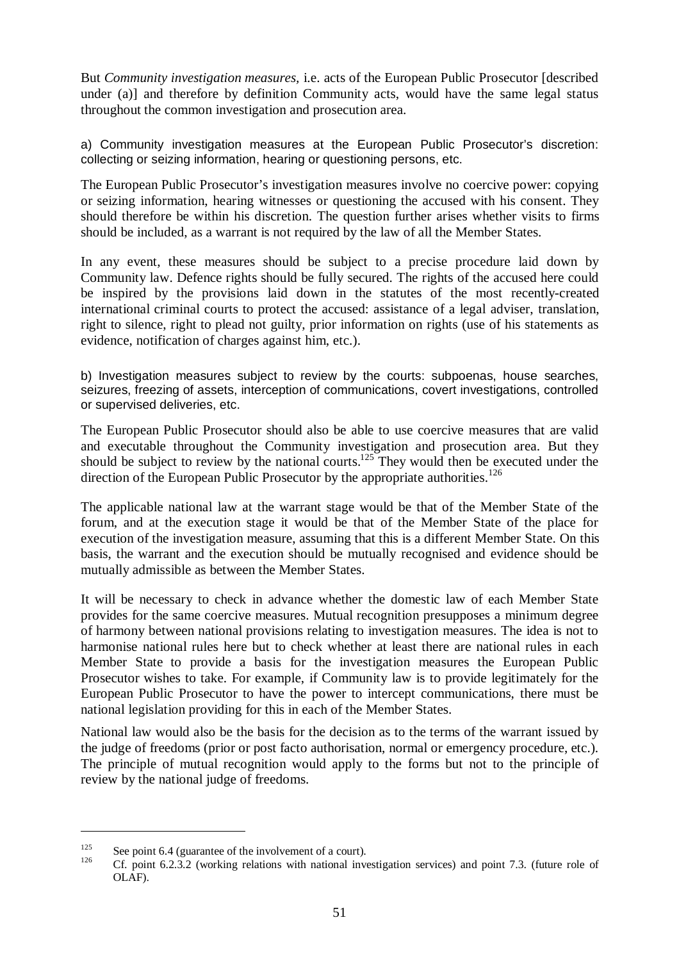But *Community investigation measures,* i.e. acts of the European Public Prosecutor [described under (a)] and therefore by definition Community acts, would have the same legal status throughout the common investigation and prosecution area.

a) Community investigation measures at the European Public Prosecutor's discretion: collecting or seizing information, hearing or questioning persons, etc.

The European Public Prosecutor's investigation measures involve no coercive power: copying or seizing information, hearing witnesses or questioning the accused with his consent. They should therefore be within his discretion. The question further arises whether visits to firms should be included, as a warrant is not required by the law of all the Member States.

In any event, these measures should be subject to a precise procedure laid down by Community law. Defence rights should be fully secured. The rights of the accused here could be inspired by the provisions laid down in the statutes of the most recently-created international criminal courts to protect the accused: assistance of a legal adviser, translation, right to silence, right to plead not guilty, prior information on rights (use of his statements as evidence, notification of charges against him, etc.).

b) Investigation measures subject to review by the courts: subpoenas, house searches, seizures, freezing of assets, interception of communications, covert investigations, controlled or supervised deliveries, etc.

The European Public Prosecutor should also be able to use coercive measures that are valid and executable throughout the Community investigation and prosecution area. But they should be subject to review by the national courts.<sup>125</sup> They would then be executed under the direction of the European Public Prosecutor by the appropriate authorities.<sup>126</sup>

The applicable national law at the warrant stage would be that of the Member State of the forum, and at the execution stage it would be that of the Member State of the place for execution of the investigation measure, assuming that this is a different Member State. On this basis, the warrant and the execution should be mutually recognised and evidence should be mutually admissible as between the Member States.

It will be necessary to check in advance whether the domestic law of each Member State provides for the same coercive measures. Mutual recognition presupposes a minimum degree of harmony between national provisions relating to investigation measures. The idea is not to harmonise national rules here but to check whether at least there are national rules in each Member State to provide a basis for the investigation measures the European Public Prosecutor wishes to take. For example, if Community law is to provide legitimately for the European Public Prosecutor to have the power to intercept communications, there must be national legislation providing for this in each of the Member States.

National law would also be the basis for the decision as to the terms of the warrant issued by the judge of freedoms (prior or post facto authorisation, normal or emergency procedure, etc.). The principle of mutual recognition would apply to the forms but not to the principle of review by the national judge of freedoms.

<sup>&</sup>lt;sup>125</sup> See point 6.4 (guarantee of the involvement of a court).<br><sup>126</sup> Cf. point 6.2.3.2 (working relations with national investigation services) and point 7.3. (future role of OLAF).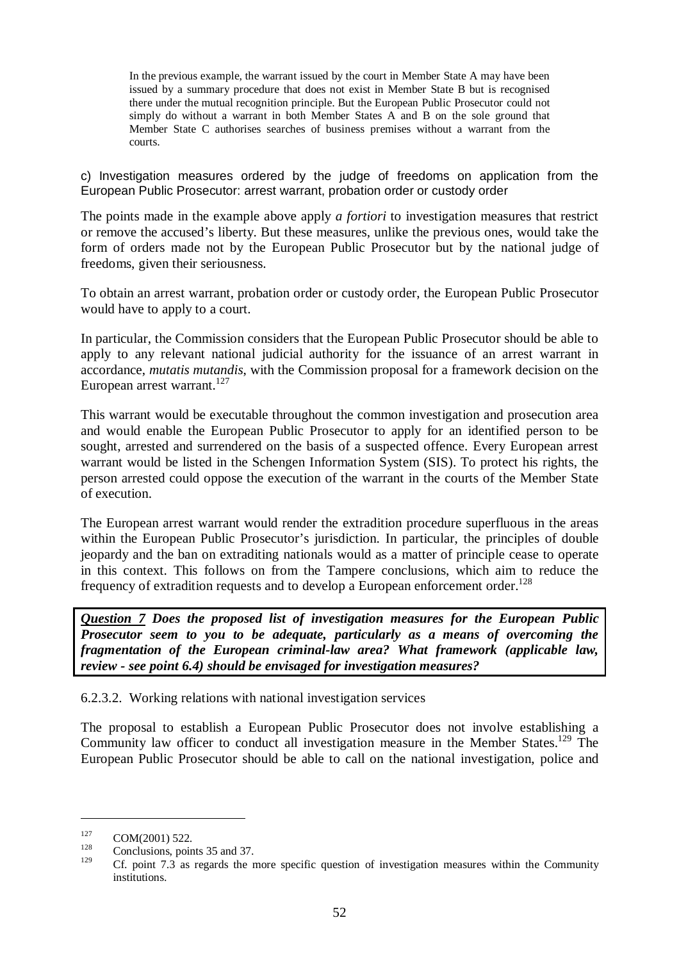In the previous example, the warrant issued by the court in Member State A may have been issued by a summary procedure that does not exist in Member State B but is recognised there under the mutual recognition principle. But the European Public Prosecutor could not simply do without a warrant in both Member States A and B on the sole ground that Member State C authorises searches of business premises without a warrant from the courts.

c) Investigation measures ordered by the judge of freedoms on application from the European Public Prosecutor: arrest warrant, probation order or custody order

The points made in the example above apply *a fortiori* to investigation measures that restrict or remove the accused's liberty. But these measures, unlike the previous ones, would take the form of orders made not by the European Public Prosecutor but by the national judge of freedoms, given their seriousness.

To obtain an arrest warrant, probation order or custody order, the European Public Prosecutor would have to apply to a court.

In particular, the Commission considers that the European Public Prosecutor should be able to apply to any relevant national judicial authority for the issuance of an arrest warrant in accordance, *mutatis mutandis*, with the Commission proposal for a framework decision on the European arrest warrant. $^{127}$ 

This warrant would be executable throughout the common investigation and prosecution area and would enable the European Public Prosecutor to apply for an identified person to be sought, arrested and surrendered on the basis of a suspected offence. Every European arrest warrant would be listed in the Schengen Information System (SIS). To protect his rights, the person arrested could oppose the execution of the warrant in the courts of the Member State of execution.

The European arrest warrant would render the extradition procedure superfluous in the areas within the European Public Prosecutor's jurisdiction. In particular, the principles of double jeopardy and the ban on extraditing nationals would as a matter of principle cease to operate in this context. This follows on from the Tampere conclusions, which aim to reduce the frequency of extradition requests and to develop a European enforcement order.<sup>128</sup>

*Question 7 Does the proposed list of investigation measures for the European Public Prosecutor seem to you to be adequate, particularly as a means of overcoming the fragmentation of the European criminal-law area? What framework (applicable law, review - see point 6.4) should be envisaged for investigation measures?*

6.2.3.2. Working relations with national investigation services

The proposal to establish a European Public Prosecutor does not involve establishing a Community law officer to conduct all investigation measure in the Member States.<sup>129</sup> The European Public Prosecutor should be able to call on the national investigation, police and

 $127 \tCOM(2001) 522.$ <br>128 Conclusions, points 35 and 37.

Cf. point 7.3 as regards the more specific question of investigation measures within the Community institutions.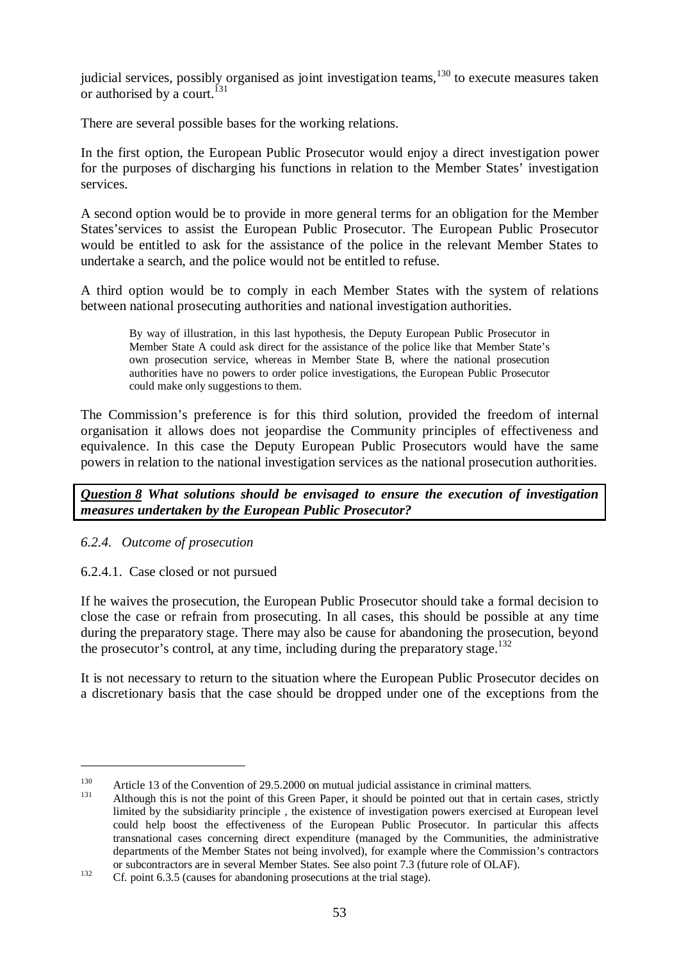judicial services, possibly organised as joint investigation teams,<sup>130</sup> to execute measures taken or authorised by a court.<sup>131</sup>

There are several possible bases for the working relations.

In the first option, the European Public Prosecutor would enjoy a direct investigation power for the purposes of discharging his functions in relation to the Member States' investigation services.

A second option would be to provide in more general terms for an obligation for the Member States'services to assist the European Public Prosecutor. The European Public Prosecutor would be entitled to ask for the assistance of the police in the relevant Member States to undertake a search, and the police would not be entitled to refuse.

A third option would be to comply in each Member States with the system of relations between national prosecuting authorities and national investigation authorities.

By way of illustration, in this last hypothesis, the Deputy European Public Prosecutor in Member State A could ask direct for the assistance of the police like that Member State's own prosecution service, whereas in Member State B, where the national prosecution authorities have no powers to order police investigations, the European Public Prosecutor could make only suggestions to them.

The Commission's preference is for this third solution, provided the freedom of internal organisation it allows does not jeopardise the Community principles of effectiveness and equivalence. In this case the Deputy European Public Prosecutors would have the same powers in relation to the national investigation services as the national prosecution authorities.

*Question 8 What solutions should be envisaged to ensure the execution of investigation measures undertaken by the European Public Prosecutor?*

*6.2.4. Outcome of prosecution*

6.2.4.1. Case closed or not pursued

If he waives the prosecution, the European Public Prosecutor should take a formal decision to close the case or refrain from prosecuting. In all cases, this should be possible at any time during the preparatory stage. There may also be cause for abandoning the prosecution, beyond the prosecutor's control, at any time, including during the preparatory stage.<sup>132</sup>

It is not necessary to return to the situation where the European Public Prosecutor decides on a discretionary basis that the case should be dropped under one of the exceptions from the

<sup>130</sup> Article 13 of the Convention of 29.5.2000 on mutual judicial assistance in criminal matters.<br>
131 Although this is not the point of this Green Paper, it should be pointed out that in certain cases, strictly

limited by the subsidiarity principle , the existence of investigation powers exercised at European level could help boost the effectiveness of the European Public Prosecutor. In particular this affects transnational cases concerning direct expenditure (managed by the Communities, the administrative departments of the Member States not being involved), for example where the Commission's contractors

or subcontractors are in several Member States. See also point 7.3 (future role of OLAF).<br>132 Cf. point 6.3.5 (causes for abandoning prosecutions at the trial stage).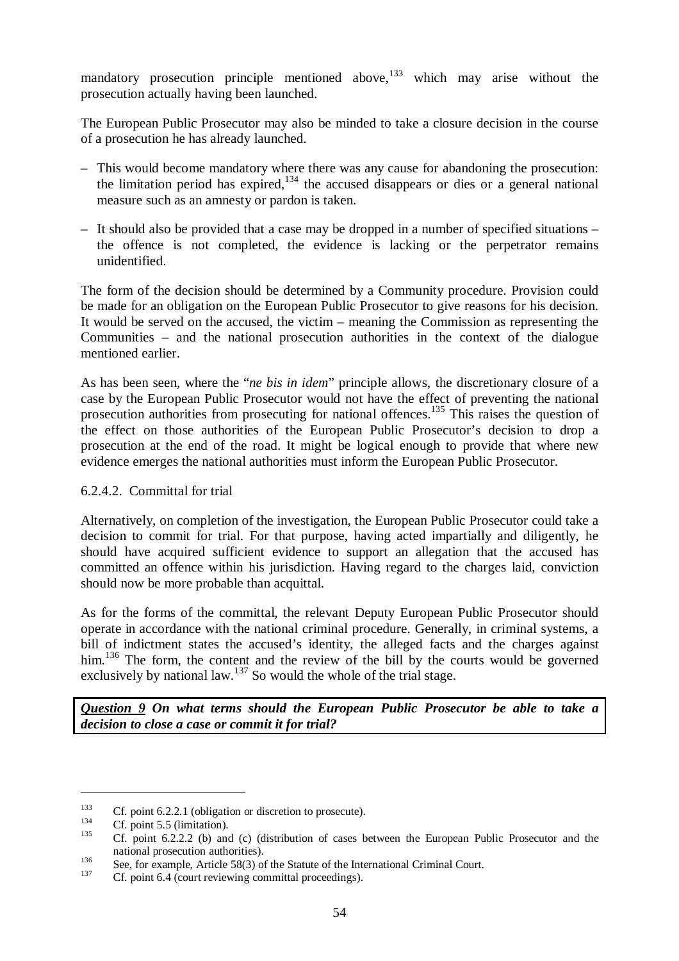mandatory prosecution principle mentioned above, $133$  which may arise without the prosecution actually having been launched.

The European Public Prosecutor may also be minded to take a closure decision in the course of a prosecution he has already launched.

- This would become mandatory where there was any cause for abandoning the prosecution: the limitation period has expired,<sup>134</sup> the accused disappears or dies or a general national measure such as an amnesty or pardon is taken.
- It should also be provided that a case may be dropped in a number of specified situations the offence is not completed, the evidence is lacking or the perpetrator remains unidentified.

The form of the decision should be determined by a Community procedure. Provision could be made for an obligation on the European Public Prosecutor to give reasons for his decision. It would be served on the accused, the victim – meaning the Commission as representing the Communities – and the national prosecution authorities in the context of the dialogue mentioned earlier.

As has been seen, where the "*ne bis in idem*" principle allows, the discretionary closure of a case by the European Public Prosecutor would not have the effect of preventing the national prosecution authorities from prosecuting for national offences.<sup>135</sup> This raises the question of the effect on those authorities of the European Public Prosecutor's decision to drop a prosecution at the end of the road. It might be logical enough to provide that where new evidence emerges the national authorities must inform the European Public Prosecutor.

### 6.2.4.2. Committal for trial

Alternatively, on completion of the investigation, the European Public Prosecutor could take a decision to commit for trial. For that purpose, having acted impartially and diligently, he should have acquired sufficient evidence to support an allegation that the accused has committed an offence within his jurisdiction. Having regard to the charges laid, conviction should now be more probable than acquittal.

As for the forms of the committal, the relevant Deputy European Public Prosecutor should operate in accordance with the national criminal procedure. Generally, in criminal systems, a bill of indictment states the accused's identity, the alleged facts and the charges against him.<sup>136</sup> The form, the content and the review of the bill by the courts would be governed exclusively by national law.<sup>137</sup> So would the whole of the trial stage.

*Question 9 On what terms should the European Public Prosecutor be able to take a decision to close a case or commit it for trial?*

<sup>&</sup>lt;sup>133</sup> Cf. point 6.2.2.1 (obligation or discretion to prosecute).<br>
1<sup>34</sup> Cf. point 5.5 (limitation).<br>
1<sup>35</sup> Cf. point 6.2.2.2 (b) and (c) (distribution of cases between the European Public Prosecutor and the national prosecution authorities).<br>
See, for example, Article 58(3) of the Statute of the International Criminal Court.<br>
Cf. point 6.4 (court reviewing committal proceedings).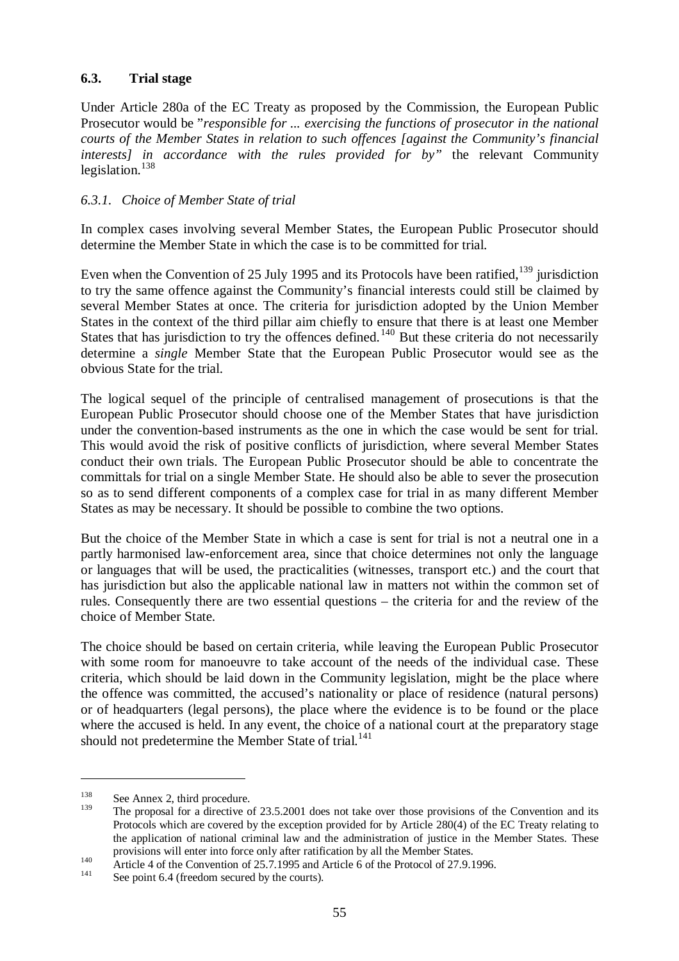### **6.3. Trial stage**

Under Article 280a of the EC Treaty as proposed by the Commission, the European Public Prosecutor would be "*responsible for ... exercising the functions of prosecutor in the national courts of the Member States in relation to such offences [against the Community's financial interests] in accordance with the rules provided for by"* the relevant Community legislation.<sup>138</sup>

#### *6.3.1. Choice of Member State of trial*

In complex cases involving several Member States, the European Public Prosecutor should determine the Member State in which the case is to be committed for trial.

Even when the Convention of 25 July 1995 and its Protocols have been ratified,  $^{139}$  jurisdiction to try the same offence against the Community's financial interests could still be claimed by several Member States at once. The criteria for jurisdiction adopted by the Union Member States in the context of the third pillar aim chiefly to ensure that there is at least one Member States that has jurisdiction to try the offences defined.<sup>140</sup> But these criteria do not necessarily determine a *single* Member State that the European Public Prosecutor would see as the obvious State for the trial.

The logical sequel of the principle of centralised management of prosecutions is that the European Public Prosecutor should choose one of the Member States that have jurisdiction under the convention-based instruments as the one in which the case would be sent for trial. This would avoid the risk of positive conflicts of jurisdiction, where several Member States conduct their own trials. The European Public Prosecutor should be able to concentrate the committals for trial on a single Member State. He should also be able to sever the prosecution so as to send different components of a complex case for trial in as many different Member States as may be necessary. It should be possible to combine the two options.

But the choice of the Member State in which a case is sent for trial is not a neutral one in a partly harmonised law-enforcement area, since that choice determines not only the language or languages that will be used, the practicalities (witnesses, transport etc.) and the court that has jurisdiction but also the applicable national law in matters not within the common set of rules. Consequently there are two essential questions – the criteria for and the review of the choice of Member State.

The choice should be based on certain criteria, while leaving the European Public Prosecutor with some room for manoeuvre to take account of the needs of the individual case. These criteria, which should be laid down in the Community legislation, might be the place where the offence was committed, the accused's nationality or place of residence (natural persons) or of headquarters (legal persons), the place where the evidence is to be found or the place where the accused is held. In any event, the choice of a national court at the preparatory stage should not predetermine the Member State of trial.<sup>141</sup>

 $\frac{138}{139}$  See Annex 2, third procedure.

The proposal for a directive of 23.5.2001 does not take over those provisions of the Convention and its Protocols which are covered by the exception provided for by Article 280(4) of the EC Treaty relating to the application of national criminal law and the administration of justice in the Member States. These

provisions will enter into force only after ratification by all the Member States.<br>
140 Article 4 of the Convention of 25.7.1995 and Article 6 of the Protocol of 27.9.1996.<br>
141 See point 6.4 (freedom secured by the courts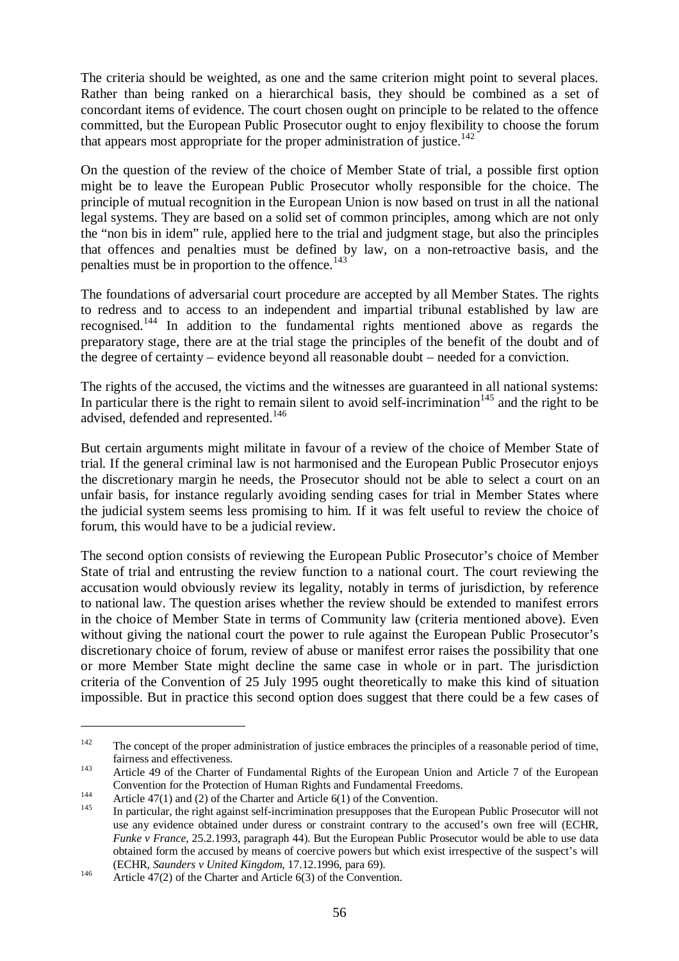The criteria should be weighted, as one and the same criterion might point to several places. Rather than being ranked on a hierarchical basis, they should be combined as a set of concordant items of evidence. The court chosen ought on principle to be related to the offence committed, but the European Public Prosecutor ought to enjoy flexibility to choose the forum that appears most appropriate for the proper administration of justice.<sup>142</sup>

On the question of the review of the choice of Member State of trial, a possible first option might be to leave the European Public Prosecutor wholly responsible for the choice. The principle of mutual recognition in the European Union is now based on trust in all the national legal systems. They are based on a solid set of common principles, among which are not only the "non bis in idem" rule, applied here to the trial and judgment stage, but also the principles that offences and penalties must be defined by law, on a non-retroactive basis, and the penalties must be in proportion to the offence.<sup>143</sup>

The foundations of adversarial court procedure are accepted by all Member States. The rights to redress and to access to an independent and impartial tribunal established by law are recognised.<sup>144</sup> In addition to the fundamental rights mentioned above as regards the preparatory stage, there are at the trial stage the principles of the benefit of the doubt and of the degree of certainty – evidence beyond all reasonable doubt – needed for a conviction.

The rights of the accused, the victims and the witnesses are guaranteed in all national systems: In particular there is the right to remain silent to avoid self-incrimination<sup>145</sup> and the right to be advised, defended and represented.<sup>146</sup>

But certain arguments might militate in favour of a review of the choice of Member State of trial. If the general criminal law is not harmonised and the European Public Prosecutor enjoys the discretionary margin he needs, the Prosecutor should not be able to select a court on an unfair basis, for instance regularly avoiding sending cases for trial in Member States where the judicial system seems less promising to him. If it was felt useful to review the choice of forum, this would have to be a judicial review.

The second option consists of reviewing the European Public Prosecutor's choice of Member State of trial and entrusting the review function to a national court. The court reviewing the accusation would obviously review its legality, notably in terms of jurisdiction, by reference to national law. The question arises whether the review should be extended to manifest errors in the choice of Member State in terms of Community law (criteria mentioned above). Even without giving the national court the power to rule against the European Public Prosecutor's discretionary choice of forum, review of abuse or manifest error raises the possibility that one or more Member State might decline the same case in whole or in part. The jurisdiction criteria of the Convention of 25 July 1995 ought theoretically to make this kind of situation impossible. But in practice this second option does suggest that there could be a few cases of

<sup>&</sup>lt;sup>142</sup> The concept of the proper administration of justice embraces the principles of a reasonable period of time, fairness and effectiveness.<br><sup>143</sup> Article 49 of the Charter of Fundamental Rights of the European Union and Article 7 of the European

Convention for the Protection of Human Rights and Fundamental Freedoms.<br>Article 47(1) and (2) of the Charter and Article 6(1) of the Convention.<br>In particular, the right against self-incrimination presupposes that the Eur

use any evidence obtained under duress or constraint contrary to the accused's own free will (ECHR, *Funke v France*, 25.2.1993, paragraph 44). But the European Public Prosecutor would be able to use data obtained form the accused by means of coercive powers but which exist irrespective of the suspect's will (ECHR, *Saunders v United Kingdom*, 17.12.1996, para 69).<br>
<sup>146</sup> Article 47(2) of the Charter and Article 6(3) of the Convention.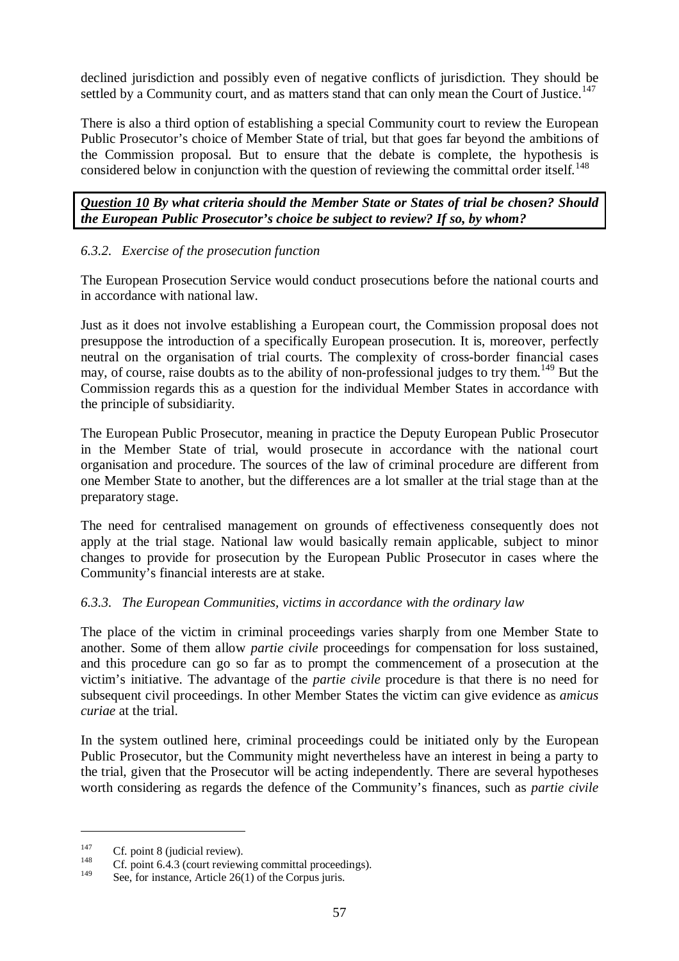declined jurisdiction and possibly even of negative conflicts of jurisdiction. They should be settled by a Community court, and as matters stand that can only mean the Court of Justice.<sup>147</sup>

There is also a third option of establishing a special Community court to review the European Public Prosecutor's choice of Member State of trial, but that goes far beyond the ambitions of the Commission proposal. But to ensure that the debate is complete, the hypothesis is considered below in conjunction with the question of reviewing the committal order itself.<sup>148</sup>

*Question 10 By what criteria should the Member State or States of trial be chosen? Should the European Public Prosecutor's choice be subject to review? If so, by whom?*

## *6.3.2. Exercise of the prosecution function*

The European Prosecution Service would conduct prosecutions before the national courts and in accordance with national law.

Just as it does not involve establishing a European court, the Commission proposal does not presuppose the introduction of a specifically European prosecution. It is, moreover, perfectly neutral on the organisation of trial courts. The complexity of cross-border financial cases may, of course, raise doubts as to the ability of non-professional judges to try them.<sup>149</sup> But the Commission regards this as a question for the individual Member States in accordance with the principle of subsidiarity.

The European Public Prosecutor, meaning in practice the Deputy European Public Prosecutor in the Member State of trial, would prosecute in accordance with the national court organisation and procedure. The sources of the law of criminal procedure are different from one Member State to another, but the differences are a lot smaller at the trial stage than at the preparatory stage.

The need for centralised management on grounds of effectiveness consequently does not apply at the trial stage. National law would basically remain applicable, subject to minor changes to provide for prosecution by the European Public Prosecutor in cases where the Community's financial interests are at stake.

### *6.3.3. The European Communities, victims in accordance with the ordinary law*

The place of the victim in criminal proceedings varies sharply from one Member State to another. Some of them allow *partie civile* proceedings for compensation for loss sustained, and this procedure can go so far as to prompt the commencement of a prosecution at the victim's initiative. The advantage of the *partie civile* procedure is that there is no need for subsequent civil proceedings. In other Member States the victim can give evidence as *amicus curiae* at the trial.

In the system outlined here, criminal proceedings could be initiated only by the European Public Prosecutor, but the Community might nevertheless have an interest in being a party to the trial, given that the Prosecutor will be acting independently. There are several hypotheses worth considering as regards the defence of the Community's finances, such as *partie civile*

<sup>&</sup>lt;sup>147</sup> Cf. point 8 (judicial review).<br>
Cf. point 6.4.3 (court reviewing committal proceedings).

See, for instance, Article  $26(1)$  of the Corpus juris.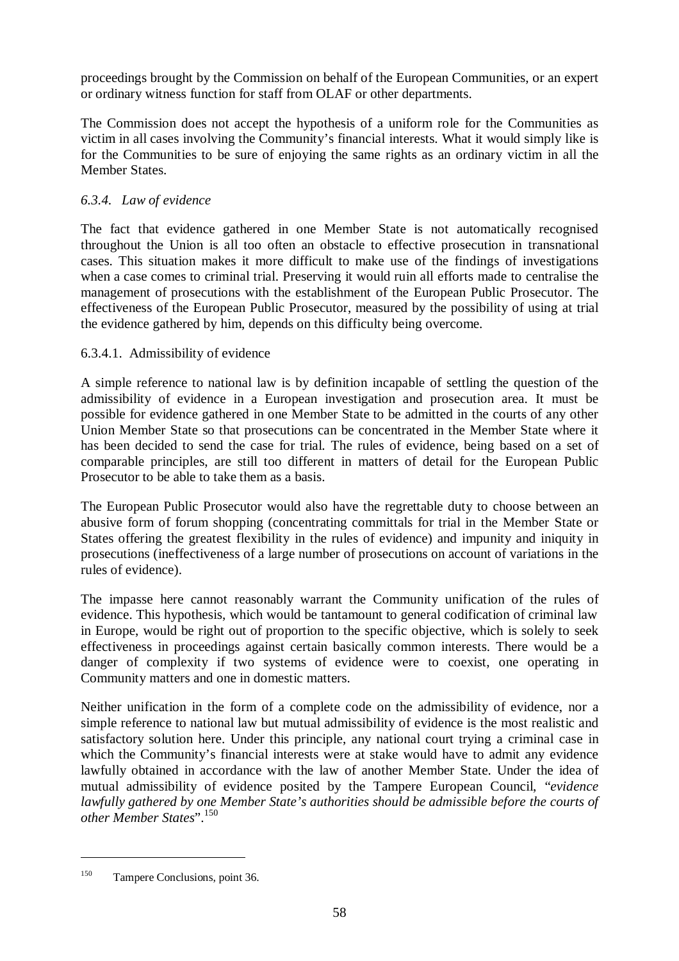proceedings brought by the Commission on behalf of the European Communities, or an expert or ordinary witness function for staff from OLAF or other departments.

The Commission does not accept the hypothesis of a uniform role for the Communities as victim in all cases involving the Community's financial interests. What it would simply like is for the Communities to be sure of enjoying the same rights as an ordinary victim in all the Member States.

## *6.3.4. Law of evidence*

The fact that evidence gathered in one Member State is not automatically recognised throughout the Union is all too often an obstacle to effective prosecution in transnational cases. This situation makes it more difficult to make use of the findings of investigations when a case comes to criminal trial. Preserving it would ruin all efforts made to centralise the management of prosecutions with the establishment of the European Public Prosecutor. The effectiveness of the European Public Prosecutor, measured by the possibility of using at trial the evidence gathered by him, depends on this difficulty being overcome.

### 6.3.4.1. Admissibility of evidence

A simple reference to national law is by definition incapable of settling the question of the admissibility of evidence in a European investigation and prosecution area. It must be possible for evidence gathered in one Member State to be admitted in the courts of any other Union Member State so that prosecutions can be concentrated in the Member State where it has been decided to send the case for trial. The rules of evidence, being based on a set of comparable principles, are still too different in matters of detail for the European Public Prosecutor to be able to take them as a basis.

The European Public Prosecutor would also have the regrettable duty to choose between an abusive form of forum shopping (concentrating committals for trial in the Member State or States offering the greatest flexibility in the rules of evidence) and impunity and iniquity in prosecutions (ineffectiveness of a large number of prosecutions on account of variations in the rules of evidence).

The impasse here cannot reasonably warrant the Community unification of the rules of evidence. This hypothesis, which would be tantamount to general codification of criminal law in Europe, would be right out of proportion to the specific objective, which is solely to seek effectiveness in proceedings against certain basically common interests. There would be a danger of complexity if two systems of evidence were to coexist, one operating in Community matters and one in domestic matters.

Neither unification in the form of a complete code on the admissibility of evidence, nor a simple reference to national law but mutual admissibility of evidence is the most realistic and satisfactory solution here. Under this principle, any national court trying a criminal case in which the Community's financial interests were at stake would have to admit any evidence lawfully obtained in accordance with the law of another Member State. Under the idea of mutual admissibility of evidence posited by the Tampere European Council, "*evidence lawfully gathered by one Member State's authorities should be admissible before the courts of other Member States*".<sup>150</sup>

<sup>150</sup> Tampere Conclusions, point 36.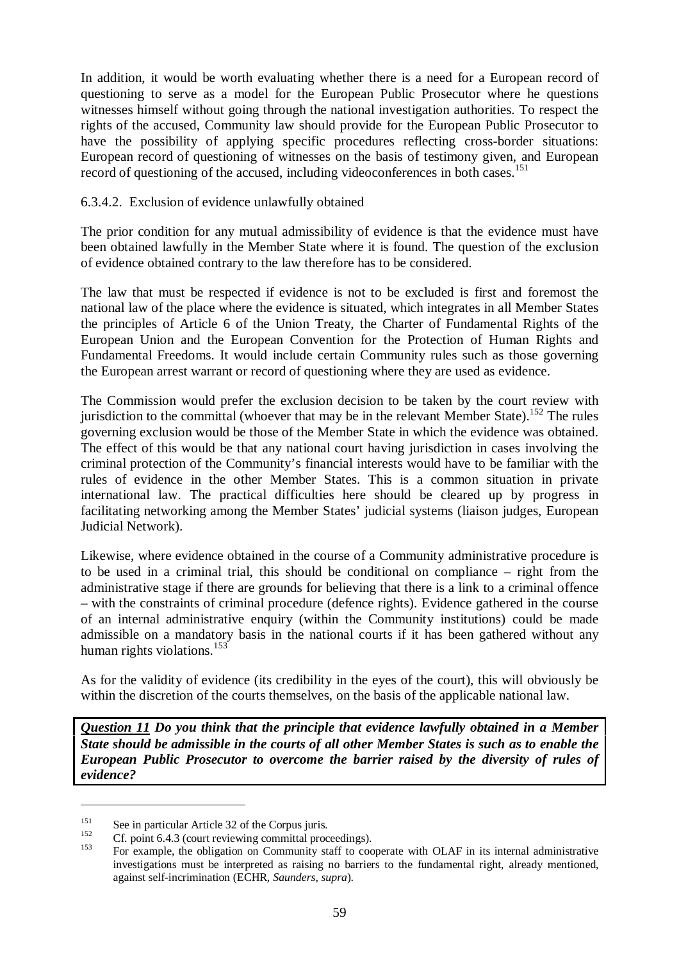In addition, it would be worth evaluating whether there is a need for a European record of questioning to serve as a model for the European Public Prosecutor where he questions witnesses himself without going through the national investigation authorities. To respect the rights of the accused, Community law should provide for the European Public Prosecutor to have the possibility of applying specific procedures reflecting cross-border situations: European record of questioning of witnesses on the basis of testimony given, and European record of questioning of the accused, including videoconferences in both cases.<sup>151</sup>

### 6.3.4.2. Exclusion of evidence unlawfully obtained

The prior condition for any mutual admissibility of evidence is that the evidence must have been obtained lawfully in the Member State where it is found. The question of the exclusion of evidence obtained contrary to the law therefore has to be considered.

The law that must be respected if evidence is not to be excluded is first and foremost the national law of the place where the evidence is situated, which integrates in all Member States the principles of Article 6 of the Union Treaty, the Charter of Fundamental Rights of the European Union and the European Convention for the Protection of Human Rights and Fundamental Freedoms. It would include certain Community rules such as those governing the European arrest warrant or record of questioning where they are used as evidence.

The Commission would prefer the exclusion decision to be taken by the court review with jurisdiction to the committal (whoever that may be in the relevant Member State).<sup>152</sup> The rules governing exclusion would be those of the Member State in which the evidence was obtained. The effect of this would be that any national court having jurisdiction in cases involving the criminal protection of the Community's financial interests would have to be familiar with the rules of evidence in the other Member States. This is a common situation in private international law. The practical difficulties here should be cleared up by progress in facilitating networking among the Member States' judicial systems (liaison judges, European Judicial Network).

Likewise, where evidence obtained in the course of a Community administrative procedure is to be used in a criminal trial, this should be conditional on compliance – right from the administrative stage if there are grounds for believing that there is a link to a criminal offence – with the constraints of criminal procedure (defence rights). Evidence gathered in the course of an internal administrative enquiry (within the Community institutions) could be made admissible on a mandatory basis in the national courts if it has been gathered without any human rights violations. $153$ 

As for the validity of evidence (its credibility in the eyes of the court), this will obviously be within the discretion of the courts themselves, on the basis of the applicable national law.

*Question 11 Do you think that the principle that evidence lawfully obtained in a Member State should be admissible in the courts of all other Member States is such as to enable the European Public Prosecutor to overcome the barrier raised by the diversity of rules of evidence?*

<sup>&</sup>lt;sup>151</sup> See in particular Article 32 of the Corpus juris.<br>
152 Cf. point 6.4.3 (court reviewing committal proceedings).<br>
153 For example, the obligation on Community staff to cooperate with OLAF in its internal administrati investigations must be interpreted as raising no barriers to the fundamental right, already mentioned, against self-incrimination (ECHR, *Saunders*, *supra*).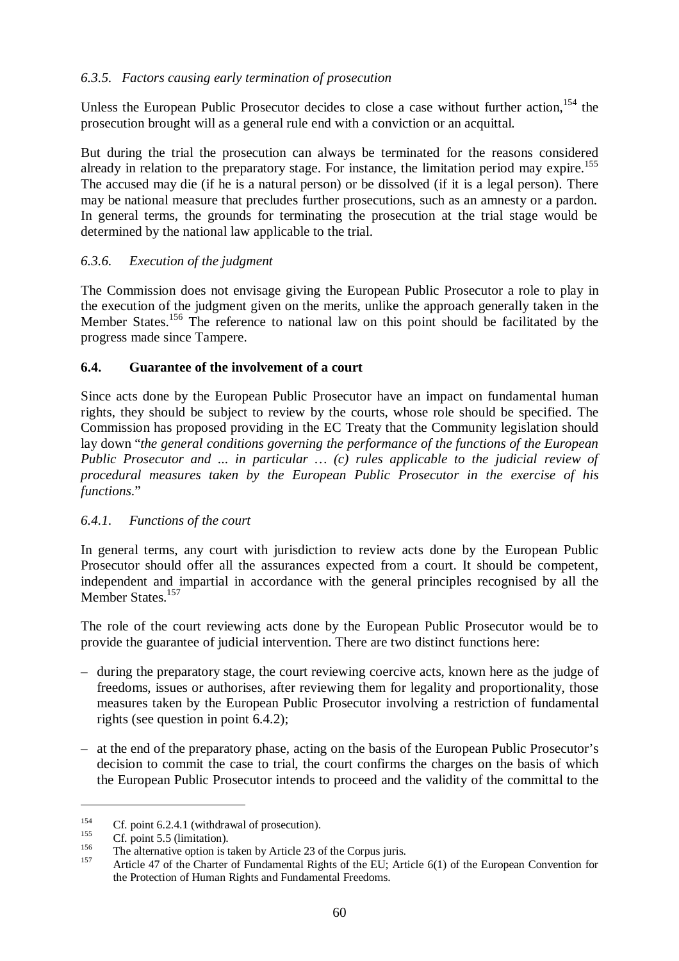### *6.3.5. Factors causing early termination of prosecution*

Unless the European Public Prosecutor decides to close a case without further action,  $154$  the prosecution brought will as a general rule end with a conviction or an acquittal.

But during the trial the prosecution can always be terminated for the reasons considered already in relation to the preparatory stage. For instance, the limitation period may expire.<sup>155</sup> The accused may die (if he is a natural person) or be dissolved (if it is a legal person). There may be national measure that precludes further prosecutions, such as an amnesty or a pardon. In general terms, the grounds for terminating the prosecution at the trial stage would be determined by the national law applicable to the trial.

## *6.3.6. Execution of the judgment*

The Commission does not envisage giving the European Public Prosecutor a role to play in the execution of the judgment given on the merits, unlike the approach generally taken in the Member States.<sup>156</sup> The reference to national law on this point should be facilitated by the progress made since Tampere.

## **6.4. Guarantee of the involvement of a court**

Since acts done by the European Public Prosecutor have an impact on fundamental human rights, they should be subject to review by the courts, whose role should be specified. The Commission has proposed providing in the EC Treaty that the Community legislation should lay down "*the general conditions governing the performance of the functions of the European Public Prosecutor and ... in particular … (c) rules applicable to the judicial review of procedural measures taken by the European Public Prosecutor in the exercise of his functions*."

### *6.4.1. Functions of the court*

In general terms, any court with jurisdiction to review acts done by the European Public Prosecutor should offer all the assurances expected from a court. It should be competent, independent and impartial in accordance with the general principles recognised by all the Member States.<sup>157</sup>

The role of the court reviewing acts done by the European Public Prosecutor would be to provide the guarantee of judicial intervention. There are two distinct functions here:

- during the preparatory stage, the court reviewing coercive acts, known here as the judge of freedoms, issues or authorises, after reviewing them for legality and proportionality, those measures taken by the European Public Prosecutor involving a restriction of fundamental rights (see question in point 6.4.2);
- at the end of the preparatory phase, acting on the basis of the European Public Prosecutor's decision to commit the case to trial, the court confirms the charges on the basis of which the European Public Prosecutor intends to proceed and the validity of the committal to the

<sup>&</sup>lt;sup>154</sup> Cf. point 6.2.4.1 (withdrawal of prosecution).<br>
Cf. point 5.5 (limitation).<br>
The alternative option is taken by Article 23 of the Corpus juris.<br>
Article 47 of the Charter of Fundamental Rights of the EU; Article 6(1 the Protection of Human Rights and Fundamental Freedoms.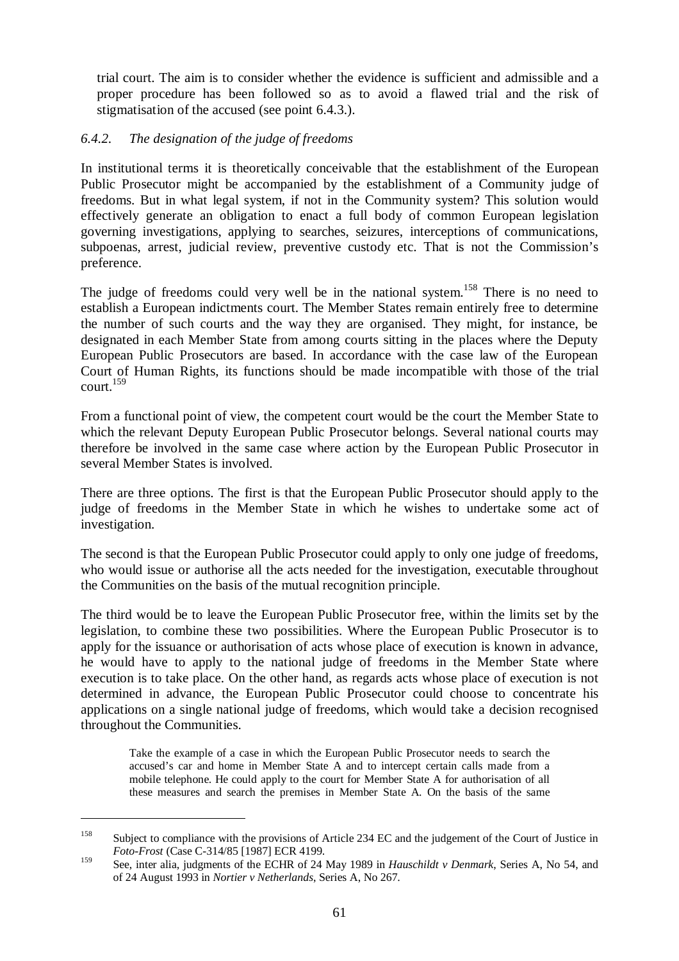trial court. The aim is to consider whether the evidence is sufficient and admissible and a proper procedure has been followed so as to avoid a flawed trial and the risk of stigmatisation of the accused (see point 6.4.3.).

### *6.4.2. The designation of the judge of freedoms*

In institutional terms it is theoretically conceivable that the establishment of the European Public Prosecutor might be accompanied by the establishment of a Community judge of freedoms. But in what legal system, if not in the Community system? This solution would effectively generate an obligation to enact a full body of common European legislation governing investigations, applying to searches, seizures, interceptions of communications, subpoenas, arrest, judicial review, preventive custody etc. That is not the Commission's preference.

The judge of freedoms could very well be in the national system.<sup>158</sup> There is no need to establish a European indictments court. The Member States remain entirely free to determine the number of such courts and the way they are organised. They might, for instance, be designated in each Member State from among courts sitting in the places where the Deputy European Public Prosecutors are based. In accordance with the case law of the European Court of Human Rights, its functions should be made incompatible with those of the trial  $count<sup>159</sup>$ 

From a functional point of view, the competent court would be the court the Member State to which the relevant Deputy European Public Prosecutor belongs. Several national courts may therefore be involved in the same case where action by the European Public Prosecutor in several Member States is involved.

There are three options. The first is that the European Public Prosecutor should apply to the judge of freedoms in the Member State in which he wishes to undertake some act of investigation.

The second is that the European Public Prosecutor could apply to only one judge of freedoms, who would issue or authorise all the acts needed for the investigation, executable throughout the Communities on the basis of the mutual recognition principle.

The third would be to leave the European Public Prosecutor free, within the limits set by the legislation, to combine these two possibilities. Where the European Public Prosecutor is to apply for the issuance or authorisation of acts whose place of execution is known in advance, he would have to apply to the national judge of freedoms in the Member State where execution is to take place. On the other hand, as regards acts whose place of execution is not determined in advance, the European Public Prosecutor could choose to concentrate his applications on a single national judge of freedoms, which would take a decision recognised throughout the Communities.

Take the example of a case in which the European Public Prosecutor needs to search the accused's car and home in Member State A and to intercept certain calls made from a mobile telephone. He could apply to the court for Member State A for authorisation of all these measures and search the premises in Member State A. On the basis of the same

<sup>&</sup>lt;sup>158</sup> Subject to compliance with the provisions of Article 234 EC and the judgement of the Court of Justice in *Foto-Frost* (Case C-314/85 [1987] ECR 4199.

<sup>159</sup> See, inter alia, judgments of the ECHR of 24 May 1989 in *Hauschildt v Denmark*, Series A, No 54, and of 24 August 1993 in *Nortier v Netherlands*, Series A, No 267.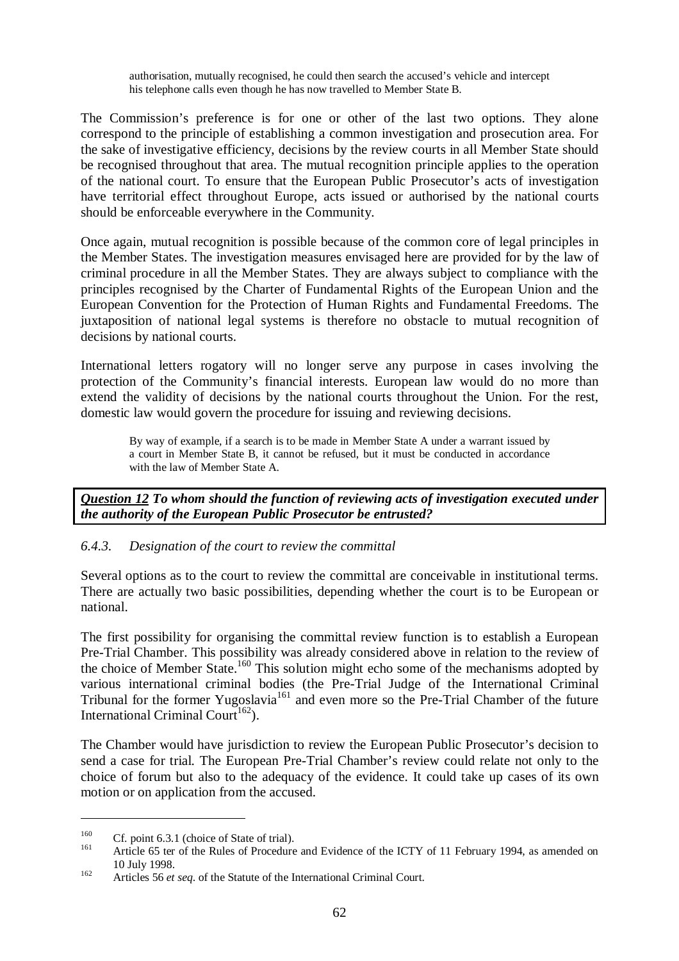authorisation, mutually recognised, he could then search the accused's vehicle and intercept his telephone calls even though he has now travelled to Member State B.

The Commission's preference is for one or other of the last two options. They alone correspond to the principle of establishing a common investigation and prosecution area. For the sake of investigative efficiency, decisions by the review courts in all Member State should be recognised throughout that area. The mutual recognition principle applies to the operation of the national court. To ensure that the European Public Prosecutor's acts of investigation have territorial effect throughout Europe, acts issued or authorised by the national courts should be enforceable everywhere in the Community.

Once again, mutual recognition is possible because of the common core of legal principles in the Member States. The investigation measures envisaged here are provided for by the law of criminal procedure in all the Member States. They are always subject to compliance with the principles recognised by the Charter of Fundamental Rights of the European Union and the European Convention for the Protection of Human Rights and Fundamental Freedoms. The juxtaposition of national legal systems is therefore no obstacle to mutual recognition of decisions by national courts.

International letters rogatory will no longer serve any purpose in cases involving the protection of the Community's financial interests. European law would do no more than extend the validity of decisions by the national courts throughout the Union. For the rest, domestic law would govern the procedure for issuing and reviewing decisions.

By way of example, if a search is to be made in Member State A under a warrant issued by a court in Member State B, it cannot be refused, but it must be conducted in accordance with the law of Member State A.

*Question 12 To whom should the function of reviewing acts of investigation executed under the authority of the European Public Prosecutor be entrusted?*

### *6.4.3. Designation of the court to review the committal*

Several options as to the court to review the committal are conceivable in institutional terms. There are actually two basic possibilities, depending whether the court is to be European or national.

The first possibility for organising the committal review function is to establish a European Pre-Trial Chamber. This possibility was already considered above in relation to the review of the choice of Member State.<sup>160</sup> This solution might echo some of the mechanisms adopted by various international criminal bodies (the Pre-Trial Judge of the International Criminal Tribunal for the former Yugoslavia<sup>161</sup> and even more so the Pre-Trial Chamber of the future International Criminal Court<sup>162</sup>).

The Chamber would have jurisdiction to review the European Public Prosecutor's decision to send a case for trial. The European Pre-Trial Chamber's review could relate not only to the choice of forum but also to the adequacy of the evidence. It could take up cases of its own motion or on application from the accused.

<sup>&</sup>lt;sup>160</sup> Cf. point 6.3.1 (choice of State of trial).<br><sup>161</sup> Article 65 ter of the Rules of Procedure and Evidence of the ICTY of 11 February 1994, as amended on 10 July 1998. <sup>162</sup> Articles 56 *et seq*. of the Statute of the International Criminal Court.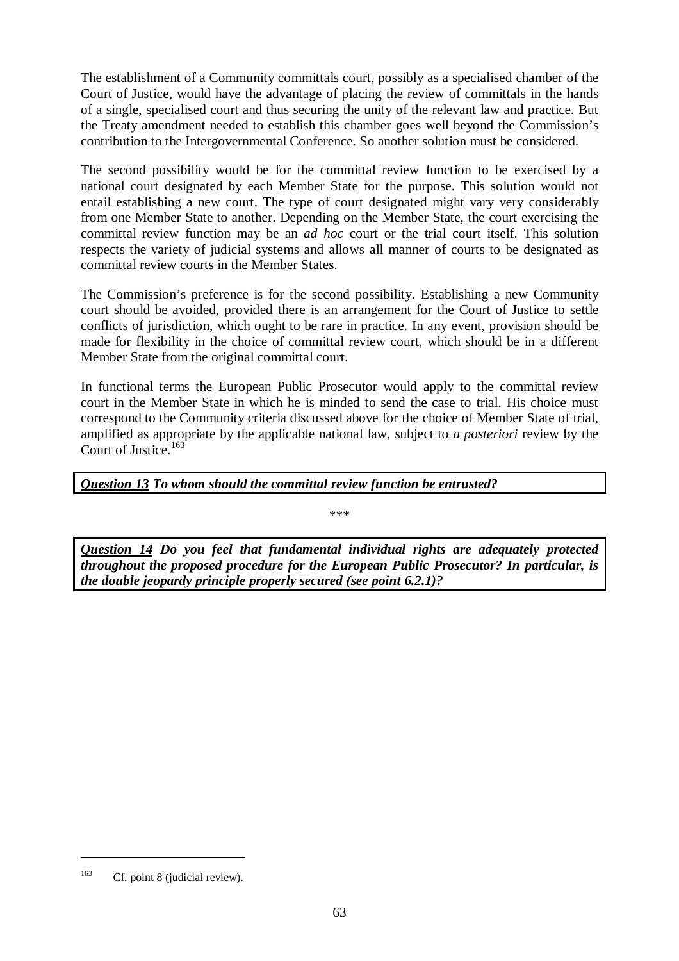The establishment of a Community committals court, possibly as a specialised chamber of the Court of Justice, would have the advantage of placing the review of committals in the hands of a single, specialised court and thus securing the unity of the relevant law and practice. But the Treaty amendment needed to establish this chamber goes well beyond the Commission's contribution to the Intergovernmental Conference. So another solution must be considered.

The second possibility would be for the committal review function to be exercised by a national court designated by each Member State for the purpose. This solution would not entail establishing a new court. The type of court designated might vary very considerably from one Member State to another. Depending on the Member State, the court exercising the committal review function may be an *ad hoc* court or the trial court itself. This solution respects the variety of judicial systems and allows all manner of courts to be designated as committal review courts in the Member States.

The Commission's preference is for the second possibility. Establishing a new Community court should be avoided, provided there is an arrangement for the Court of Justice to settle conflicts of jurisdiction, which ought to be rare in practice. In any event, provision should be made for flexibility in the choice of committal review court, which should be in a different Member State from the original committal court.

In functional terms the European Public Prosecutor would apply to the committal review court in the Member State in which he is minded to send the case to trial. His choice must correspond to the Community criteria discussed above for the choice of Member State of trial, amplified as appropriate by the applicable national law, subject to *a posteriori* review by the Court of Justice. $1$ 

*Question 13 To whom should the committal review function be entrusted?*

\*\*\*

*Question 14 Do you feel that fundamental individual rights are adequately protected throughout the proposed procedure for the European Public Prosecutor? In particular, is the double jeopardy principle properly secured (see point 6.2.1)?*

<sup>&</sup>lt;sup>163</sup> Cf. point 8 (judicial review).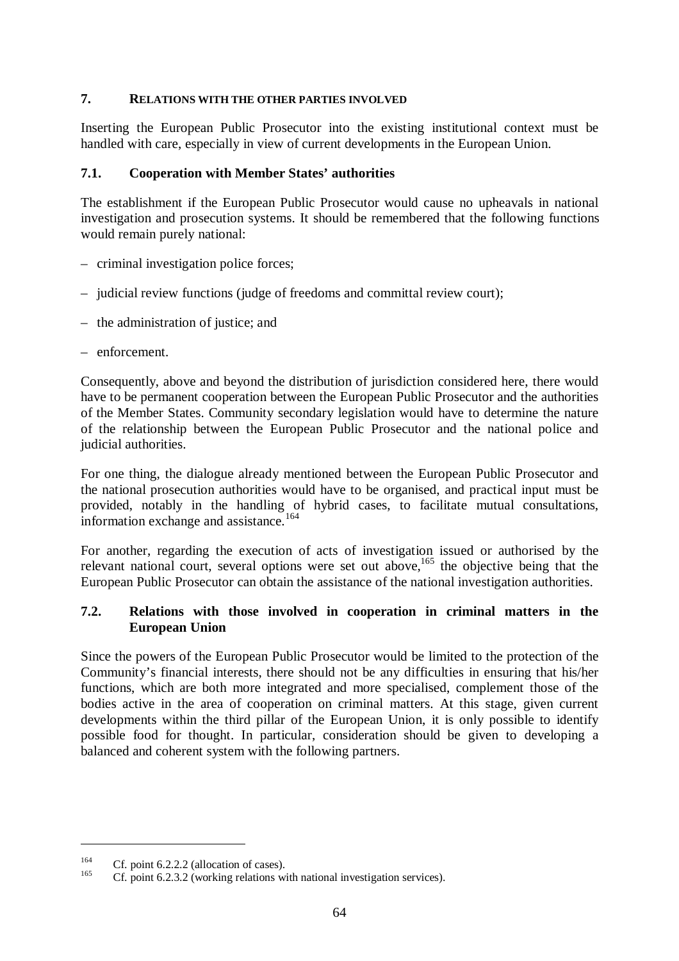### **7. RELATIONS WITH THE OTHER PARTIES INVOLVED**

Inserting the European Public Prosecutor into the existing institutional context must be handled with care, especially in view of current developments in the European Union.

### **7.1. Cooperation with Member States' authorities**

The establishment if the European Public Prosecutor would cause no upheavals in national investigation and prosecution systems. It should be remembered that the following functions would remain purely national:

- criminal investigation police forces;
- judicial review functions (judge of freedoms and committal review court);
- the administration of justice; and
- enforcement.

Consequently, above and beyond the distribution of jurisdiction considered here, there would have to be permanent cooperation between the European Public Prosecutor and the authorities of the Member States. Community secondary legislation would have to determine the nature of the relationship between the European Public Prosecutor and the national police and judicial authorities.

For one thing, the dialogue already mentioned between the European Public Prosecutor and the national prosecution authorities would have to be organised, and practical input must be provided, notably in the handling of hybrid cases, to facilitate mutual consultations, information exchange and assistance.<sup>164</sup>

For another, regarding the execution of acts of investigation issued or authorised by the relevant national court, several options were set out above,<sup>165</sup> the objective being that the European Public Prosecutor can obtain the assistance of the national investigation authorities.

### **7.2. Relations with those involved in cooperation in criminal matters in the European Union**

Since the powers of the European Public Prosecutor would be limited to the protection of the Community's financial interests, there should not be any difficulties in ensuring that his/her functions, which are both more integrated and more specialised, complement those of the bodies active in the area of cooperation on criminal matters. At this stage, given current developments within the third pillar of the European Union, it is only possible to identify possible food for thought. In particular, consideration should be given to developing a balanced and coherent system with the following partners.

<sup>&</sup>lt;sup>164</sup> Cf. point 6.2.2.2 (allocation of cases).<br><sup>165</sup> Cf. point 6.2.3.2 (working relations with national investigation services).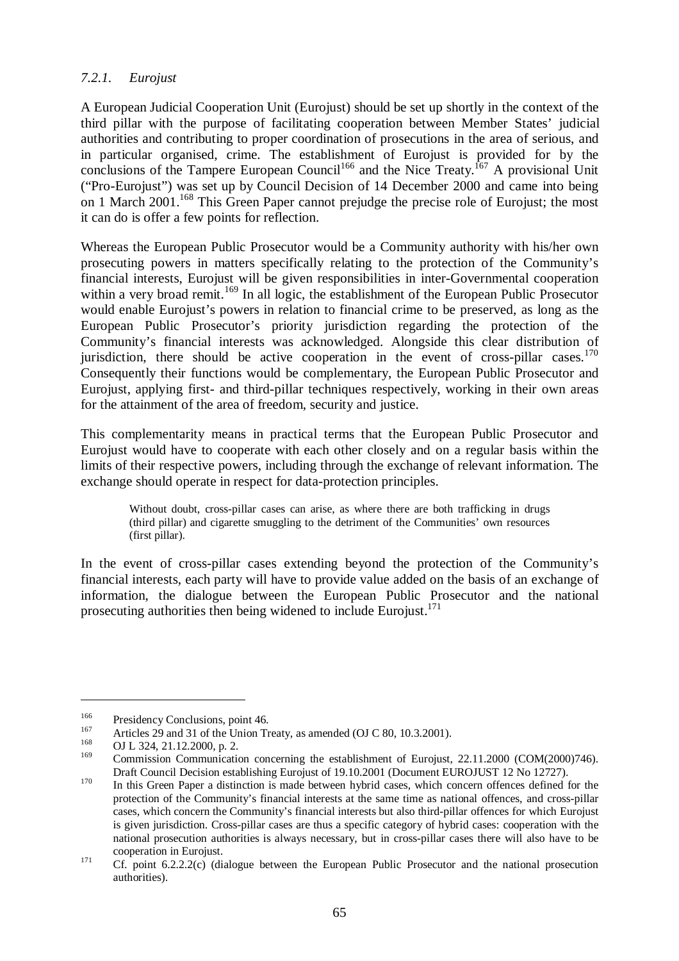### *7.2.1. Eurojust*

A European Judicial Cooperation Unit (Eurojust) should be set up shortly in the context of the third pillar with the purpose of facilitating cooperation between Member States' judicial authorities and contributing to proper coordination of prosecutions in the area of serious, and in particular organised, crime. The establishment of Eurojust is provided for by the conclusions of the Tampere European Council<sup>166</sup> and the Nice Treaty.<sup>167</sup> A provisional Unit ("Pro-Eurojust") was set up by Council Decision of 14 December 2000 and came into being on 1 March 2001.<sup>168</sup> This Green Paper cannot prejudge the precise role of Eurojust; the most it can do is offer a few points for reflection.

Whereas the European Public Prosecutor would be a Community authority with his/her own prosecuting powers in matters specifically relating to the protection of the Community's financial interests, Eurojust will be given responsibilities in inter-Governmental cooperation within a very broad remit.<sup>169</sup> In all logic, the establishment of the European Public Prosecutor would enable Eurojust's powers in relation to financial crime to be preserved, as long as the European Public Prosecutor's priority jurisdiction regarding the protection of the Community's financial interests was acknowledged. Alongside this clear distribution of jurisdiction, there should be active cooperation in the event of cross-pillar cases.<sup>170</sup> Consequently their functions would be complementary, the European Public Prosecutor and Eurojust, applying first- and third-pillar techniques respectively, working in their own areas for the attainment of the area of freedom, security and justice.

This complementarity means in practical terms that the European Public Prosecutor and Eurojust would have to cooperate with each other closely and on a regular basis within the limits of their respective powers, including through the exchange of relevant information. The exchange should operate in respect for data-protection principles.

Without doubt, cross-pillar cases can arise, as where there are both trafficking in drugs (third pillar) and cigarette smuggling to the detriment of the Communities' own resources (first pillar).

In the event of cross-pillar cases extending beyond the protection of the Community's financial interests, each party will have to provide value added on the basis of an exchange of information, the dialogue between the European Public Prosecutor and the national prosecuting authorities then being widened to include Eurojust.<sup>171</sup>

<sup>&</sup>lt;sup>166</sup> Presidency Conclusions, point 46.<br>
Articles 29 and 31 of the Union Treaty, as amended (OJ C 80, 10.3.2001).<br>
OJ L 324, 21.12.2000, p. 2.<br>
Option the property of the extending of Francisco

<sup>169</sup> Commission Communication concerning the establishment of Eurojust, 22.11.2000 (COM(2000)746). Draft Council Decision establishing Eurojust of 19.10.2001 (Document EUROJUST 12 No 12727).<br><sup>170</sup> In this Green Paper a distinction is made between hybrid cases, which concern offences defined for the

protection of the Community's financial interests at the same time as national offences, and cross-pillar cases, which concern the Community's financial interests but also third-pillar offences for which Eurojust is given jurisdiction. Cross-pillar cases are thus a specific category of hybrid cases: cooperation with the national prosecution authorities is always necessary, but in cross-pillar cases there will also have to be cooperation in Eurojust.<br><sup>171</sup> Cf. point 6.2.2.2(c) (dialogue between the European Public Prosecutor and the national prosecution

authorities).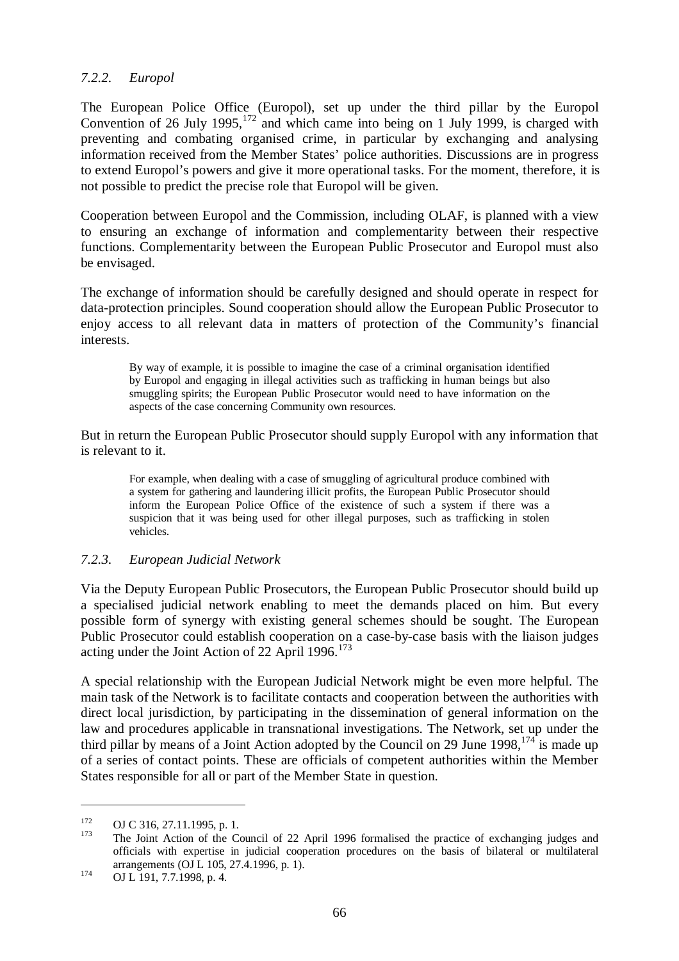#### *7.2.2. Europol*

The European Police Office (Europol), set up under the third pillar by the Europol Convention of 26 July 1995.<sup>172</sup> and which came into being on 1 July 1999, is charged with preventing and combating organised crime, in particular by exchanging and analysing information received from the Member States' police authorities. Discussions are in progress to extend Europol's powers and give it more operational tasks. For the moment, therefore, it is not possible to predict the precise role that Europol will be given.

Cooperation between Europol and the Commission, including OLAF, is planned with a view to ensuring an exchange of information and complementarity between their respective functions. Complementarity between the European Public Prosecutor and Europol must also be envisaged.

The exchange of information should be carefully designed and should operate in respect for data-protection principles. Sound cooperation should allow the European Public Prosecutor to enjoy access to all relevant data in matters of protection of the Community's financial interests.

By way of example, it is possible to imagine the case of a criminal organisation identified by Europol and engaging in illegal activities such as trafficking in human beings but also smuggling spirits; the European Public Prosecutor would need to have information on the aspects of the case concerning Community own resources.

But in return the European Public Prosecutor should supply Europol with any information that is relevant to it.

For example, when dealing with a case of smuggling of agricultural produce combined with a system for gathering and laundering illicit profits, the European Public Prosecutor should inform the European Police Office of the existence of such a system if there was a suspicion that it was being used for other illegal purposes, such as trafficking in stolen vehicles.

#### *7.2.3. European Judicial Network*

Via the Deputy European Public Prosecutors, the European Public Prosecutor should build up a specialised judicial network enabling to meet the demands placed on him. But every possible form of synergy with existing general schemes should be sought. The European Public Prosecutor could establish cooperation on a case-by-case basis with the liaison judges acting under the Joint Action of 22 April 1996.<sup>173</sup>

A special relationship with the European Judicial Network might be even more helpful. The main task of the Network is to facilitate contacts and cooperation between the authorities with direct local jurisdiction, by participating in the dissemination of general information on the law and procedures applicable in transnational investigations. The Network, set up under the third pillar by means of a Joint Action adopted by the Council on 29 June  $1998$ ,  $174$  is made up of a series of contact points. These are officials of competent authorities within the Member States responsible for all or part of the Member State in question.

<sup>&</sup>lt;sup>172</sup> OJ C 316, 27.11.1995, p. 1.<br><sup>173</sup> The Joint Action of the Council of 22 April 1996 formalised the practice of exchanging judges and officials with expertise in judicial cooperation procedures on the basis of bilateral or multilateral arrangements (OJ L 105, 27.4.1996, p. 1).<br>
OJ L 191, 7.7.1998, p. 4.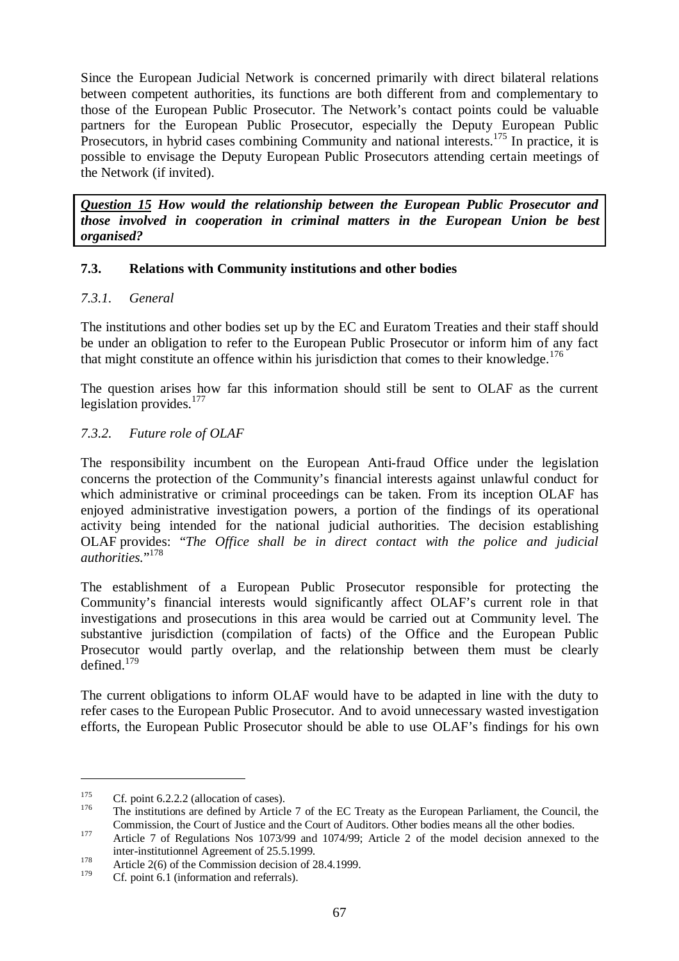Since the European Judicial Network is concerned primarily with direct bilateral relations between competent authorities, its functions are both different from and complementary to those of the European Public Prosecutor. The Network's contact points could be valuable partners for the European Public Prosecutor, especially the Deputy European Public Prosecutors, in hybrid cases combining Community and national interests.<sup>175</sup> In practice, it is possible to envisage the Deputy European Public Prosecutors attending certain meetings of the Network (if invited).

*Question 15 How would the relationship between the European Public Prosecutor and those involved in cooperation in criminal matters in the European Union be best organised?*

### **7.3. Relations with Community institutions and other bodies**

### *7.3.1. General*

The institutions and other bodies set up by the EC and Euratom Treaties and their staff should be under an obligation to refer to the European Public Prosecutor or inform him of any fact that might constitute an offence within his jurisdiction that comes to their knowledge.<sup>176</sup>

The question arises how far this information should still be sent to OLAF as the current legislation provides.<sup>177</sup>

### *7.3.2. Future role of OLAF*

The responsibility incumbent on the European Anti-fraud Office under the legislation concerns the protection of the Community's financial interests against unlawful conduct for which administrative or criminal proceedings can be taken. From its inception OLAF has enjoyed administrative investigation powers, a portion of the findings of its operational activity being intended for the national judicial authorities. The decision establishing OLAF provides: "*The Office shall be in direct contact with the police and judicial* authorities."<sup>178</sup>

The establishment of a European Public Prosecutor responsible for protecting the Community's financial interests would significantly affect OLAF's current role in that investigations and prosecutions in this area would be carried out at Community level. The substantive jurisdiction (compilation of facts) of the Office and the European Public Prosecutor would partly overlap, and the relationship between them must be clearly defined. $179$ 

The current obligations to inform OLAF would have to be adapted in line with the duty to refer cases to the European Public Prosecutor. And to avoid unnecessary wasted investigation efforts, the European Public Prosecutor should be able to use OLAF's findings for his own

<sup>&</sup>lt;sup>175</sup> Cf. point 6.2.2.2 (allocation of cases).<br><sup>176</sup> The institutions are defined by Article 7 of the EC Treaty as the European Parliament, the Council, the Commission, the Court of Justice and the Court of Auditors. Other bodies means all the other bodies.<br>
177 Article 7 of Regulations Nos 1073/99 and 1074/99; Article 2 of the model decision annexed to the

inter-institutionnel Agreement of 25.5.1999.<br>Article 2(6) of the Commission decision of 28.4.1999.

Cf. point 6.1 (information and referrals).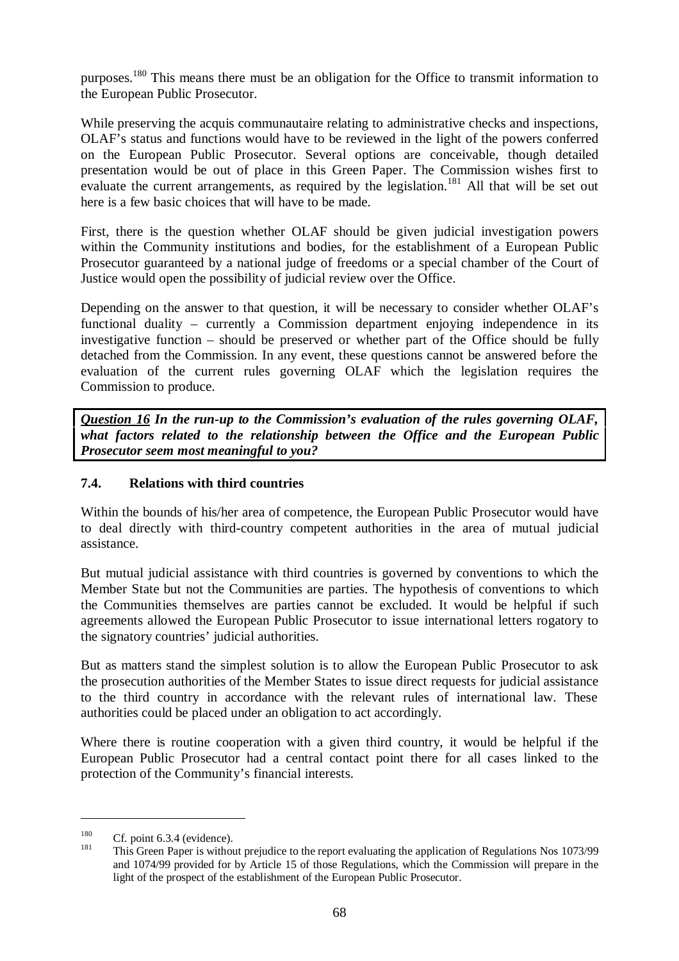purposes.180 This means there must be an obligation for the Office to transmit information to the European Public Prosecutor.

While preserving the acquis communautaire relating to administrative checks and inspections, OLAF's status and functions would have to be reviewed in the light of the powers conferred on the European Public Prosecutor. Several options are conceivable, though detailed presentation would be out of place in this Green Paper. The Commission wishes first to evaluate the current arrangements, as required by the legislation.<sup>181</sup> All that will be set out here is a few basic choices that will have to be made.

First, there is the question whether OLAF should be given judicial investigation powers within the Community institutions and bodies, for the establishment of a European Public Prosecutor guaranteed by a national judge of freedoms or a special chamber of the Court of Justice would open the possibility of judicial review over the Office.

Depending on the answer to that question, it will be necessary to consider whether OLAF's functional duality – currently a Commission department enjoying independence in its investigative function – should be preserved or whether part of the Office should be fully detached from the Commission. In any event, these questions cannot be answered before the evaluation of the current rules governing OLAF which the legislation requires the Commission to produce.

*Question 16 In the run-up to the Commission's evaluation of the rules governing OLAF, what factors related to the relationship between the Office and the European Public Prosecutor seem most meaningful to you?*

# **7.4. Relations with third countries**

Within the bounds of his/her area of competence, the European Public Prosecutor would have to deal directly with third-country competent authorities in the area of mutual judicial assistance.

But mutual judicial assistance with third countries is governed by conventions to which the Member State but not the Communities are parties. The hypothesis of conventions to which the Communities themselves are parties cannot be excluded. It would be helpful if such agreements allowed the European Public Prosecutor to issue international letters rogatory to the signatory countries' judicial authorities.

But as matters stand the simplest solution is to allow the European Public Prosecutor to ask the prosecution authorities of the Member States to issue direct requests for judicial assistance to the third country in accordance with the relevant rules of international law. These authorities could be placed under an obligation to act accordingly.

Where there is routine cooperation with a given third country, it would be helpful if the European Public Prosecutor had a central contact point there for all cases linked to the protection of the Community's financial interests.

<sup>&</sup>lt;sup>180</sup> Cf. point 6.3.4 (evidence).<br><sup>181</sup> This Green Paper is without prejudice to the report evaluating the application of Regulations Nos 1073/99 and 1074/99 provided for by Article 15 of those Regulations, which the Commission will prepare in the light of the prospect of the establishment of the European Public Prosecutor.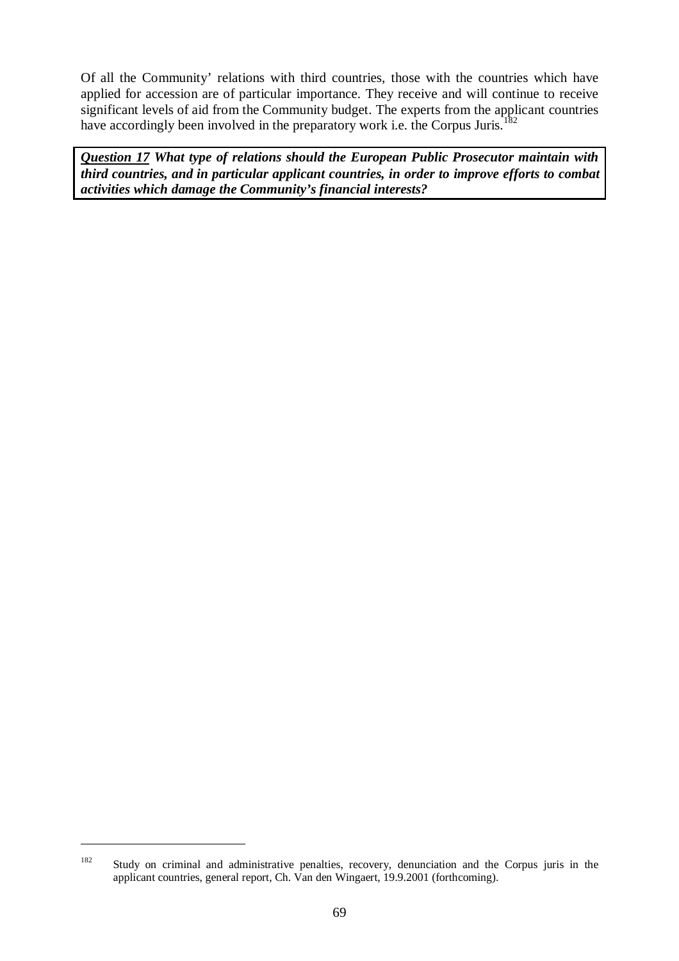Of all the Community' relations with third countries, those with the countries which have applied for accession are of particular importance. They receive and will continue to receive significant levels of aid from the Community budget. The experts from the applicant countries have accordingly been involved in the preparatory work i.e. the Corpus Juris.<sup>1</sup>

*Question 17 What type of relations should the European Public Prosecutor maintain with third countries, and in particular applicant countries, in order to improve efforts to combat activities which damage the Community's financial interests?*

<sup>182</sup> Study on criminal and administrative penalties, recovery, denunciation and the Corpus juris in the applicant countries, general report, Ch. Van den Wingaert, 19.9.2001 (forthcoming).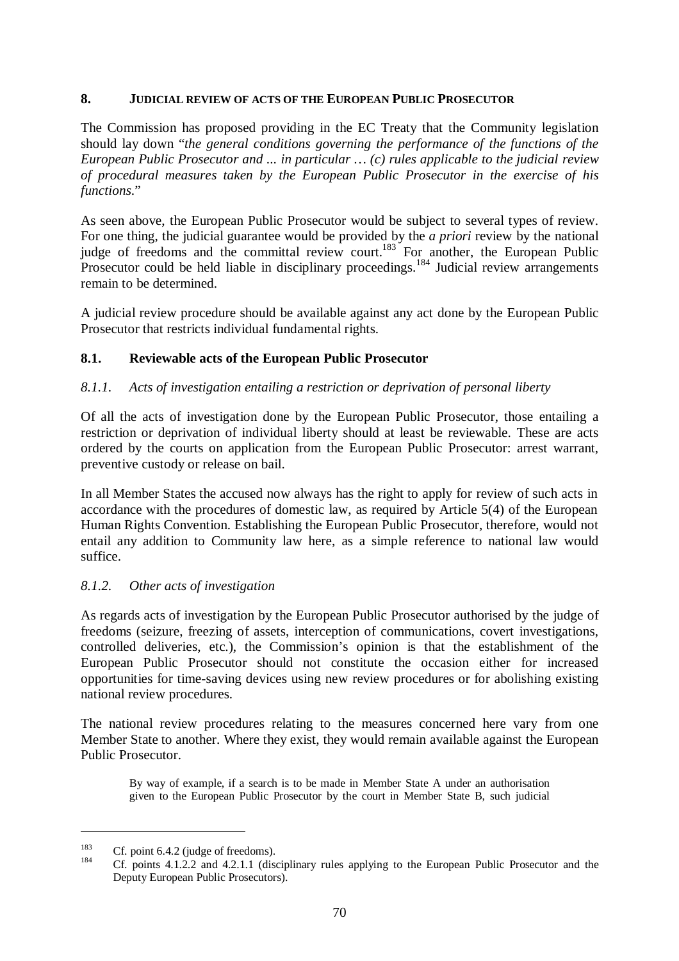### **8. JUDICIAL REVIEW OF ACTS OF THE EUROPEAN PUBLIC PROSECUTOR**

The Commission has proposed providing in the EC Treaty that the Community legislation should lay down "*the general conditions governing the performance of the functions of the European Public Prosecutor and ... in particular … (c) rules applicable to the judicial review of procedural measures taken by the European Public Prosecutor in the exercise of his functions*."

As seen above, the European Public Prosecutor would be subject to several types of review. For one thing, the judicial guarantee would be provided by the *a priori* review by the national judge of freedoms and the committal review court.<sup>183</sup> For another, the European Public Prosecutor could be held liable in disciplinary proceedings.<sup>184</sup> Judicial review arrangements remain to be determined.

A judicial review procedure should be available against any act done by the European Public Prosecutor that restricts individual fundamental rights.

#### **8.1. Reviewable acts of the European Public Prosecutor**

#### *8.1.1. Acts of investigation entailing a restriction or deprivation of personal liberty*

Of all the acts of investigation done by the European Public Prosecutor, those entailing a restriction or deprivation of individual liberty should at least be reviewable. These are acts ordered by the courts on application from the European Public Prosecutor: arrest warrant, preventive custody or release on bail.

In all Member States the accused now always has the right to apply for review of such acts in accordance with the procedures of domestic law, as required by Article 5(4) of the European Human Rights Convention. Establishing the European Public Prosecutor, therefore, would not entail any addition to Community law here, as a simple reference to national law would suffice.

### *8.1.2. Other acts of investigation*

As regards acts of investigation by the European Public Prosecutor authorised by the judge of freedoms (seizure, freezing of assets, interception of communications, covert investigations, controlled deliveries, etc.), the Commission's opinion is that the establishment of the European Public Prosecutor should not constitute the occasion either for increased opportunities for time-saving devices using new review procedures or for abolishing existing national review procedures.

The national review procedures relating to the measures concerned here vary from one Member State to another. Where they exist, they would remain available against the European Public Prosecutor.

By way of example, if a search is to be made in Member State A under an authorisation given to the European Public Prosecutor by the court in Member State B, such judicial

<sup>&</sup>lt;sup>183</sup> Cf. point 6.4.2 (judge of freedoms).<br><sup>184</sup> Cf. points 4.1.2.2 and 4.2.1.1 (disciplinary rules applying to the European Public Prosecutor and the Deputy European Public Prosecutors).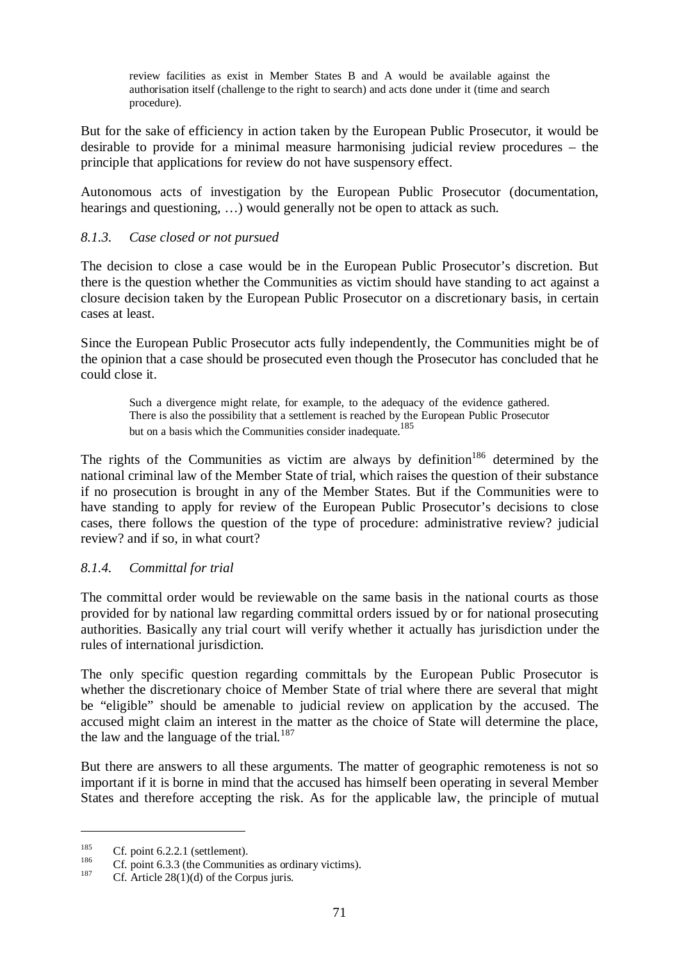review facilities as exist in Member States B and A would be available against the authorisation itself (challenge to the right to search) and acts done under it (time and search procedure).

But for the sake of efficiency in action taken by the European Public Prosecutor, it would be desirable to provide for a minimal measure harmonising judicial review procedures – the principle that applications for review do not have suspensory effect.

Autonomous acts of investigation by the European Public Prosecutor (documentation, hearings and questioning, …) would generally not be open to attack as such.

### *8.1.3. Case closed or not pursued*

The decision to close a case would be in the European Public Prosecutor's discretion. But there is the question whether the Communities as victim should have standing to act against a closure decision taken by the European Public Prosecutor on a discretionary basis, in certain cases at least.

Since the European Public Prosecutor acts fully independently, the Communities might be of the opinion that a case should be prosecuted even though the Prosecutor has concluded that he could close it.

Such a divergence might relate, for example, to the adequacy of the evidence gathered. There is also the possibility that a settlement is reached by the European Public Prosecutor but on a basis which the Communities consider inadequate.<sup>185</sup>

The rights of the Communities as victim are always by definition<sup>186</sup> determined by the national criminal law of the Member State of trial, which raises the question of their substance if no prosecution is brought in any of the Member States. But if the Communities were to have standing to apply for review of the European Public Prosecutor's decisions to close cases, there follows the question of the type of procedure: administrative review? judicial review? and if so, in what court?

#### *8.1.4. Committal for trial*

The committal order would be reviewable on the same basis in the national courts as those provided for by national law regarding committal orders issued by or for national prosecuting authorities. Basically any trial court will verify whether it actually has jurisdiction under the rules of international jurisdiction.

The only specific question regarding committals by the European Public Prosecutor is whether the discretionary choice of Member State of trial where there are several that might be "eligible" should be amenable to judicial review on application by the accused. The accused might claim an interest in the matter as the choice of State will determine the place, the law and the language of the trial. $187$ 

But there are answers to all these arguments. The matter of geographic remoteness is not so important if it is borne in mind that the accused has himself been operating in several Member States and therefore accepting the risk. As for the applicable law, the principle of mutual

<sup>&</sup>lt;sup>185</sup> Cf. point 6.2.2.1 (settlement).<br><sup>186</sup> Cf. point 6.3.3 (the Communities as ordinary victims).<br><sup>187</sup> Cf. Article 28(1)(d) of the Corpus juris.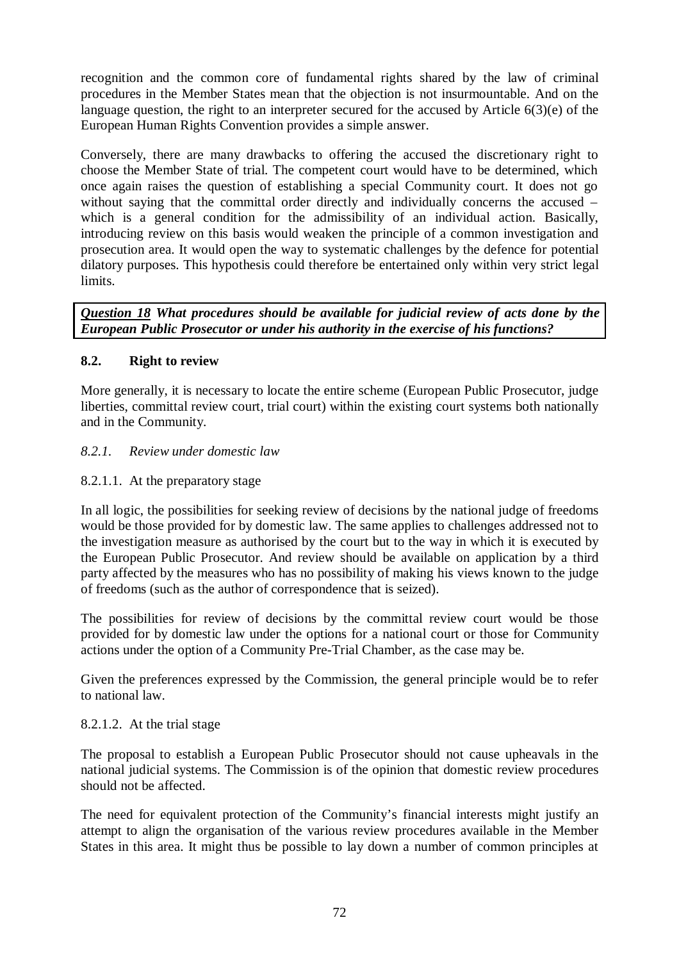recognition and the common core of fundamental rights shared by the law of criminal procedures in the Member States mean that the objection is not insurmountable. And on the language question, the right to an interpreter secured for the accused by Article 6(3)(e) of the European Human Rights Convention provides a simple answer.

Conversely, there are many drawbacks to offering the accused the discretionary right to choose the Member State of trial. The competent court would have to be determined, which once again raises the question of establishing a special Community court. It does not go without saying that the committal order directly and individually concerns the accused – which is a general condition for the admissibility of an individual action. Basically, introducing review on this basis would weaken the principle of a common investigation and prosecution area. It would open the way to systematic challenges by the defence for potential dilatory purposes. This hypothesis could therefore be entertained only within very strict legal limits.

*Question 18 What procedures should be available for judicial review of acts done by the European Public Prosecutor or under his authority in the exercise of his functions?*

## **8.2. Right to review**

More generally, it is necessary to locate the entire scheme (European Public Prosecutor, judge liberties, committal review court, trial court) within the existing court systems both nationally and in the Community.

### *8.2.1. Review under domestic law*

### 8.2.1.1. At the preparatory stage

In all logic, the possibilities for seeking review of decisions by the national judge of freedoms would be those provided for by domestic law. The same applies to challenges addressed not to the investigation measure as authorised by the court but to the way in which it is executed by the European Public Prosecutor. And review should be available on application by a third party affected by the measures who has no possibility of making his views known to the judge of freedoms (such as the author of correspondence that is seized).

The possibilities for review of decisions by the committal review court would be those provided for by domestic law under the options for a national court or those for Community actions under the option of a Community Pre-Trial Chamber, as the case may be.

Given the preferences expressed by the Commission, the general principle would be to refer to national law.

### 8.2.1.2. At the trial stage

The proposal to establish a European Public Prosecutor should not cause upheavals in the national judicial systems. The Commission is of the opinion that domestic review procedures should not be affected.

The need for equivalent protection of the Community's financial interests might justify an attempt to align the organisation of the various review procedures available in the Member States in this area. It might thus be possible to lay down a number of common principles at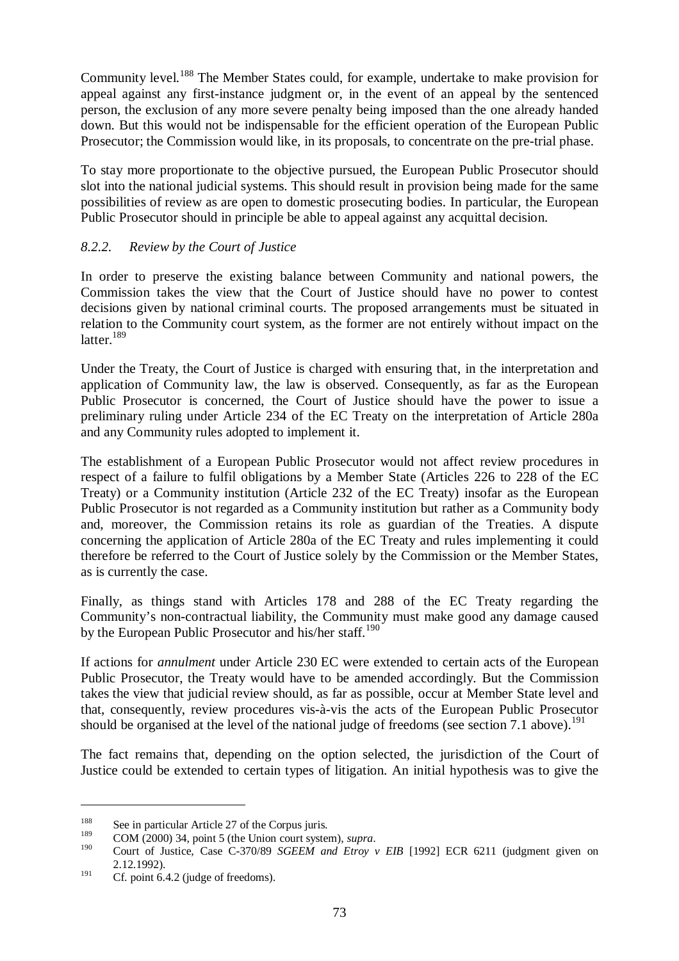Community level.<sup>188</sup> The Member States could, for example, undertake to make provision for appeal against any first-instance judgment or, in the event of an appeal by the sentenced person, the exclusion of any more severe penalty being imposed than the one already handed down. But this would not be indispensable for the efficient operation of the European Public Prosecutor; the Commission would like, in its proposals, to concentrate on the pre-trial phase.

To stay more proportionate to the objective pursued, the European Public Prosecutor should slot into the national judicial systems. This should result in provision being made for the same possibilities of review as are open to domestic prosecuting bodies. In particular, the European Public Prosecutor should in principle be able to appeal against any acquittal decision.

# *8.2.2. Review by the Court of Justice*

In order to preserve the existing balance between Community and national powers, the Commission takes the view that the Court of Justice should have no power to contest decisions given by national criminal courts. The proposed arrangements must be situated in relation to the Community court system, as the former are not entirely without impact on the latter. $189$ 

Under the Treaty, the Court of Justice is charged with ensuring that, in the interpretation and application of Community law, the law is observed. Consequently, as far as the European Public Prosecutor is concerned, the Court of Justice should have the power to issue a preliminary ruling under Article 234 of the EC Treaty on the interpretation of Article 280a and any Community rules adopted to implement it.

The establishment of a European Public Prosecutor would not affect review procedures in respect of a failure to fulfil obligations by a Member State (Articles 226 to 228 of the EC Treaty) or a Community institution (Article 232 of the EC Treaty) insofar as the European Public Prosecutor is not regarded as a Community institution but rather as a Community body and, moreover, the Commission retains its role as guardian of the Treaties. A dispute concerning the application of Article 280a of the EC Treaty and rules implementing it could therefore be referred to the Court of Justice solely by the Commission or the Member States, as is currently the case.

Finally, as things stand with Articles 178 and 288 of the EC Treaty regarding the Community's non-contractual liability, the Community must make good any damage caused by the European Public Prosecutor and his/her staff.<sup>190</sup>

If actions for *annulment* under Article 230 EC were extended to certain acts of the European Public Prosecutor, the Treaty would have to be amended accordingly. But the Commission takes the view that judicial review should, as far as possible, occur at Member State level and that, consequently, review procedures vis-à-vis the acts of the European Public Prosecutor should be organised at the level of the national judge of freedoms (see section 7.1 above).<sup>191</sup>

The fact remains that, depending on the option selected, the jurisdiction of the Court of Justice could be extended to certain types of litigation. An initial hypothesis was to give the

<sup>&</sup>lt;sup>188</sup> See in particular Article 27 of the Corpus juris.

<sup>&</sup>lt;sup>189</sup> COM (2000) 34, point 5 (the Union court system), *supra*.<br><sup>190</sup> Court of Justice, Case C-370/89 *SGEEM and Etroy v EIB* [1992] ECR 6211 (judgment given on 2.12.1992).

<sup>&</sup>lt;sup>191</sup> Cf. point 6.4.2 (judge of freedoms).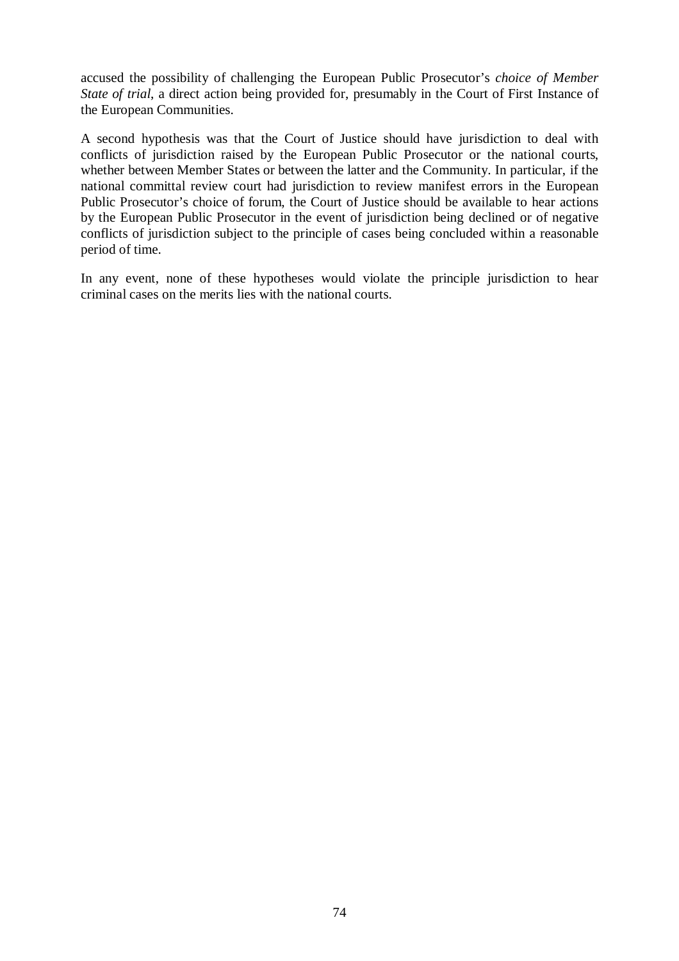accused the possibility of challenging the European Public Prosecutor's *choice of Member State of trial*, a direct action being provided for, presumably in the Court of First Instance of the European Communities.

A second hypothesis was that the Court of Justice should have jurisdiction to deal with conflicts of jurisdiction raised by the European Public Prosecutor or the national courts, whether between Member States or between the latter and the Community. In particular, if the national committal review court had jurisdiction to review manifest errors in the European Public Prosecutor's choice of forum, the Court of Justice should be available to hear actions by the European Public Prosecutor in the event of jurisdiction being declined or of negative conflicts of jurisdiction subject to the principle of cases being concluded within a reasonable period of time.

In any event, none of these hypotheses would violate the principle jurisdiction to hear criminal cases on the merits lies with the national courts.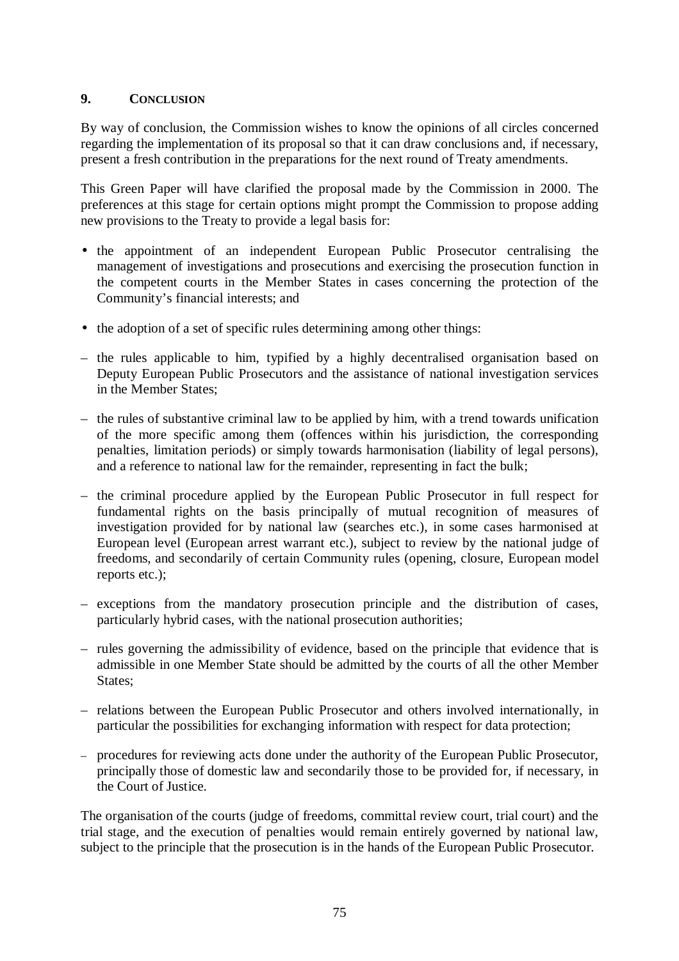# **9. CONCLUSION**

By way of conclusion, the Commission wishes to know the opinions of all circles concerned regarding the implementation of its proposal so that it can draw conclusions and, if necessary, present a fresh contribution in the preparations for the next round of Treaty amendments.

This Green Paper will have clarified the proposal made by the Commission in 2000. The preferences at this stage for certain options might prompt the Commission to propose adding new provisions to the Treaty to provide a legal basis for:

- the appointment of an independent European Public Prosecutor centralising the management of investigations and prosecutions and exercising the prosecution function in the competent courts in the Member States in cases concerning the protection of the Community's financial interests; and
- the adoption of a set of specific rules determining among other things:
- the rules applicable to him, typified by a highly decentralised organisation based on Deputy European Public Prosecutors and the assistance of national investigation services in the Member States;
- the rules of substantive criminal law to be applied by him, with a trend towards unification of the more specific among them (offences within his jurisdiction, the corresponding penalties, limitation periods) or simply towards harmonisation (liability of legal persons), and a reference to national law for the remainder, representing in fact the bulk;
- the criminal procedure applied by the European Public Prosecutor in full respect for fundamental rights on the basis principally of mutual recognition of measures of investigation provided for by national law (searches etc.), in some cases harmonised at European level (European arrest warrant etc.), subject to review by the national judge of freedoms, and secondarily of certain Community rules (opening, closure, European model reports etc.);
- exceptions from the mandatory prosecution principle and the distribution of cases, particularly hybrid cases, with the national prosecution authorities;
- rules governing the admissibility of evidence, based on the principle that evidence that is admissible in one Member State should be admitted by the courts of all the other Member States:
- relations between the European Public Prosecutor and others involved internationally, in particular the possibilities for exchanging information with respect for data protection;
- procedures for reviewing acts done under the authority of the European Public Prosecutor, principally those of domestic law and secondarily those to be provided for, if necessary, in the Court of Justice.

The organisation of the courts (judge of freedoms, committal review court, trial court) and the trial stage, and the execution of penalties would remain entirely governed by national law, subject to the principle that the prosecution is in the hands of the European Public Prosecutor.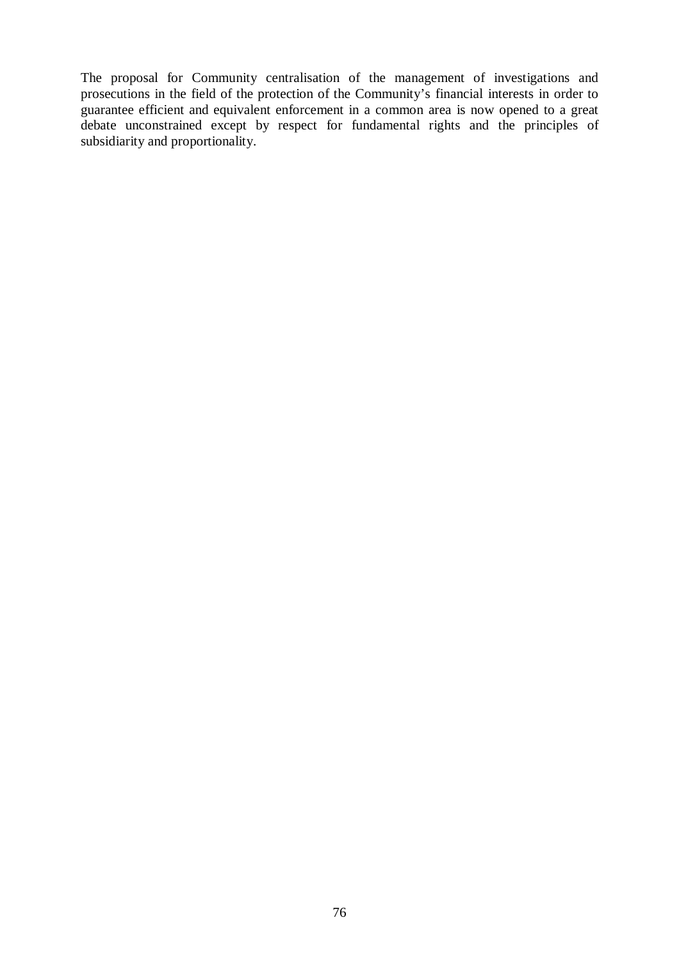The proposal for Community centralisation of the management of investigations and prosecutions in the field of the protection of the Community's financial interests in order to guarantee efficient and equivalent enforcement in a common area is now opened to a great debate unconstrained except by respect for fundamental rights and the principles of subsidiarity and proportionality.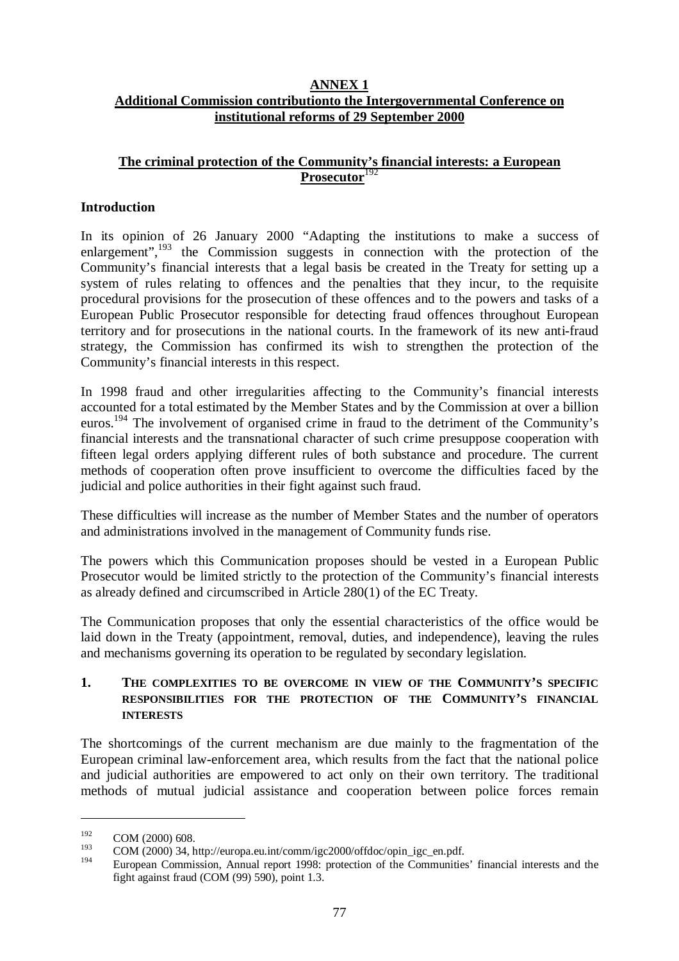## **ANNEX 1 Additional Commission contributionto the Intergovernmental Conference on institutional reforms of 29 September 2000**

# **The criminal protection of the Community's financial interests: a European Prosecutor**<sup>192</sup>

# **Introduction**

In its opinion of 26 January 2000 "Adapting the institutions to make a success of enlargement", $\frac{193}{1}$  the Commission suggests in connection with the protection of the Community's financial interests that a legal basis be created in the Treaty for setting up a system of rules relating to offences and the penalties that they incur, to the requisite procedural provisions for the prosecution of these offences and to the powers and tasks of a European Public Prosecutor responsible for detecting fraud offences throughout European territory and for prosecutions in the national courts. In the framework of its new anti-fraud strategy, the Commission has confirmed its wish to strengthen the protection of the Community's financial interests in this respect.

In 1998 fraud and other irregularities affecting to the Community's financial interests accounted for a total estimated by the Member States and by the Commission at over a billion euros.<sup>194</sup> The involvement of organised crime in fraud to the detriment of the Community's financial interests and the transnational character of such crime presuppose cooperation with fifteen legal orders applying different rules of both substance and procedure. The current methods of cooperation often prove insufficient to overcome the difficulties faced by the judicial and police authorities in their fight against such fraud.

These difficulties will increase as the number of Member States and the number of operators and administrations involved in the management of Community funds rise.

The powers which this Communication proposes should be vested in a European Public Prosecutor would be limited strictly to the protection of the Community's financial interests as already defined and circumscribed in Article 280(1) of the EC Treaty.

The Communication proposes that only the essential characteristics of the office would be laid down in the Treaty (appointment, removal, duties, and independence), leaving the rules and mechanisms governing its operation to be regulated by secondary legislation.

# **1. THE COMPLEXITIES TO BE OVERCOME IN VIEW OF THE COMMUNITY'S SPECIFIC RESPONSIBILITIES FOR THE PROTECTION OF THE COMMUNITY'S FINANCIAL INTERESTS**

The shortcomings of the current mechanism are due mainly to the fragmentation of the European criminal law-enforcement area, which results from the fact that the national police and judicial authorities are empowered to act only on their own territory. The traditional methods of mutual judicial assistance and cooperation between police forces remain

 $^{192}$  COM (2000) 608.

<sup>&</sup>lt;sup>193</sup> COM (2000) 34, http://europa.eu.int/comm/igc2000/offdoc/opin\_igc\_en.pdf.

<sup>194</sup> European Commission, Annual report 1998: protection of the Communities' financial interests and the fight against fraud (COM (99) 590), point 1.3.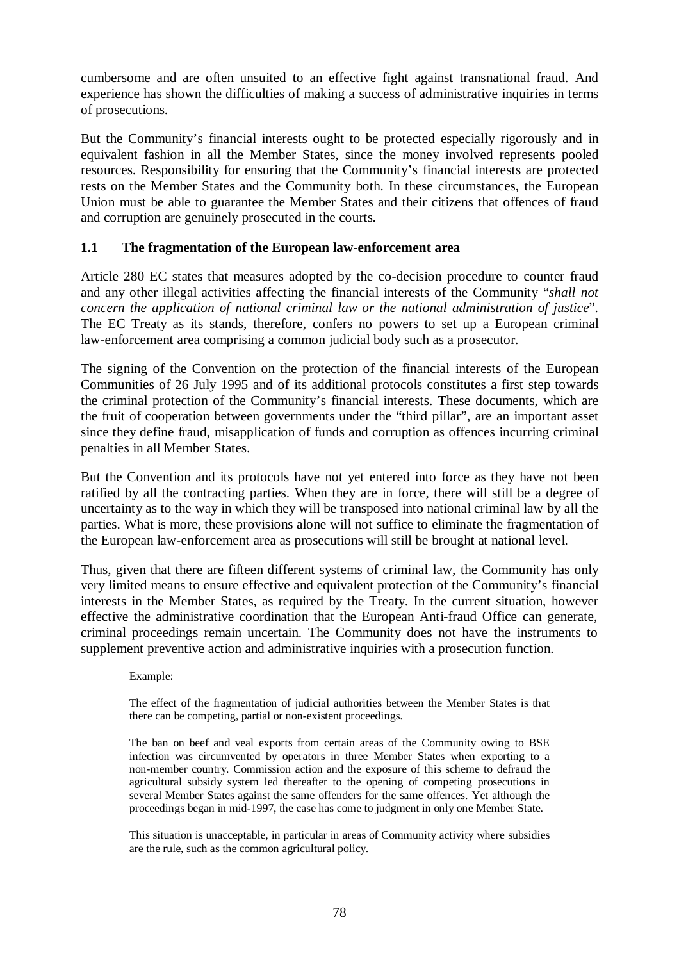cumbersome and are often unsuited to an effective fight against transnational fraud. And experience has shown the difficulties of making a success of administrative inquiries in terms of prosecutions.

But the Community's financial interests ought to be protected especially rigorously and in equivalent fashion in all the Member States, since the money involved represents pooled resources. Responsibility for ensuring that the Community's financial interests are protected rests on the Member States and the Community both. In these circumstances, the European Union must be able to guarantee the Member States and their citizens that offences of fraud and corruption are genuinely prosecuted in the courts.

# **1.1 The fragmentation of the European law-enforcement area**

Article 280 EC states that measures adopted by the co-decision procedure to counter fraud and any other illegal activities affecting the financial interests of the Community "*shall not concern the application of national criminal law or the national administration of justice*". The EC Treaty as its stands, therefore, confers no powers to set up a European criminal law-enforcement area comprising a common judicial body such as a prosecutor.

The signing of the Convention on the protection of the financial interests of the European Communities of 26 July 1995 and of its additional protocols constitutes a first step towards the criminal protection of the Community's financial interests. These documents, which are the fruit of cooperation between governments under the "third pillar", are an important asset since they define fraud, misapplication of funds and corruption as offences incurring criminal penalties in all Member States.

But the Convention and its protocols have not yet entered into force as they have not been ratified by all the contracting parties. When they are in force, there will still be a degree of uncertainty as to the way in which they will be transposed into national criminal law by all the parties. What is more, these provisions alone will not suffice to eliminate the fragmentation of the European law-enforcement area as prosecutions will still be brought at national level.

Thus, given that there are fifteen different systems of criminal law, the Community has only very limited means to ensure effective and equivalent protection of the Community's financial interests in the Member States, as required by the Treaty. In the current situation, however effective the administrative coordination that the European Anti-fraud Office can generate, criminal proceedings remain uncertain. The Community does not have the instruments to supplement preventive action and administrative inquiries with a prosecution function.

Example:

The effect of the fragmentation of judicial authorities between the Member States is that there can be competing, partial or non-existent proceedings.

The ban on beef and veal exports from certain areas of the Community owing to BSE infection was circumvented by operators in three Member States when exporting to a non-member country. Commission action and the exposure of this scheme to defraud the agricultural subsidy system led thereafter to the opening of competing prosecutions in several Member States against the same offenders for the same offences. Yet although the proceedings began in mid-1997, the case has come to judgment in only one Member State.

This situation is unacceptable, in particular in areas of Community activity where subsidies are the rule, such as the common agricultural policy.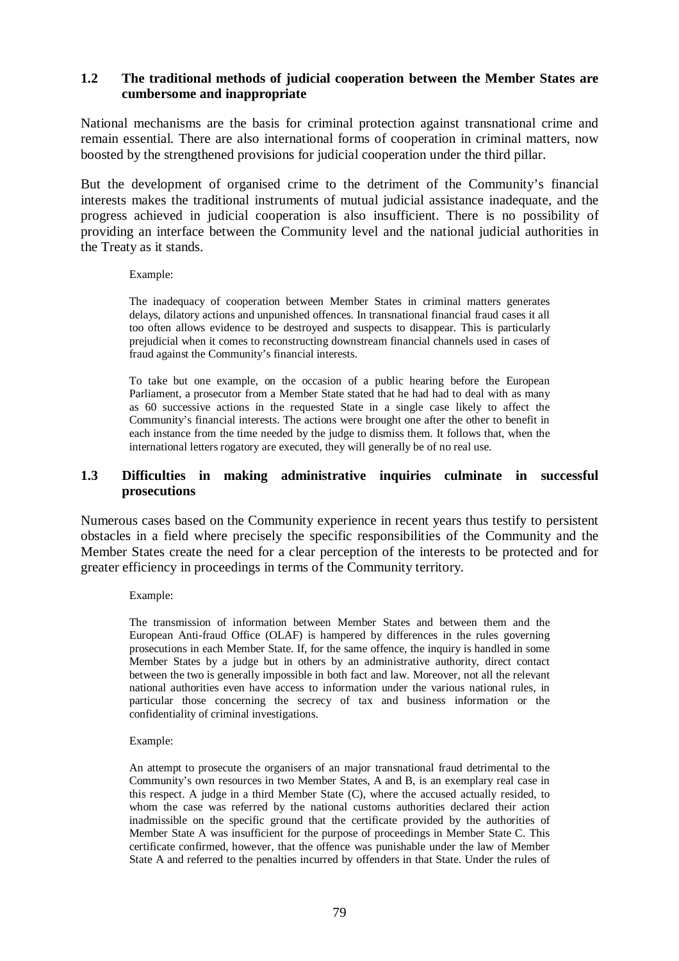# **1.2 The traditional methods of judicial cooperation between the Member States are cumbersome and inappropriate**

National mechanisms are the basis for criminal protection against transnational crime and remain essential. There are also international forms of cooperation in criminal matters, now boosted by the strengthened provisions for judicial cooperation under the third pillar.

But the development of organised crime to the detriment of the Community's financial interests makes the traditional instruments of mutual judicial assistance inadequate, and the progress achieved in judicial cooperation is also insufficient. There is no possibility of providing an interface between the Community level and the national judicial authorities in the Treaty as it stands.

#### Example:

The inadequacy of cooperation between Member States in criminal matters generates delays, dilatory actions and unpunished offences. In transnational financial fraud cases it all too often allows evidence to be destroyed and suspects to disappear. This is particularly prejudicial when it comes to reconstructing downstream financial channels used in cases of fraud against the Community's financial interests.

To take but one example, on the occasion of a public hearing before the European Parliament, a prosecutor from a Member State stated that he had had to deal with as many as 60 successive actions in the requested State in a single case likely to affect the Community's financial interests. The actions were brought one after the other to benefit in each instance from the time needed by the judge to dismiss them. It follows that, when the international letters rogatory are executed, they will generally be of no real use.

#### **1.3 Difficulties in making administrative inquiries culminate in successful prosecutions**

Numerous cases based on the Community experience in recent years thus testify to persistent obstacles in a field where precisely the specific responsibilities of the Community and the Member States create the need for a clear perception of the interests to be protected and for greater efficiency in proceedings in terms of the Community territory.

#### Example:

The transmission of information between Member States and between them and the European Anti-fraud Office (OLAF) is hampered by differences in the rules governing prosecutions in each Member State. If, for the same offence, the inquiry is handled in some Member States by a judge but in others by an administrative authority, direct contact between the two is generally impossible in both fact and law. Moreover, not all the relevant national authorities even have access to information under the various national rules, in particular those concerning the secrecy of tax and business information or the confidentiality of criminal investigations.

#### Example:

An attempt to prosecute the organisers of an major transnational fraud detrimental to the Community's own resources in two Member States, A and B, is an exemplary real case in this respect. A judge in a third Member State (C), where the accused actually resided, to whom the case was referred by the national customs authorities declared their action inadmissible on the specific ground that the certificate provided by the authorities of Member State A was insufficient for the purpose of proceedings in Member State C. This certificate confirmed, however, that the offence was punishable under the law of Member State A and referred to the penalties incurred by offenders in that State. Under the rules of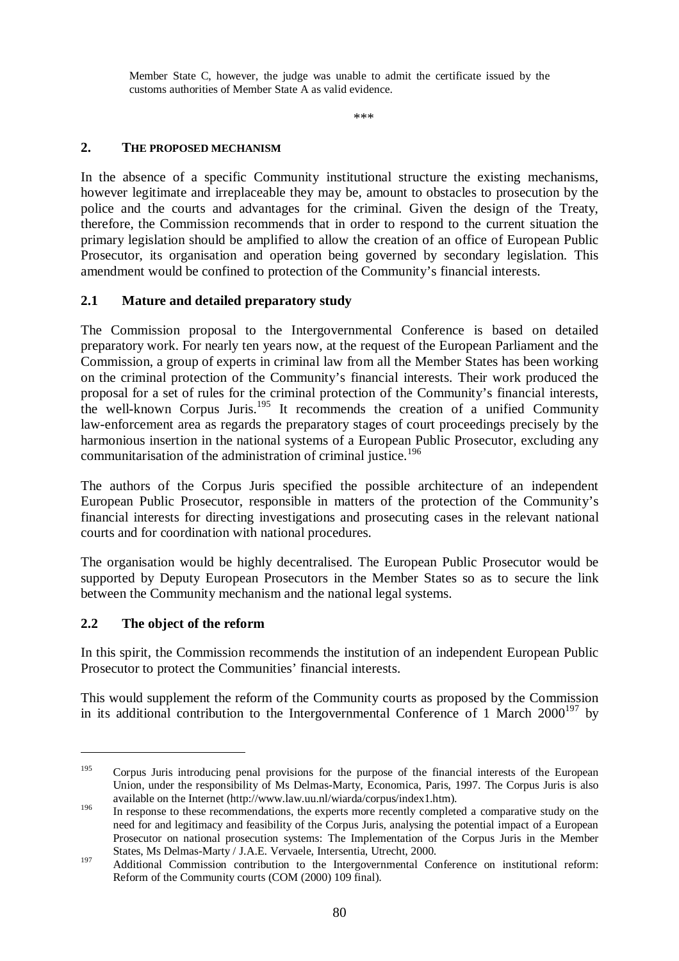Member State C, however, the judge was unable to admit the certificate issued by the customs authorities of Member State A as valid evidence.

\*\*\*

# **2. THE PROPOSED MECHANISM**

In the absence of a specific Community institutional structure the existing mechanisms, however legitimate and irreplaceable they may be, amount to obstacles to prosecution by the police and the courts and advantages for the criminal. Given the design of the Treaty, therefore, the Commission recommends that in order to respond to the current situation the primary legislation should be amplified to allow the creation of an office of European Public Prosecutor, its organisation and operation being governed by secondary legislation. This amendment would be confined to protection of the Community's financial interests.

# **2.1 Mature and detailed preparatory study**

The Commission proposal to the Intergovernmental Conference is based on detailed preparatory work. For nearly ten years now, at the request of the European Parliament and the Commission, a group of experts in criminal law from all the Member States has been working on the criminal protection of the Community's financial interests. Their work produced the proposal for a set of rules for the criminal protection of the Community's financial interests, the well-known Corpus Juris.<sup>195</sup> It recommends the creation of a unified Community law-enforcement area as regards the preparatory stages of court proceedings precisely by the harmonious insertion in the national systems of a European Public Prosecutor, excluding any communitarisation of the administration of criminal justice.<sup>196</sup>

The authors of the Corpus Juris specified the possible architecture of an independent European Public Prosecutor, responsible in matters of the protection of the Community's financial interests for directing investigations and prosecuting cases in the relevant national courts and for coordination with national procedures.

The organisation would be highly decentralised. The European Public Prosecutor would be supported by Deputy European Prosecutors in the Member States so as to secure the link between the Community mechanism and the national legal systems.

# **2.2 The object of the reform**

In this spirit, the Commission recommends the institution of an independent European Public Prosecutor to protect the Communities' financial interests.

This would supplement the reform of the Community courts as proposed by the Commission in its additional contribution to the Intergovernmental Conference of 1 March  $2000^{197}$  by

<sup>&</sup>lt;sup>195</sup> Corpus Juris introducing penal provisions for the purpose of the financial interests of the European Union, under the responsibility of Ms Delmas-Marty, Economica, Paris, 1997. The Corpus Juris is also available on the Internet (http://www.law.uu.nl/wiarda/corpus/index1.htm).

<sup>&</sup>lt;sup>196</sup> In response to these recommendations, the experts more recently completed a comparative study on the need for and legitimacy and feasibility of the Corpus Juris, analysing the potential impact of a European Prosecutor on national prosecution systems: The Implementation of the Corpus Juris in the Member States, Ms Delmas-Marty / J.A.E. Vervaele, Intersentia, Utrecht, 2000.

<sup>197</sup> Additional Commission contribution to the Intergovernmental Conference on institutional reform: Reform of the Community courts (COM (2000) 109 final).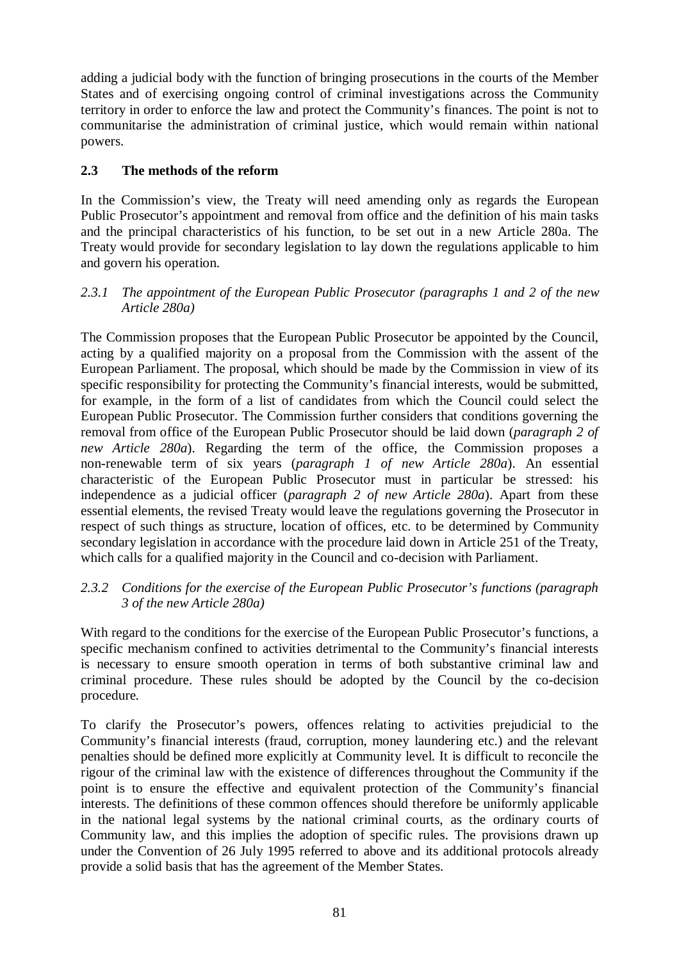adding a judicial body with the function of bringing prosecutions in the courts of the Member States and of exercising ongoing control of criminal investigations across the Community territory in order to enforce the law and protect the Community's finances. The point is not to communitarise the administration of criminal justice, which would remain within national powers.

# **2.3 The methods of the reform**

In the Commission's view, the Treaty will need amending only as regards the European Public Prosecutor's appointment and removal from office and the definition of his main tasks and the principal characteristics of his function, to be set out in a new Article 280a. The Treaty would provide for secondary legislation to lay down the regulations applicable to him and govern his operation.

# *2.3.1 The appointment of the European Public Prosecutor (paragraphs 1 and 2 of the new Article 280a)*

The Commission proposes that the European Public Prosecutor be appointed by the Council, acting by a qualified majority on a proposal from the Commission with the assent of the European Parliament. The proposal, which should be made by the Commission in view of its specific responsibility for protecting the Community's financial interests, would be submitted, for example, in the form of a list of candidates from which the Council could select the European Public Prosecutor. The Commission further considers that conditions governing the removal from office of the European Public Prosecutor should be laid down (*paragraph 2 of new Article 280a*). Regarding the term of the office, the Commission proposes a non-renewable term of six years (*paragraph 1 of new Article 280a*). An essential characteristic of the European Public Prosecutor must in particular be stressed: his independence as a judicial officer (*paragraph 2 of new Article 280a*). Apart from these essential elements, the revised Treaty would leave the regulations governing the Prosecutor in respect of such things as structure, location of offices, etc. to be determined by Community secondary legislation in accordance with the procedure laid down in Article 251 of the Treaty, which calls for a qualified majority in the Council and co-decision with Parliament.

# *2.3.2 Conditions for the exercise of the European Public Prosecutor's functions (paragraph 3 of the new Article 280a)*

With regard to the conditions for the exercise of the European Public Prosecutor's functions, a specific mechanism confined to activities detrimental to the Community's financial interests is necessary to ensure smooth operation in terms of both substantive criminal law and criminal procedure. These rules should be adopted by the Council by the co-decision procedure.

To clarify the Prosecutor's powers, offences relating to activities prejudicial to the Community's financial interests (fraud, corruption, money laundering etc.) and the relevant penalties should be defined more explicitly at Community level. It is difficult to reconcile the rigour of the criminal law with the existence of differences throughout the Community if the point is to ensure the effective and equivalent protection of the Community's financial interests. The definitions of these common offences should therefore be uniformly applicable in the national legal systems by the national criminal courts, as the ordinary courts of Community law, and this implies the adoption of specific rules. The provisions drawn up under the Convention of 26 July 1995 referred to above and its additional protocols already provide a solid basis that has the agreement of the Member States.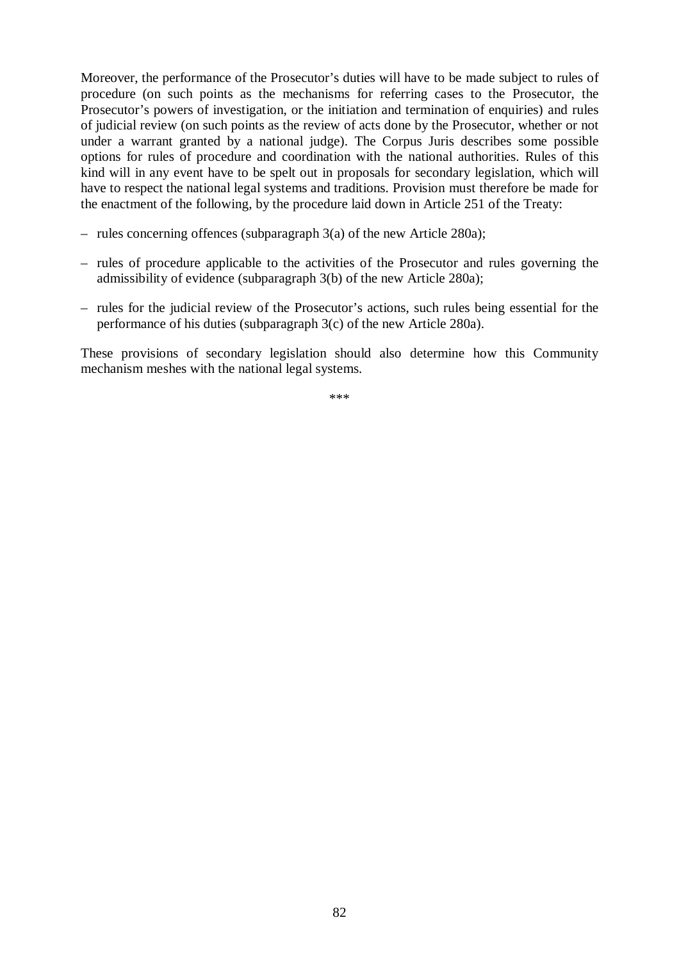Moreover, the performance of the Prosecutor's duties will have to be made subject to rules of procedure (on such points as the mechanisms for referring cases to the Prosecutor, the Prosecutor's powers of investigation, or the initiation and termination of enquiries) and rules of judicial review (on such points as the review of acts done by the Prosecutor, whether or not under a warrant granted by a national judge). The Corpus Juris describes some possible options for rules of procedure and coordination with the national authorities. Rules of this kind will in any event have to be spelt out in proposals for secondary legislation, which will have to respect the national legal systems and traditions. Provision must therefore be made for the enactment of the following, by the procedure laid down in Article 251 of the Treaty:

- rules concerning offences (subparagraph 3(a) of the new Article 280a);
- rules of procedure applicable to the activities of the Prosecutor and rules governing the admissibility of evidence (subparagraph 3(b) of the new Article 280a);
- rules for the judicial review of the Prosecutor's actions, such rules being essential for the performance of his duties (subparagraph 3(c) of the new Article 280a).

These provisions of secondary legislation should also determine how this Community mechanism meshes with the national legal systems.

\*\*\*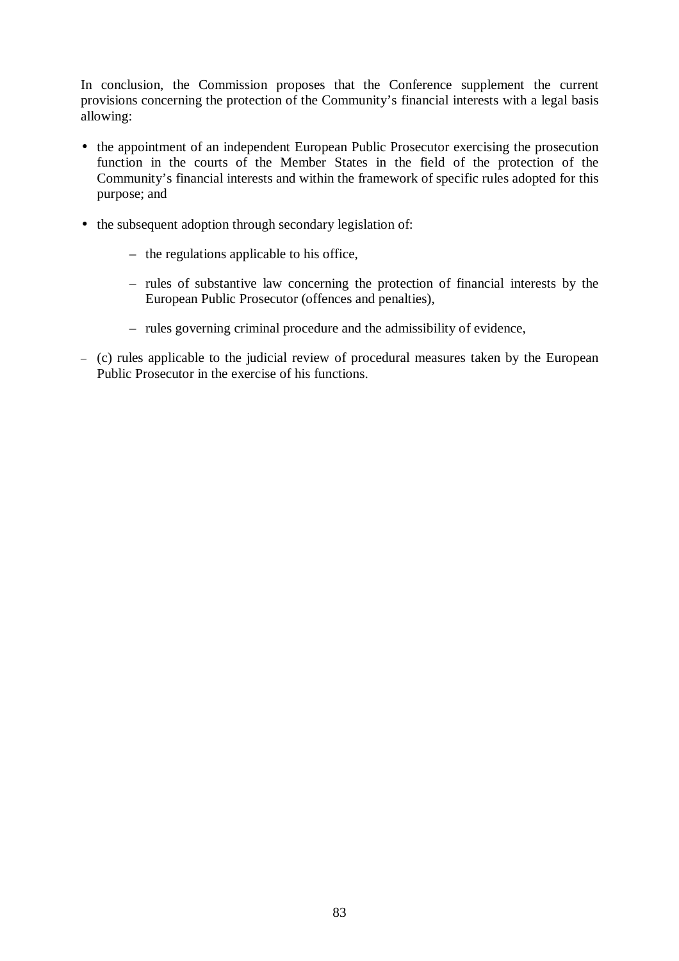In conclusion, the Commission proposes that the Conference supplement the current provisions concerning the protection of the Community's financial interests with a legal basis allowing:

- the appointment of an independent European Public Prosecutor exercising the prosecution function in the courts of the Member States in the field of the protection of the Community's financial interests and within the framework of specific rules adopted for this purpose; and
- the subsequent adoption through secondary legislation of:
	- the regulations applicable to his office,
	- rules of substantive law concerning the protection of financial interests by the European Public Prosecutor (offences and penalties),
	- rules governing criminal procedure and the admissibility of evidence,
- (c) rules applicable to the judicial review of procedural measures taken by the European Public Prosecutor in the exercise of his functions.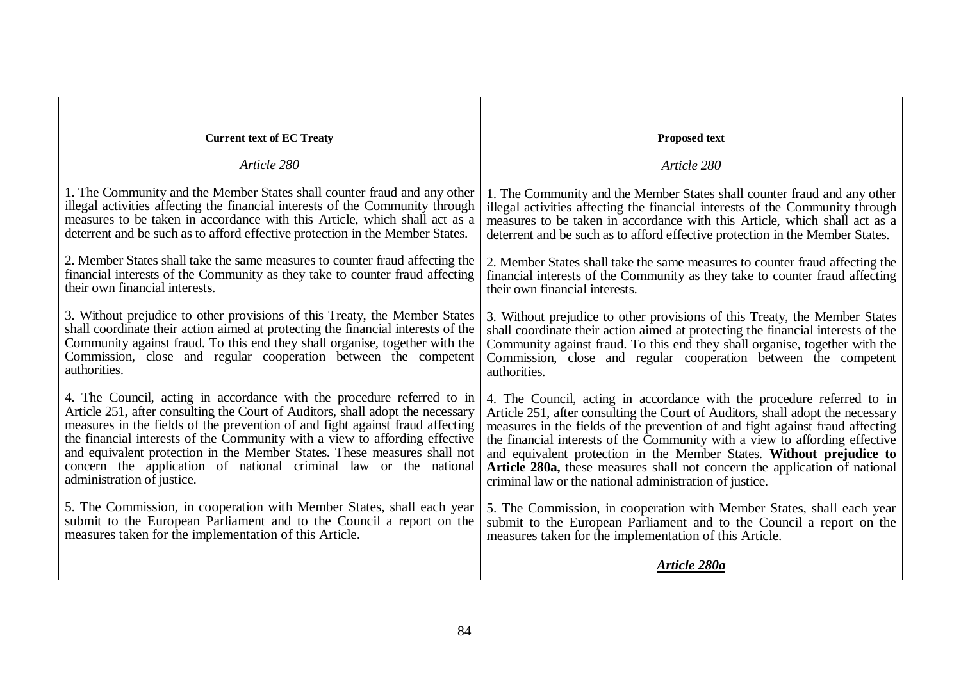| <b>Current text of EC Treaty</b>                                                 | <b>Proposed text</b>                                                             |
|----------------------------------------------------------------------------------|----------------------------------------------------------------------------------|
| Article 280                                                                      | Article 280                                                                      |
| 1. The Community and the Member States shall counter fraud and any other         | 1. The Community and the Member States shall counter fraud and any other         |
| illegal activities affecting the financial interests of the Community through    | illegal activities affecting the financial interests of the Community through    |
| measures to be taken in accordance with this Article, which shall act as a       | measures to be taken in accordance with this Article, which shall act as a       |
| deterrent and be such as to afford effective protection in the Member States.    | deterrent and be such as to afford effective protection in the Member States.    |
| 2. Member States shall take the same measures to counter fraud affecting the     | 2. Member States shall take the same measures to counter fraud affecting the     |
| financial interests of the Community as they take to counter fraud affecting     | financial interests of the Community as they take to counter fraud affecting     |
| their own financial interests.                                                   | their own financial interests.                                                   |
| 3. Without prejudice to other provisions of this Treaty, the Member States       | 3. Without prejudice to other provisions of this Treaty, the Member States       |
| shall coordinate their action aimed at protecting the financial interests of the | shall coordinate their action aimed at protecting the financial interests of the |
| Community against fraud. To this end they shall organise, together with the      | Community against fraud. To this end they shall organise, together with the      |
| Commission, close and regular cooperation between the competent                  | Commission, close and regular cooperation between the competent                  |
| authorities.                                                                     | authorities.                                                                     |
| 4. The Council, acting in accordance with the procedure referred to in           | 4. The Council, acting in accordance with the procedure referred to in           |
| Article 251, after consulting the Court of Auditors, shall adopt the necessary   | Article 251, after consulting the Court of Auditors, shall adopt the necessary   |
| measures in the fields of the prevention of and fight against fraud affecting    | measures in the fields of the prevention of and fight against fraud affecting    |
| the financial interests of the Community with a view to affording effective      | the financial interests of the Community with a view to affording effective      |
| and equivalent protection in the Member States. These measures shall not         | and equivalent protection in the Member States. Without prejudice to             |
| concern the application of national criminal law or the national                 | Article 280a, these measures shall not concern the application of national       |
| administration of justice.                                                       | criminal law or the national administration of justice.                          |
| 5. The Commission, in cooperation with Member States, shall each year            | 5. The Commission, in cooperation with Member States, shall each year            |
| submit to the European Parliament and to the Council a report on the             | submit to the European Parliament and to the Council a report on the             |
| measures taken for the implementation of this Article.                           | measures taken for the implementation of this Article.                           |
|                                                                                  | Article 280a                                                                     |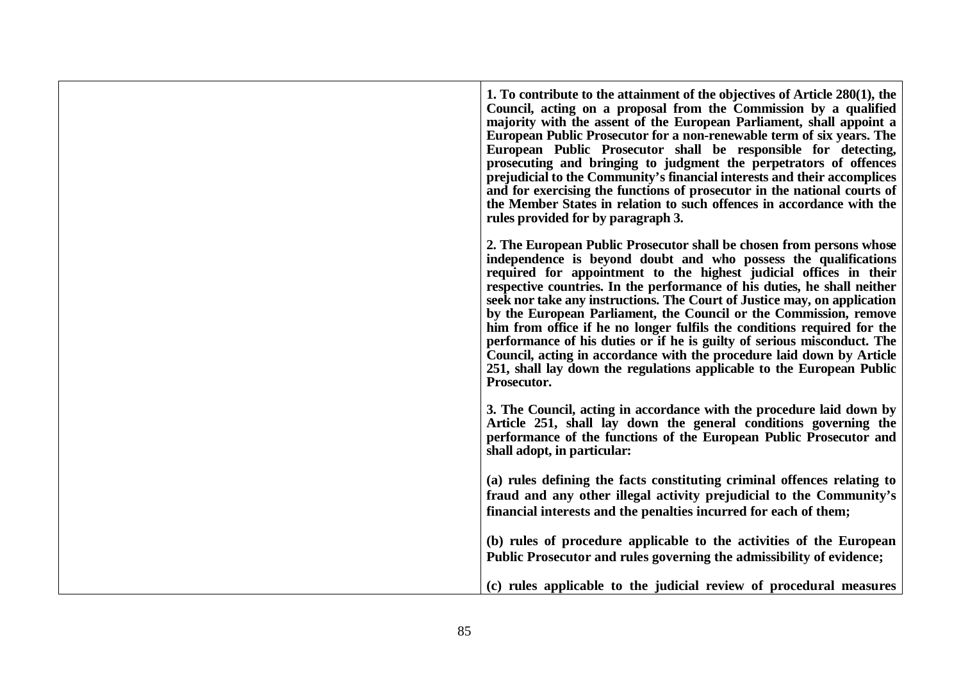1. To contribute to the attainment of the objectives of Article 280(1), the **Council, acting on <sup>a</sup> proposal from the Commission by <sup>a</sup> qualified majority with the assent of the European Parliament, shall appoint <sup>a</sup> European Public Prosecutor for <sup>a</sup> non-renewable term of six years. The European Public Prosecutor shall be responsible for detecting, prosecuting and bringing to judgment the perpetrators of offences prejudicial to the Community's financial interests and their accomplices** and for exercising the functions of prosecutor in the national courts of the Member States in relation to such offences in accordance with the **rules provided for by paragraph 3. 2. The European Public Prosecutor shall be chosen from persons whose independence is beyond doubt and who possess the qualifications required for appointment to the highest judicial offices in their respective countries. In the performance of his duties, he shall neither** seek nor take any instructions. The Court of Justice may, on application **by the European Parliament, the Council or the Commission, remove** him from office if he no longer fulfils the conditions required for the performance of his duties or if he is guilty of serious misconduct. The **Council, acting in accordance with the procedure laid down by Article** 251, shall lay down the regulations applicable to the European Public **Prosecutor. 3. The Council, acting in accordance with the procedure laid down by Article 251, shall lay down the general conditions governing the performance of the functions of the European Public Prosecutor and shall adopt, in particular: (a) rules defining the facts constituting criminal offences relating to fraud and any other illegal activity prejudicial to the Community's financial interests and the penalties incurred for each of them; (b) rules of procedure applicable to the activities of the European Public Prosecutor and rules governing the admissibility of evidence; (c) rules applicable to the judicial review of procedural measures**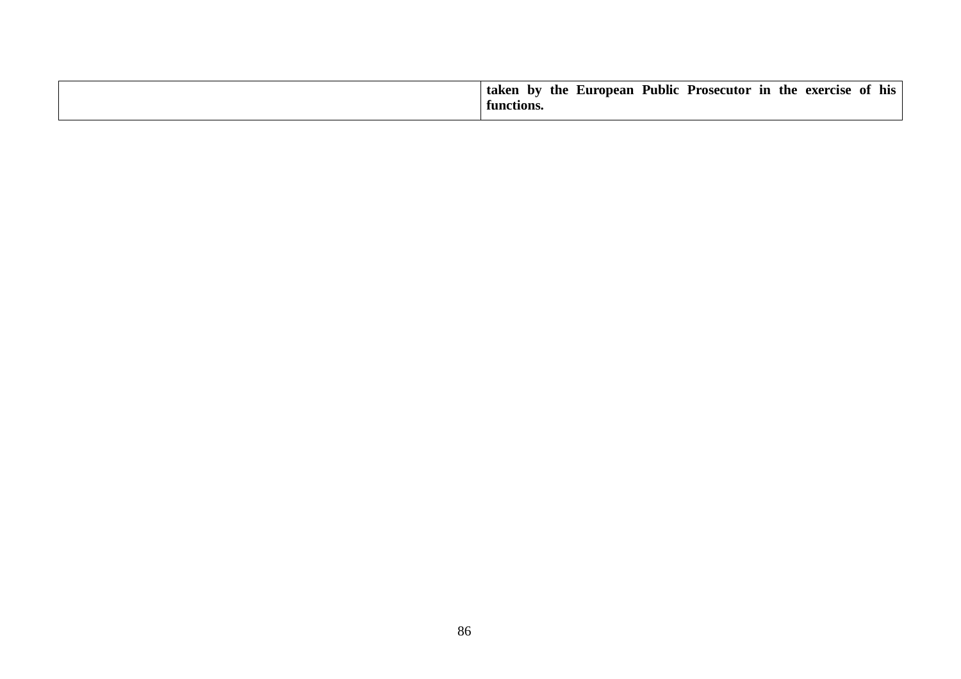|  | in<br>the<br>taken<br>Prosecutor<br>exercise<br>$-$ by<br>the<br>European<br>Public<br>his<br>ОĪ<br>functions. |
|--|----------------------------------------------------------------------------------------------------------------|
|--|----------------------------------------------------------------------------------------------------------------|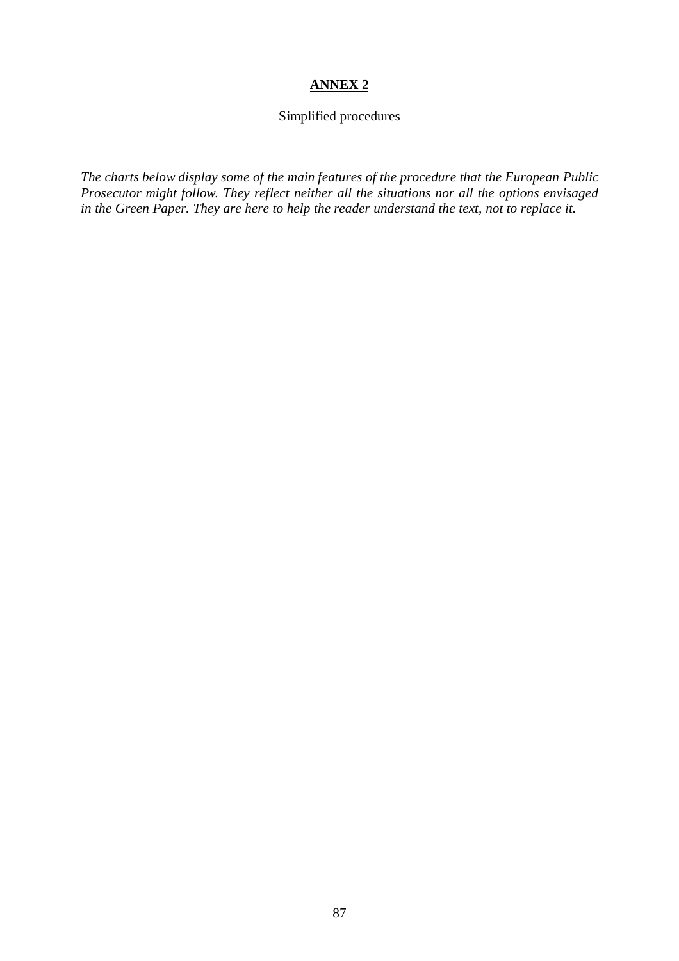# **ANNEX 2**

# Simplified procedures

*The charts below display some of the main features of the procedure that the European Public Prosecutor might follow. They reflect neither all the situations nor all the options envisaged in the Green Paper. They are here to help the reader understand the text, not to replace it.*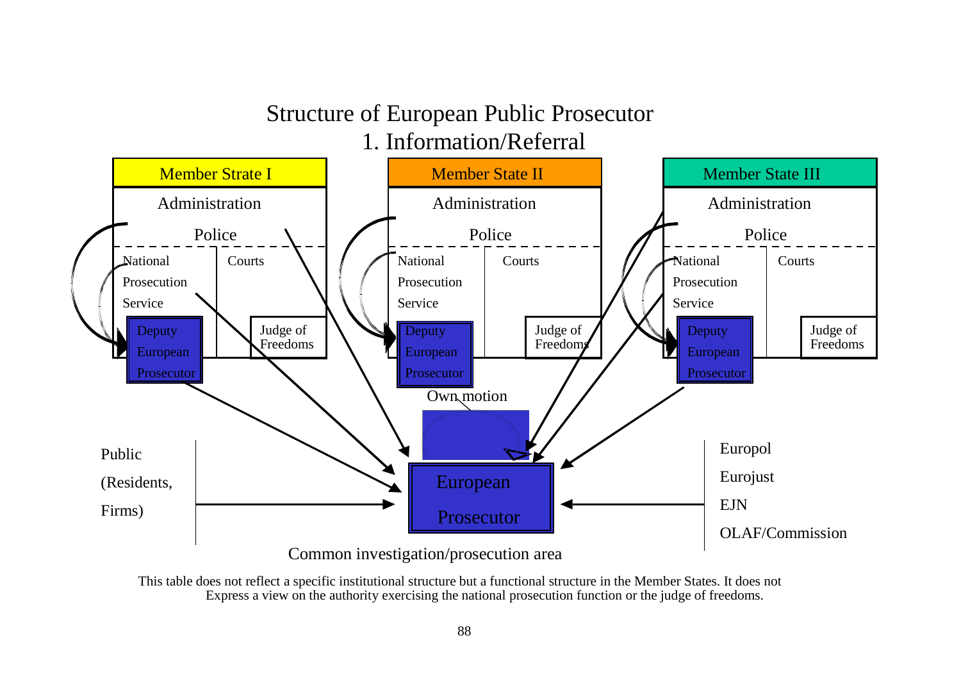# Structure of European Public Prosecutor

1. Information/Referral



This table does not reflect <sup>a</sup> specific institutional structure but <sup>a</sup> functional structure in the Member States. It does not Express <sup>a</sup> view on the authority exercising the national prosecution function or the judge of freedoms.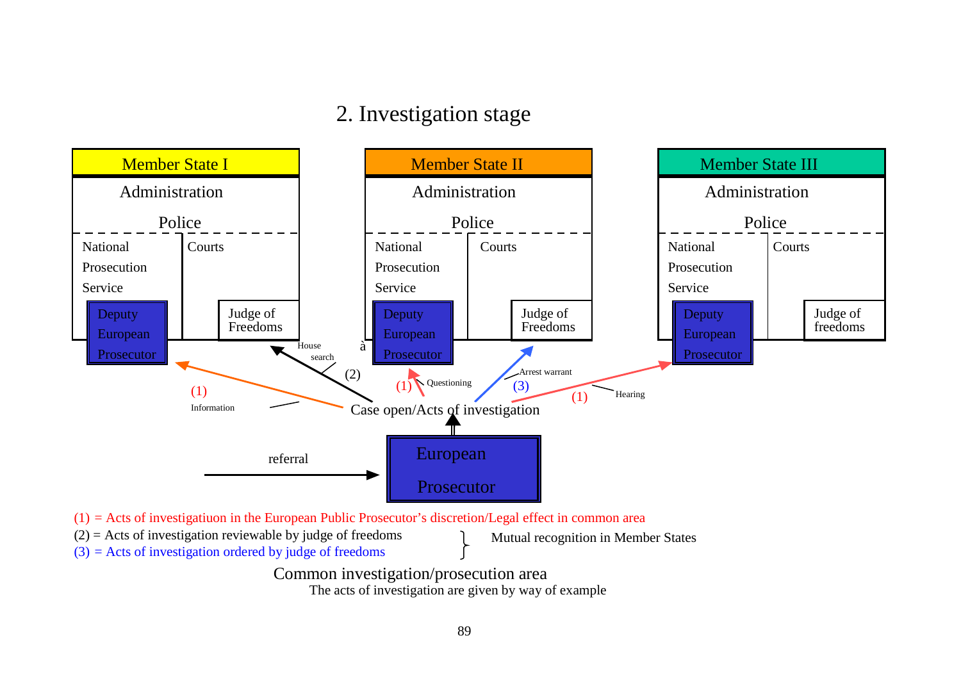# 2. Investigation stage



Common investigation/prosecution area The acts of investigation are given by way of example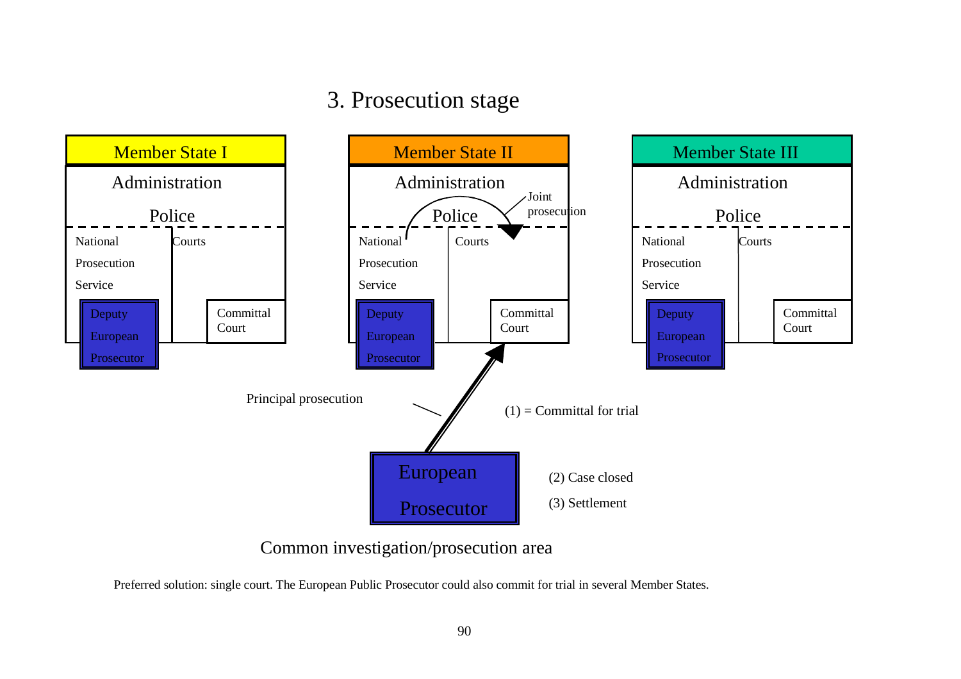# 3. Prosecution stage



Common investigation/prosecution area

Preferred solution: single court. The European Public Prosecutor could also commit for trial in several Member States.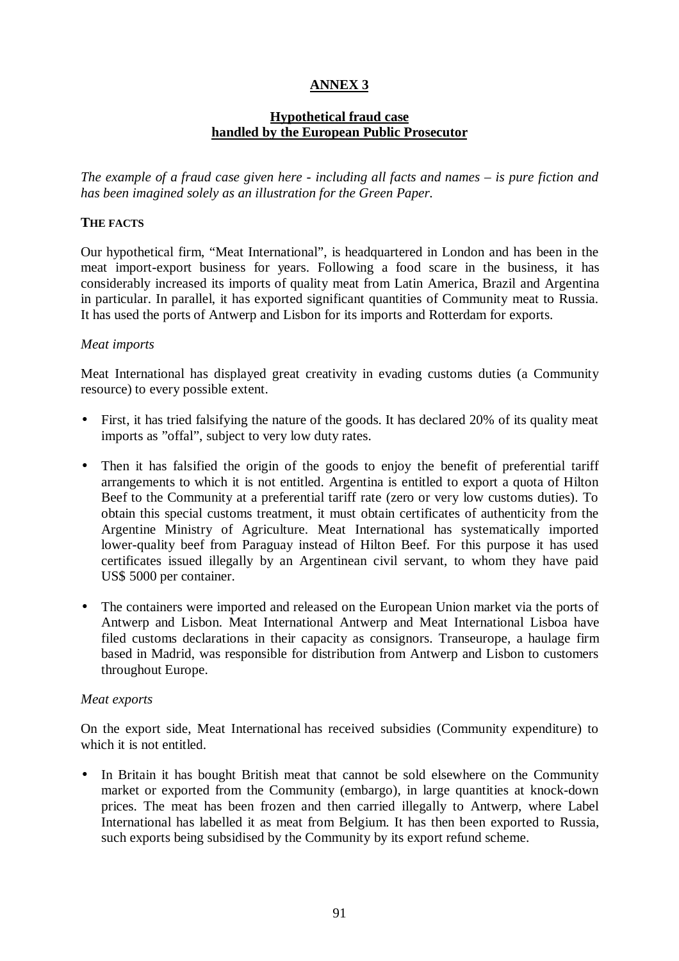# **ANNEX 3**

# **Hypothetical fraud case handled by the European Public Prosecutor**

*The example of a fraud case given here - including all facts and names – is pure fiction and has been imagined solely as an illustration for the Green Paper.*

## **THE FACTS**

Our hypothetical firm, "Meat International", is headquartered in London and has been in the meat import-export business for years. Following a food scare in the business, it has considerably increased its imports of quality meat from Latin America, Brazil and Argentina in particular. In parallel, it has exported significant quantities of Community meat to Russia. It has used the ports of Antwerp and Lisbon for its imports and Rotterdam for exports.

#### *Meat imports*

Meat International has displayed great creativity in evading customs duties (a Community resource) to every possible extent.

- First, it has tried falsifying the nature of the goods. It has declared 20% of its quality meat imports as "offal", subject to very low duty rates.
- Then it has falsified the origin of the goods to enjoy the benefit of preferential tariff arrangements to which it is not entitled. Argentina is entitled to export a quota of Hilton Beef to the Community at a preferential tariff rate (zero or very low customs duties). To obtain this special customs treatment, it must obtain certificates of authenticity from the Argentine Ministry of Agriculture. Meat International has systematically imported lower-quality beef from Paraguay instead of Hilton Beef. For this purpose it has used certificates issued illegally by an Argentinean civil servant, to whom they have paid US\$ 5000 per container.
- The containers were imported and released on the European Union market via the ports of Antwerp and Lisbon. Meat International Antwerp and Meat International Lisboa have filed customs declarations in their capacity as consignors. Transeurope, a haulage firm based in Madrid, was responsible for distribution from Antwerp and Lisbon to customers throughout Europe.

#### *Meat exports*

On the export side, Meat International has received subsidies (Community expenditure) to which it is not entitled.

• In Britain it has bought British meat that cannot be sold elsewhere on the Community market or exported from the Community (embargo), in large quantities at knock-down prices. The meat has been frozen and then carried illegally to Antwerp, where Label International has labelled it as meat from Belgium. It has then been exported to Russia, such exports being subsidised by the Community by its export refund scheme.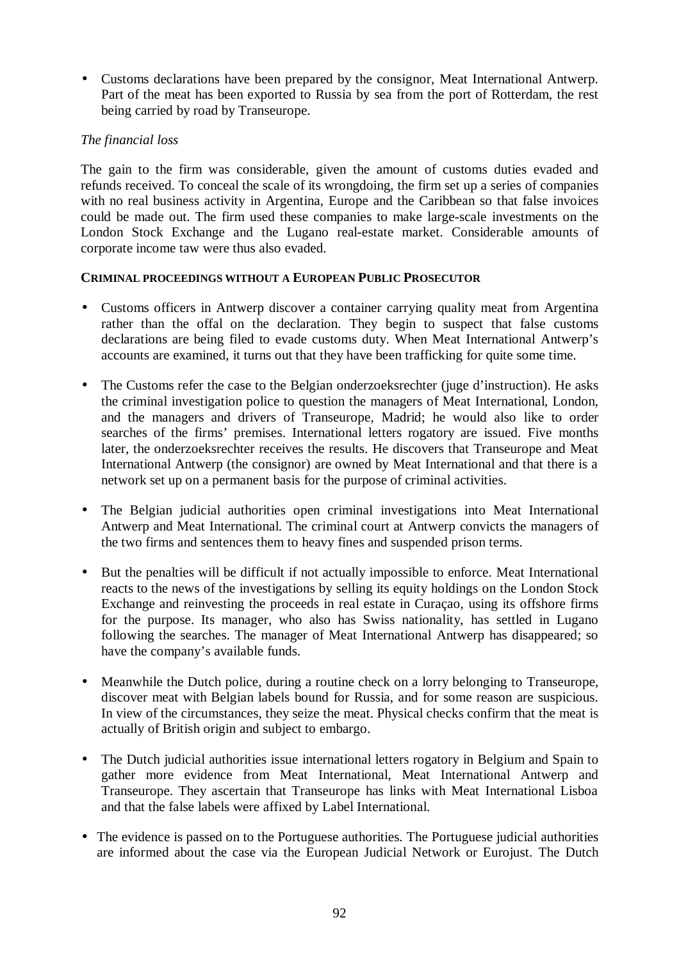• Customs declarations have been prepared by the consignor, Meat International Antwerp. Part of the meat has been exported to Russia by sea from the port of Rotterdam, the rest being carried by road by Transeurope.

# *The financial loss*

The gain to the firm was considerable, given the amount of customs duties evaded and refunds received. To conceal the scale of its wrongdoing, the firm set up a series of companies with no real business activity in Argentina, Europe and the Caribbean so that false invoices could be made out. The firm used these companies to make large-scale investments on the London Stock Exchange and the Lugano real-estate market. Considerable amounts of corporate income taw were thus also evaded.

### **CRIMINAL PROCEEDINGS WITHOUT A EUROPEAN PUBLIC PROSECUTOR**

- Customs officers in Antwerp discover a container carrying quality meat from Argentina rather than the offal on the declaration. They begin to suspect that false customs declarations are being filed to evade customs duty. When Meat International Antwerp's accounts are examined, it turns out that they have been trafficking for quite some time.
- The Customs refer the case to the Belgian onderzoeksrechter (juge d'instruction). He asks the criminal investigation police to question the managers of Meat International, London, and the managers and drivers of Transeurope, Madrid; he would also like to order searches of the firms' premises. International letters rogatory are issued. Five months later, the onderzoeksrechter receives the results. He discovers that Transeurope and Meat International Antwerp (the consignor) are owned by Meat International and that there is a network set up on a permanent basis for the purpose of criminal activities.
- The Belgian judicial authorities open criminal investigations into Meat International Antwerp and Meat International. The criminal court at Antwerp convicts the managers of the two firms and sentences them to heavy fines and suspended prison terms.
- But the penalties will be difficult if not actually impossible to enforce. Meat International reacts to the news of the investigations by selling its equity holdings on the London Stock Exchange and reinvesting the proceeds in real estate in Curaçao, using its offshore firms for the purpose. Its manager, who also has Swiss nationality, has settled in Lugano following the searches. The manager of Meat International Antwerp has disappeared; so have the company's available funds.
- Meanwhile the Dutch police, during a routine check on a lorry belonging to Transeurope, discover meat with Belgian labels bound for Russia, and for some reason are suspicious. In view of the circumstances, they seize the meat. Physical checks confirm that the meat is actually of British origin and subject to embargo.
- The Dutch judicial authorities issue international letters rogatory in Belgium and Spain to gather more evidence from Meat International, Meat International Antwerp and Transeurope. They ascertain that Transeurope has links with Meat International Lisboa and that the false labels were affixed by Label International.
- The evidence is passed on to the Portuguese authorities. The Portuguese judicial authorities are informed about the case via the European Judicial Network or Eurojust. The Dutch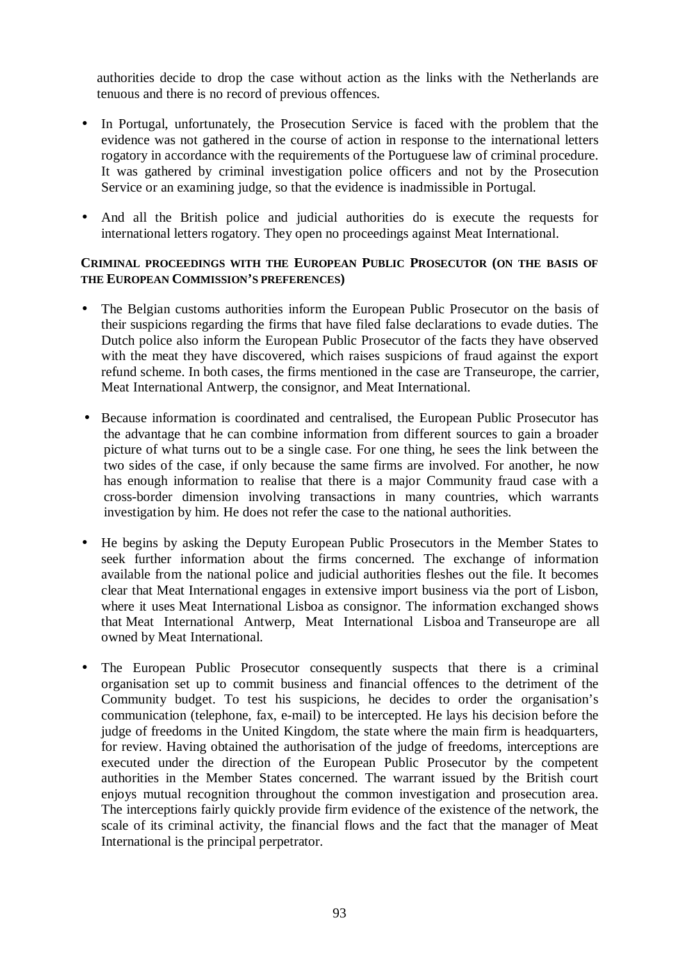authorities decide to drop the case without action as the links with the Netherlands are tenuous and there is no record of previous offences.

- In Portugal, unfortunately, the Prosecution Service is faced with the problem that the evidence was not gathered in the course of action in response to the international letters rogatory in accordance with the requirements of the Portuguese law of criminal procedure. It was gathered by criminal investigation police officers and not by the Prosecution Service or an examining judge, so that the evidence is inadmissible in Portugal.
- And all the British police and judicial authorities do is execute the requests for international letters rogatory. They open no proceedings against Meat International.

## **CRIMINAL PROCEEDINGS WITH THE EUROPEAN PUBLIC PROSECUTOR (ON THE BASIS OF THE EUROPEAN COMMISSION'S PREFERENCES)**

- The Belgian customs authorities inform the European Public Prosecutor on the basis of their suspicions regarding the firms that have filed false declarations to evade duties. The Dutch police also inform the European Public Prosecutor of the facts they have observed with the meat they have discovered, which raises suspicions of fraud against the export refund scheme. In both cases, the firms mentioned in the case are Transeurope, the carrier, Meat International Antwerp, the consignor, and Meat International.
- Because information is coordinated and centralised, the European Public Prosecutor has the advantage that he can combine information from different sources to gain a broader picture of what turns out to be a single case. For one thing, he sees the link between the two sides of the case, if only because the same firms are involved. For another, he now has enough information to realise that there is a major Community fraud case with a cross-border dimension involving transactions in many countries, which warrants investigation by him. He does not refer the case to the national authorities.
- He begins by asking the Deputy European Public Prosecutors in the Member States to seek further information about the firms concerned. The exchange of information available from the national police and judicial authorities fleshes out the file. It becomes clear that Meat International engages in extensive import business via the port of Lisbon, where it uses Meat International Lisboa as consignor. The information exchanged shows that Meat International Antwerp, Meat International Lisboa and Transeurope are all owned by Meat International.
- The European Public Prosecutor consequently suspects that there is a criminal organisation set up to commit business and financial offences to the detriment of the Community budget. To test his suspicions, he decides to order the organisation's communication (telephone, fax, e-mail) to be intercepted. He lays his decision before the judge of freedoms in the United Kingdom, the state where the main firm is headquarters, for review. Having obtained the authorisation of the judge of freedoms, interceptions are executed under the direction of the European Public Prosecutor by the competent authorities in the Member States concerned. The warrant issued by the British court enjoys mutual recognition throughout the common investigation and prosecution area. The interceptions fairly quickly provide firm evidence of the existence of the network, the scale of its criminal activity, the financial flows and the fact that the manager of Meat International is the principal perpetrator.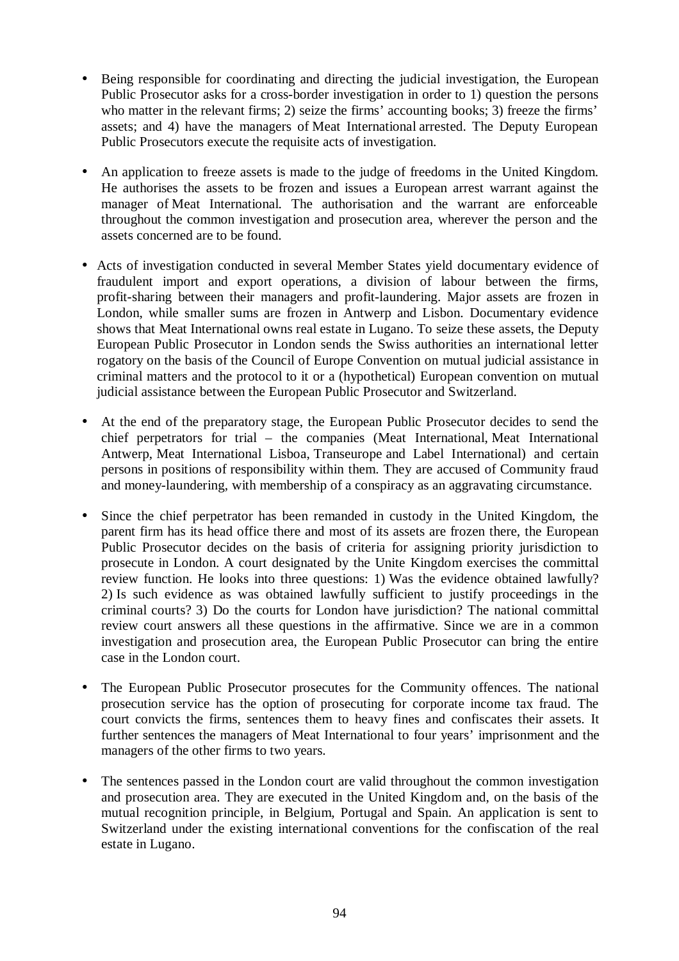- Being responsible for coordinating and directing the judicial investigation, the European Public Prosecutor asks for a cross-border investigation in order to 1) question the persons who matter in the relevant firms; 2) seize the firms' accounting books; 3) freeze the firms' assets; and 4) have the managers of Meat International arrested. The Deputy European Public Prosecutors execute the requisite acts of investigation.
- An application to freeze assets is made to the judge of freedoms in the United Kingdom. He authorises the assets to be frozen and issues a European arrest warrant against the manager of Meat International. The authorisation and the warrant are enforceable throughout the common investigation and prosecution area, wherever the person and the assets concerned are to be found.
- Acts of investigation conducted in several Member States yield documentary evidence of fraudulent import and export operations, a division of labour between the firms, profit-sharing between their managers and profit-laundering. Major assets are frozen in London, while smaller sums are frozen in Antwerp and Lisbon. Documentary evidence shows that Meat International owns real estate in Lugano. To seize these assets, the Deputy European Public Prosecutor in London sends the Swiss authorities an international letter rogatory on the basis of the Council of Europe Convention on mutual judicial assistance in criminal matters and the protocol to it or a (hypothetical) European convention on mutual judicial assistance between the European Public Prosecutor and Switzerland.
- At the end of the preparatory stage, the European Public Prosecutor decides to send the chief perpetrators for trial – the companies (Meat International, Meat International Antwerp, Meat International Lisboa, Transeurope and Label International) and certain persons in positions of responsibility within them. They are accused of Community fraud and money-laundering, with membership of a conspiracy as an aggravating circumstance.
- Since the chief perpetrator has been remanded in custody in the United Kingdom, the parent firm has its head office there and most of its assets are frozen there, the European Public Prosecutor decides on the basis of criteria for assigning priority jurisdiction to prosecute in London. A court designated by the Unite Kingdom exercises the committal review function. He looks into three questions: 1) Was the evidence obtained lawfully? 2) Is such evidence as was obtained lawfully sufficient to justify proceedings in the criminal courts? 3) Do the courts for London have jurisdiction? The national committal review court answers all these questions in the affirmative. Since we are in a common investigation and prosecution area, the European Public Prosecutor can bring the entire case in the London court.
- The European Public Prosecutor prosecutes for the Community offences. The national prosecution service has the option of prosecuting for corporate income tax fraud. The court convicts the firms, sentences them to heavy fines and confiscates their assets. It further sentences the managers of Meat International to four years' imprisonment and the managers of the other firms to two years.
- The sentences passed in the London court are valid throughout the common investigation and prosecution area. They are executed in the United Kingdom and, on the basis of the mutual recognition principle, in Belgium, Portugal and Spain. An application is sent to Switzerland under the existing international conventions for the confiscation of the real estate in Lugano.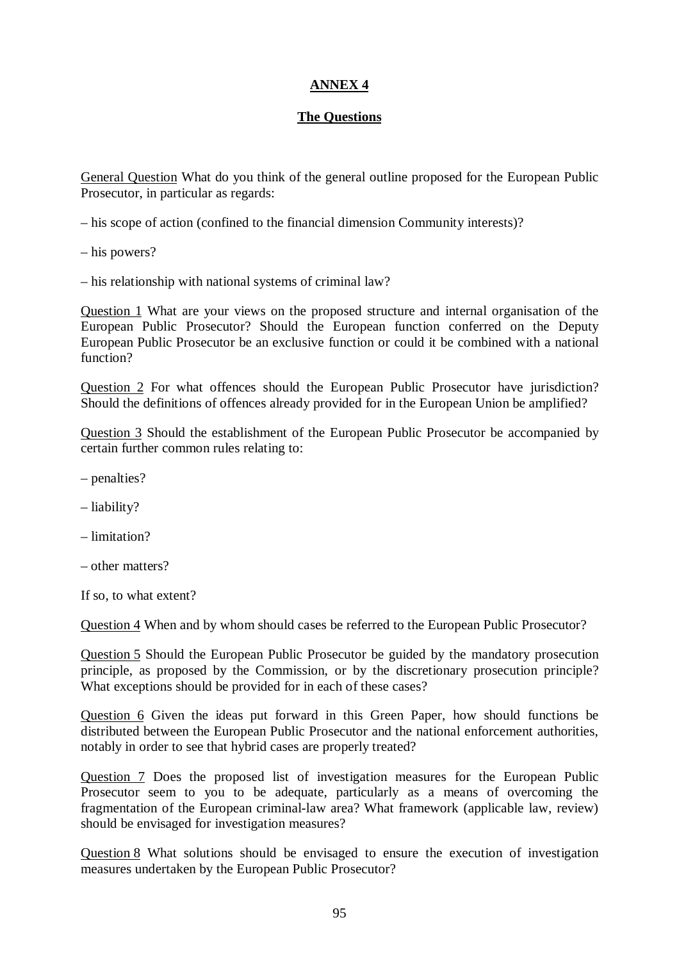# **ANNEX 4**

# **The Questions**

General Question What do you think of the general outline proposed for the European Public Prosecutor, in particular as regards:

- his scope of action (confined to the financial dimension Community interests)?
- his powers?
- his relationship with national systems of criminal law?

Question 1 What are your views on the proposed structure and internal organisation of the European Public Prosecutor? Should the European function conferred on the Deputy European Public Prosecutor be an exclusive function or could it be combined with a national function?

Question 2 For what offences should the European Public Prosecutor have jurisdiction? Should the definitions of offences already provided for in the European Union be amplified?

Question 3 Should the establishment of the European Public Prosecutor be accompanied by certain further common rules relating to:

- penalties?
- liability?
- limitation?
- other matters?

If so, to what extent?

Question 4 When and by whom should cases be referred to the European Public Prosecutor?

Question 5 Should the European Public Prosecutor be guided by the mandatory prosecution principle, as proposed by the Commission, or by the discretionary prosecution principle? What exceptions should be provided for in each of these cases?

Question 6 Given the ideas put forward in this Green Paper, how should functions be distributed between the European Public Prosecutor and the national enforcement authorities, notably in order to see that hybrid cases are properly treated?

Question 7 Does the proposed list of investigation measures for the European Public Prosecutor seem to you to be adequate, particularly as a means of overcoming the fragmentation of the European criminal-law area? What framework (applicable law, review) should be envisaged for investigation measures?

Question 8 What solutions should be envisaged to ensure the execution of investigation measures undertaken by the European Public Prosecutor?